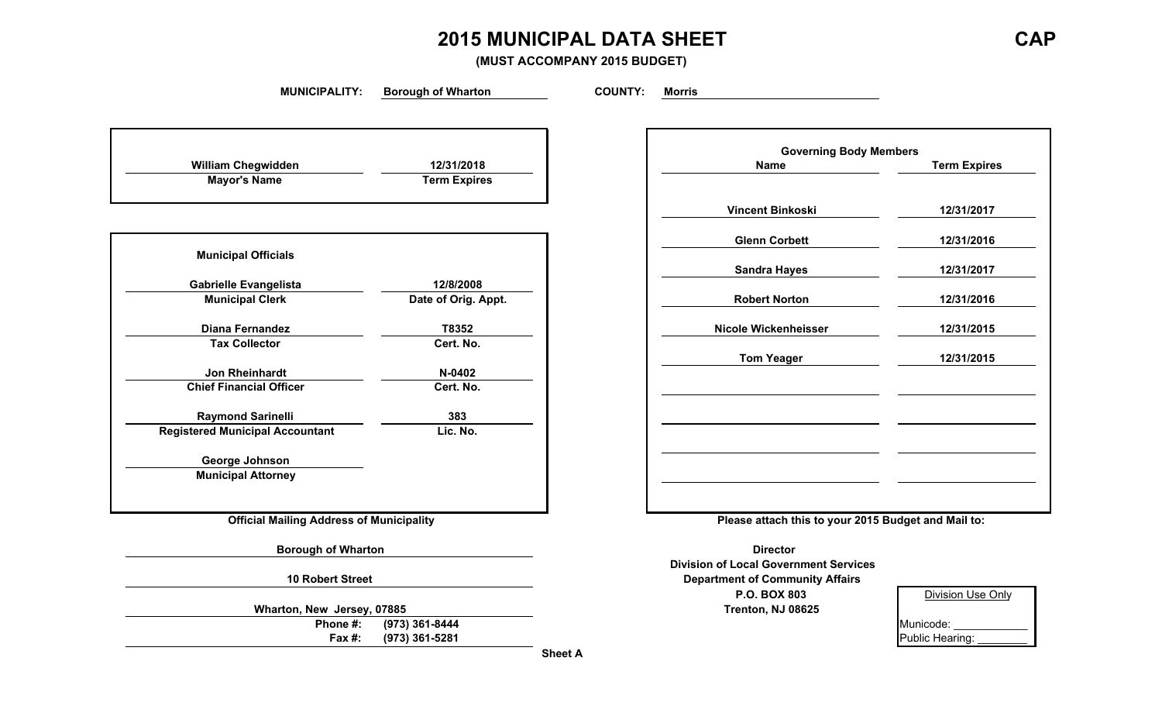# **2015 MUNICIPAL DATA SHEET CAP**

**(MUST ACCOMPANY 2015 BUDGET)**

**MUNICIPALITY: Borough of Wharton COUNTY: Morris**

| 12/31/2018          |
|---------------------|
| <b>Term Expires</b> |
|                     |

| <b>Municipal Officials</b>             |                     |
|----------------------------------------|---------------------|
| <b>Gabrielle Evangelista</b>           | 12/8/2008           |
| <b>Municipal Clerk</b>                 | Date of Orig. Appt. |
| Diana Fernandez                        | T8352               |
| <b>Tax Collector</b>                   | Cert. No.           |
| <b>Jon Rheinhardt</b>                  | $N-0402$            |
| <b>Chief Financial Officer</b>         | Cert. No.           |
| <b>Raymond Sarinelli</b>               | 383                 |
| <b>Registered Municipal Accountant</b> | Lic. No.            |
| George Johnson                         |                     |
| <b>Municipal Attorney</b>              |                     |

**Wharton, New Jersey, 07885 Trenton, NJ 08625** Phone #:  $(973)$  361-8444 **Fax #:** (973) 361-5281

|                                |                     | <b>Governing Body Members</b> |                     |
|--------------------------------|---------------------|-------------------------------|---------------------|
| William Chegwidden             | 12/31/2018          | <b>Name</b>                   | <b>Term Expires</b> |
| <b>Mayor's Name</b>            | <b>Term Expires</b> |                               |                     |
|                                |                     | <b>Vincent Binkoski</b>       | 12/31/2017          |
|                                |                     | <b>Glenn Corbett</b>          | 12/31/2016          |
| <b>Municipal Officials</b>     |                     | <b>Sandra Hayes</b>           | 12/31/2017          |
| <b>Gabrielle Evangelista</b>   | 12/8/2008           |                               |                     |
| <b>Municipal Clerk</b>         | Date of Orig. Appt. | <b>Robert Norton</b>          | 12/31/2016          |
| <b>Diana Fernandez</b>         | T8352               | Nicole Wickenheisser          | 12/31/2015          |
| <b>Tax Collector</b>           | Cert. No.           |                               |                     |
| Jon Rheinhardt                 | N-0402              | <b>Tom Yeager</b>             | 12/31/2015          |
| <b>Chief Financial Officer</b> | Cert. No.           |                               |                     |
| <b>Raymond Sarinelli</b>       | 383                 |                               |                     |
| ered Municipal Accountant      | Lic. No.            |                               |                     |
| <b>George Johnson</b>          |                     |                               |                     |
| <b>Municipal Attorney</b>      |                     |                               |                     |

**Official Mailing Address of Municipality Please attach this to your 2015 Budget and Mail to:**

**Borough of Wharton Director** Director **Division of Local Government Services 10 Robert Street Department of Community Affairs P.O. BOX 803**

| 3   | <b>Division Use Only</b> |
|-----|--------------------------|
| 625 |                          |
|     | Municode:                |
|     | Public Hearing:          |

**Sheet A**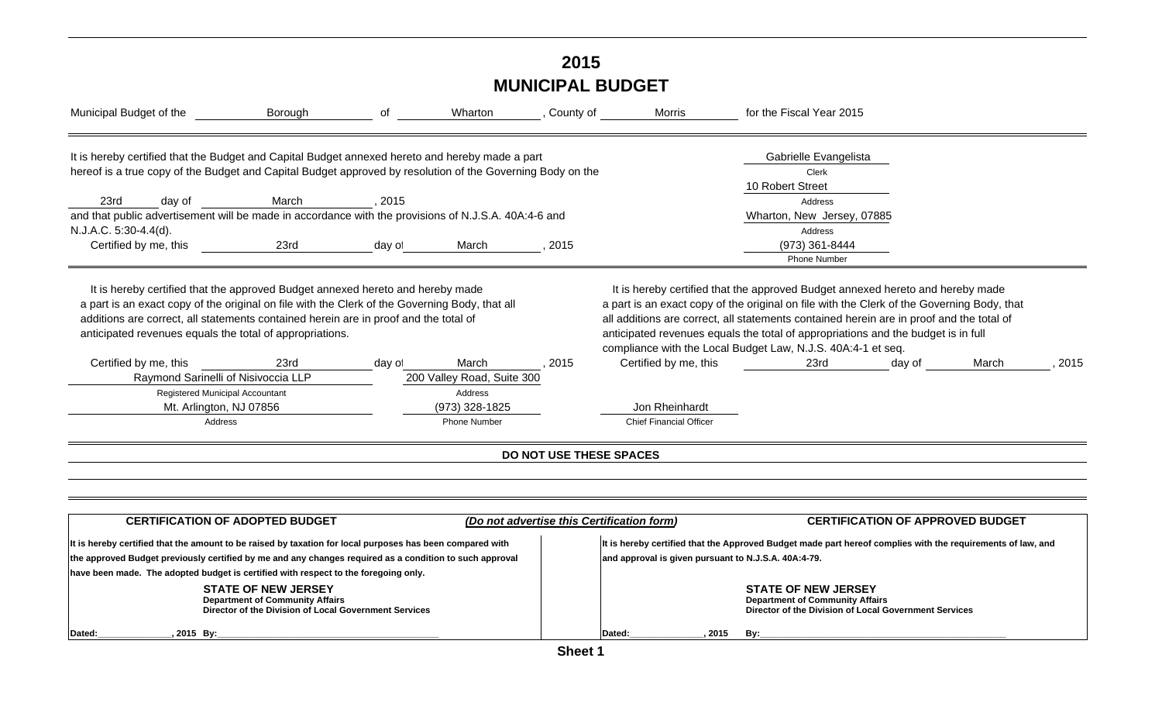# **2015 MUNICIPAL BUDGET**

| Municipal Budget of the                                                                                                                                                                                                                                                                                                              | Borough                                                                                                                       | of     | Wharton                    | , County of             | Morris                                               | for the Fiscal Year 2015                                                                                                                                                                                                                                                                                                                                                                                                      |                                         |      |
|--------------------------------------------------------------------------------------------------------------------------------------------------------------------------------------------------------------------------------------------------------------------------------------------------------------------------------------|-------------------------------------------------------------------------------------------------------------------------------|--------|----------------------------|-------------------------|------------------------------------------------------|-------------------------------------------------------------------------------------------------------------------------------------------------------------------------------------------------------------------------------------------------------------------------------------------------------------------------------------------------------------------------------------------------------------------------------|-----------------------------------------|------|
| It is hereby certified that the Budget and Capital Budget annexed hereto and hereby made a part<br>hereof is a true copy of the Budget and Capital Budget approved by resolution of the Governing Body on the                                                                                                                        |                                                                                                                               |        |                            |                         |                                                      | Gabrielle Evangelista<br>Clerk                                                                                                                                                                                                                                                                                                                                                                                                |                                         |      |
| 23rd<br>day of                                                                                                                                                                                                                                                                                                                       | March                                                                                                                         | 2015   |                            |                         |                                                      | 10 Robert Street<br>Address                                                                                                                                                                                                                                                                                                                                                                                                   |                                         |      |
| and that public advertisement will be made in accordance with the provisions of N.J.S.A. 40A:4-6 and                                                                                                                                                                                                                                 |                                                                                                                               |        |                            |                         |                                                      | Wharton, New Jersey, 07885                                                                                                                                                                                                                                                                                                                                                                                                    |                                         |      |
| N.J.A.C. 5:30-4.4(d).                                                                                                                                                                                                                                                                                                                |                                                                                                                               |        |                            |                         |                                                      | Address                                                                                                                                                                                                                                                                                                                                                                                                                       |                                         |      |
| Certified by me, this                                                                                                                                                                                                                                                                                                                | 23rd                                                                                                                          | day of | March                      | 2015                    |                                                      | (973) 361-8444                                                                                                                                                                                                                                                                                                                                                                                                                |                                         |      |
|                                                                                                                                                                                                                                                                                                                                      |                                                                                                                               |        |                            |                         |                                                      | <b>Phone Number</b>                                                                                                                                                                                                                                                                                                                                                                                                           |                                         |      |
| It is hereby certified that the approved Budget annexed hereto and hereby made<br>a part is an exact copy of the original on file with the Clerk of the Governing Body, that all<br>additions are correct, all statements contained herein are in proof and the total of<br>anticipated revenues equals the total of appropriations. |                                                                                                                               |        |                            |                         |                                                      | It is hereby certified that the approved Budget annexed hereto and hereby made<br>a part is an exact copy of the original on file with the Clerk of the Governing Body, that<br>all additions are correct, all statements contained herein are in proof and the total of<br>anticipated revenues equals the total of appropriations and the budget is in full<br>compliance with the Local Budget Law, N.J.S. 40A:4-1 et seq. |                                         |      |
| Certified by me, this                                                                                                                                                                                                                                                                                                                | 23rd                                                                                                                          | day of | March                      | 2015                    | Certified by me, this                                | 23rd                                                                                                                                                                                                                                                                                                                                                                                                                          | day of<br>March                         | 2015 |
| Raymond Sarinelli of Nisivoccia LLP                                                                                                                                                                                                                                                                                                  |                                                                                                                               |        | 200 Valley Road, Suite 300 |                         |                                                      |                                                                                                                                                                                                                                                                                                                                                                                                                               |                                         |      |
| Registered Municipal Accountant                                                                                                                                                                                                                                                                                                      |                                                                                                                               |        | Address                    |                         |                                                      |                                                                                                                                                                                                                                                                                                                                                                                                                               |                                         |      |
| Mt. Arlington, NJ 07856                                                                                                                                                                                                                                                                                                              |                                                                                                                               |        | (973) 328-1825             |                         | Jon Rheinhardt                                       |                                                                                                                                                                                                                                                                                                                                                                                                                               |                                         |      |
| Address                                                                                                                                                                                                                                                                                                                              |                                                                                                                               |        | <b>Phone Number</b>        |                         | <b>Chief Financial Officer</b>                       |                                                                                                                                                                                                                                                                                                                                                                                                                               |                                         |      |
|                                                                                                                                                                                                                                                                                                                                      |                                                                                                                               |        |                            | DO NOT USE THESE SPACES |                                                      |                                                                                                                                                                                                                                                                                                                                                                                                                               |                                         |      |
|                                                                                                                                                                                                                                                                                                                                      |                                                                                                                               |        |                            |                         |                                                      |                                                                                                                                                                                                                                                                                                                                                                                                                               |                                         |      |
|                                                                                                                                                                                                                                                                                                                                      |                                                                                                                               |        |                            |                         |                                                      |                                                                                                                                                                                                                                                                                                                                                                                                                               |                                         |      |
|                                                                                                                                                                                                                                                                                                                                      | <b>CERTIFICATION OF ADOPTED BUDGET</b>                                                                                        |        |                            |                         | (Do not advertise this Certification form)           |                                                                                                                                                                                                                                                                                                                                                                                                                               | <b>CERTIFICATION OF APPROVED BUDGET</b> |      |
| It is hereby certified that the amount to be raised by taxation for local purposes has been compared with                                                                                                                                                                                                                            |                                                                                                                               |        |                            |                         |                                                      | It is hereby certified that the Approved Budget made part hereof complies with the requirements of law, and                                                                                                                                                                                                                                                                                                                   |                                         |      |
| the approved Budget previously certified by me and any changes required as a condition to such approval                                                                                                                                                                                                                              |                                                                                                                               |        |                            |                         | and approval is given pursuant to N.J.S.A. 40A:4-79. |                                                                                                                                                                                                                                                                                                                                                                                                                               |                                         |      |
| have been made. The adopted budget is certified with respect to the foregoing only.                                                                                                                                                                                                                                                  |                                                                                                                               |        |                            |                         |                                                      |                                                                                                                                                                                                                                                                                                                                                                                                                               |                                         |      |
|                                                                                                                                                                                                                                                                                                                                      | <b>STATE OF NEW JERSEY</b><br><b>Department of Community Affairs</b><br>Director of the Division of Local Government Services |        |                            |                         |                                                      | <b>STATE OF NEW JERSEY</b><br><b>Department of Community Affairs</b><br>Director of the Division of Local Government Services                                                                                                                                                                                                                                                                                                 |                                         |      |
| Dated:<br>2015 By:                                                                                                                                                                                                                                                                                                                   |                                                                                                                               |        |                            |                         | 2015<br><b>Dated:</b>                                | By:                                                                                                                                                                                                                                                                                                                                                                                                                           |                                         |      |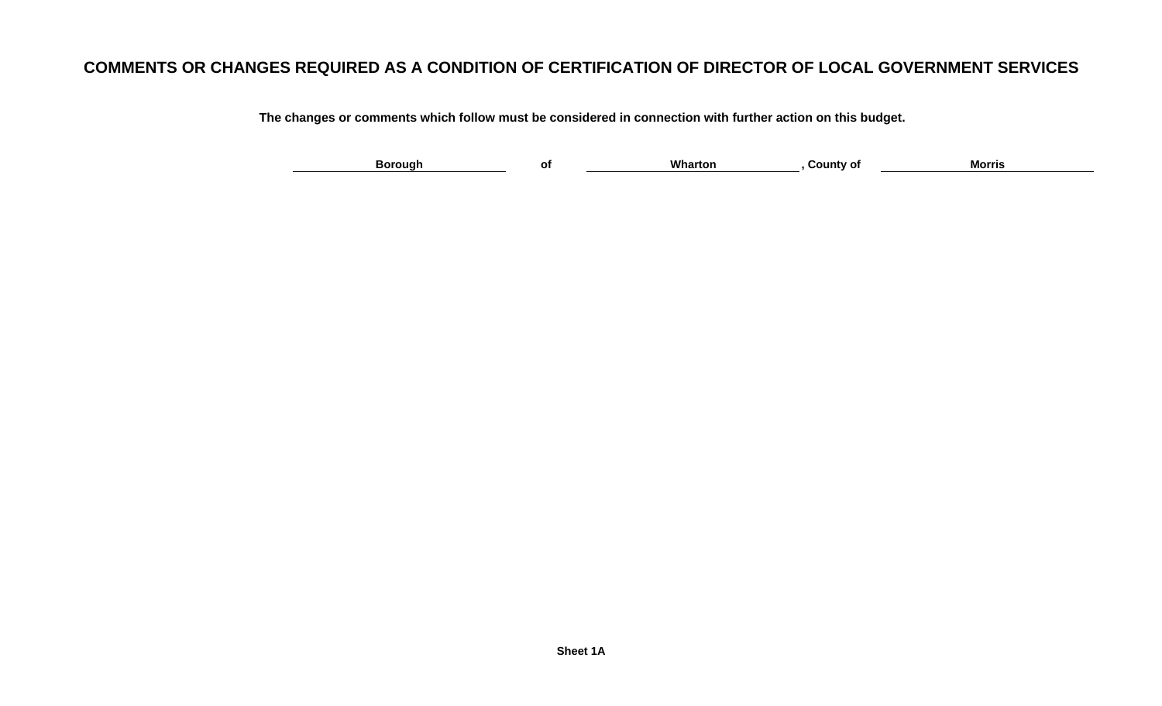### **COMMENTS OR CHANGES REQUIRED AS A CONDITION OF CERTIFICATION OF DIRECTOR OF LOCAL GOVERNMENT SERVICES**

**The changes or comments which follow must be considered in connection with further action on this budget.**

| -- | - 2000.00 |  | Wh | ---<br>. | мо |  |
|----|-----------|--|----|----------|----|--|
|----|-----------|--|----|----------|----|--|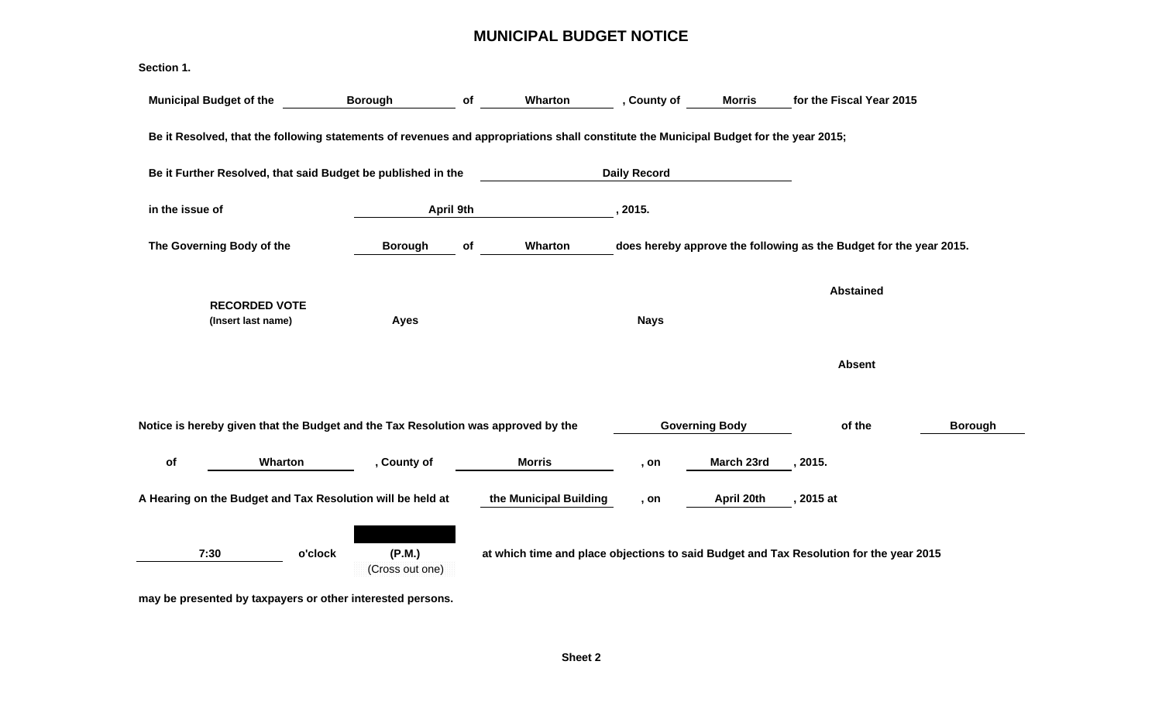#### **MUNICIPAL BUDGET NOTICE**

| Section 1.                                                                                                                            |                                      |           |                        |                     |                       |                                                                                        |                |
|---------------------------------------------------------------------------------------------------------------------------------------|--------------------------------------|-----------|------------------------|---------------------|-----------------------|----------------------------------------------------------------------------------------|----------------|
| <b>Municipal Budget of the</b>                                                                                                        | <b>Borough</b>                       | of        | Wharton                | , County of         | <b>Morris</b>         | for the Fiscal Year 2015                                                               |                |
| Be it Resolved, that the following statements of revenues and appropriations shall constitute the Municipal Budget for the year 2015; |                                      |           |                        |                     |                       |                                                                                        |                |
| Be it Further Resolved, that said Budget be published in the                                                                          |                                      |           |                        | <b>Daily Record</b> |                       |                                                                                        |                |
| in the issue of                                                                                                                       |                                      | April 9th |                        | , 2015.             |                       |                                                                                        |                |
| The Governing Body of the                                                                                                             | <b>Borough</b>                       | of        | Wharton                |                     |                       | does hereby approve the following as the Budget for the year 2015.                     |                |
| <b>RECORDED VOTE</b><br>(Insert last name)                                                                                            | Ayes                                 |           |                        | <b>Nays</b>         |                       | <b>Abstained</b>                                                                       |                |
|                                                                                                                                       |                                      |           |                        |                     |                       | <b>Absent</b>                                                                          |                |
| Notice is hereby given that the Budget and the Tax Resolution was approved by the                                                     |                                      |           |                        |                     | <b>Governing Body</b> | of the                                                                                 | <b>Borough</b> |
| of<br>Wharton                                                                                                                         | , County of                          |           | <b>Morris</b>          | , on                | March 23rd            | , 2015.                                                                                |                |
| A Hearing on the Budget and Tax Resolution will be held at                                                                            |                                      |           | the Municipal Building | , on                | April 20th            | , 2015 at                                                                              |                |
| 7:30                                                                                                                                  | o'clock<br>(P.M.)<br>(Cross out one) |           |                        |                     |                       | at which time and place objections to said Budget and Tax Resolution for the year 2015 |                |

**may be presented by taxpayers or other interested persons.**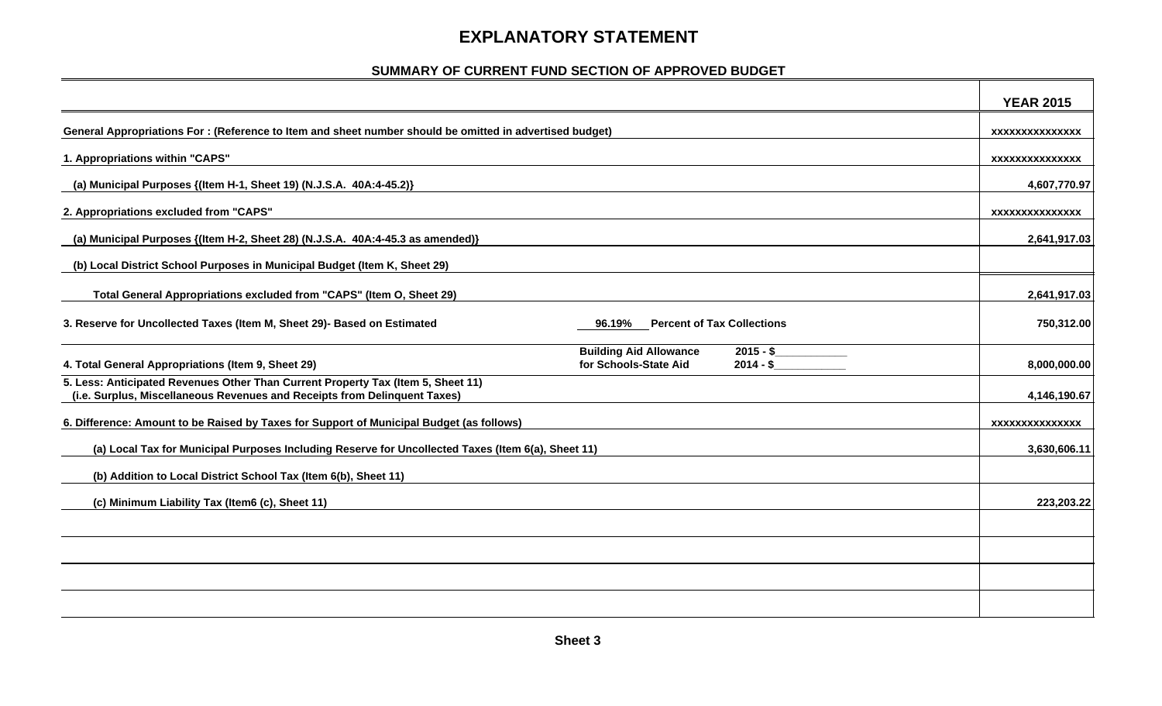### **EXPLANATORY STATEMENT**

#### **SUMMARY OF CURRENT FUND SECTION OF APPROVED BUDGET**

|                                                                                                                                                               | <b>YEAR 2015</b>       |
|---------------------------------------------------------------------------------------------------------------------------------------------------------------|------------------------|
| General Appropriations For : (Reference to Item and sheet number should be omitted in advertised budget)                                                      | XXXXXXXXXXXXXXX        |
| 1. Appropriations within "CAPS"                                                                                                                               | XXXXXXXXXXXXXXX        |
| (a) Municipal Purposes {(Item H-1, Sheet 19) (N.J.S.A. 40A:4-45.2)}                                                                                           | 4,607,770.97           |
| 2. Appropriations excluded from "CAPS"                                                                                                                        | xxxxxxxxxxxxxx         |
| (a) Municipal Purposes {(Item H-2, Sheet 28) (N.J.S.A. 40A:4-45.3 as amended)}                                                                                | 2,641,917.03           |
| (b) Local District School Purposes in Municipal Budget (Item K, Sheet 29)                                                                                     |                        |
| Total General Appropriations excluded from "CAPS" (Item O, Sheet 29)                                                                                          | 2,641,917.03           |
| 3. Reserve for Uncollected Taxes (Item M, Sheet 29)- Based on Estimated<br><b>Percent of Tax Collections</b><br>96.19%                                        | 750,312.00             |
| <b>Building Aid Allowance</b><br>$2015 - S$<br>$2014 - $$<br>4. Total General Appropriations (Item 9, Sheet 29)<br>for Schools-State Aid                      | 8,000,000.00           |
| 5. Less: Anticipated Revenues Other Than Current Property Tax (Item 5, Sheet 11)<br>(i.e. Surplus, Miscellaneous Revenues and Receipts from Delinquent Taxes) | 4,146,190.67           |
| 6. Difference: Amount to be Raised by Taxes for Support of Municipal Budget (as follows)                                                                      | <b>XXXXXXXXXXXXXXX</b> |
| (a) Local Tax for Municipal Purposes Including Reserve for Uncollected Taxes (Item 6(a), Sheet 11)                                                            | 3,630,606.11           |
| (b) Addition to Local District School Tax (Item 6(b), Sheet 11)                                                                                               |                        |
| (c) Minimum Liability Tax (Item6 (c), Sheet 11)                                                                                                               | 223,203.22             |
|                                                                                                                                                               |                        |
|                                                                                                                                                               |                        |
|                                                                                                                                                               |                        |
|                                                                                                                                                               |                        |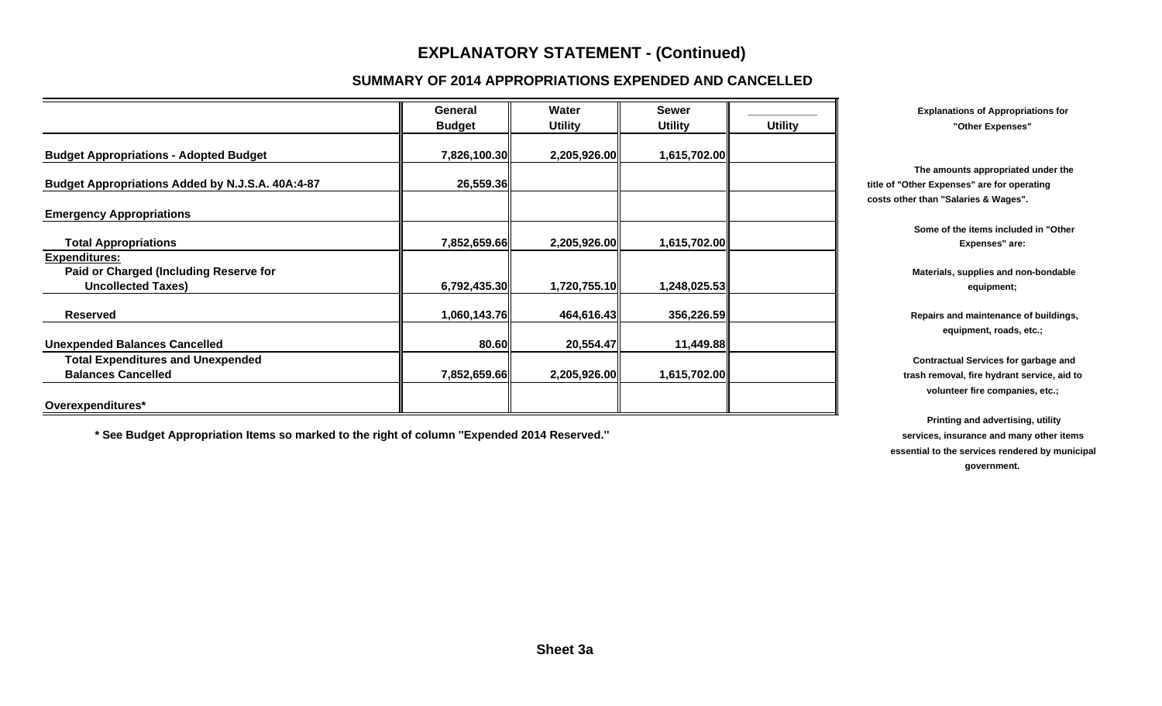#### **SUMMARY OF 2014 APPROPRIATIONS EXPENDED AND CANCELLED**

|                                                  | General       | Water          | <b>Sewer</b>   |                | <b>Explanations of Appropriations for</b>              |
|--------------------------------------------------|---------------|----------------|----------------|----------------|--------------------------------------------------------|
|                                                  | <b>Budget</b> | <b>Utility</b> | <b>Utility</b> | <b>Utility</b> | "Other Expenses"                                       |
| <b>Budget Appropriations - Adopted Budget</b>    | 7,826,100.30  | 2,205,926.00   | 1,615,702.00   |                |                                                        |
|                                                  |               |                |                |                | The amounts appropriated under the                     |
| Budget Appropriations Added by N.J.S.A. 40A:4-87 | 26,559.36     |                |                |                | title of "Other Expenses" are for operating            |
|                                                  |               |                |                |                | costs other than "Salaries & Wages".                   |
| <b>Emergency Appropriations</b>                  |               |                |                |                |                                                        |
| <b>Total Appropriations</b>                      | 7,852,659.66  | 2,205,926.00   | 1,615,702.00   |                | Some of the items included in "Other<br>Expenses" are: |
| <b>Expenditures:</b>                             |               |                |                |                |                                                        |
| Paid or Charged (Including Reserve for           |               |                |                |                | Materials, supplies and non-bondable                   |
| <b>Uncollected Taxes)</b>                        | 6,792,435.30  | 1,720,755.10   | 1,248,025.53   |                | equipment;                                             |
| <b>Reserved</b>                                  | 1,060,143.76  | 464,616.43     | 356,226.59     |                | Repairs and maintenance of buildings,                  |
|                                                  |               |                |                |                | equipment, roads, etc.;                                |
| <b>Unexpended Balances Cancelled</b>             | 80.60         | 20,554.47      | 11,449.88      |                |                                                        |
| <b>Total Expenditures and Unexpended</b>         |               |                |                |                | <b>Contractual Services for garbage and</b>            |
| <b>Balances Cancelled</b>                        | 7,852,659.66  | 2,205,926.00   | 1,615,702.00   |                | trash removal, fire hydrant service, aid to            |
|                                                  |               |                |                |                | volunteer fire companies, etc.;                        |
| Overexpenditures*                                |               |                |                |                |                                                        |

\* See Budget Appropriation Items so marked to the right of column "Expended 2014 Reserved." **See Budget Appropriation Items** other items

 **Printing and advertising, utility essential to the services rendered by municipal government.**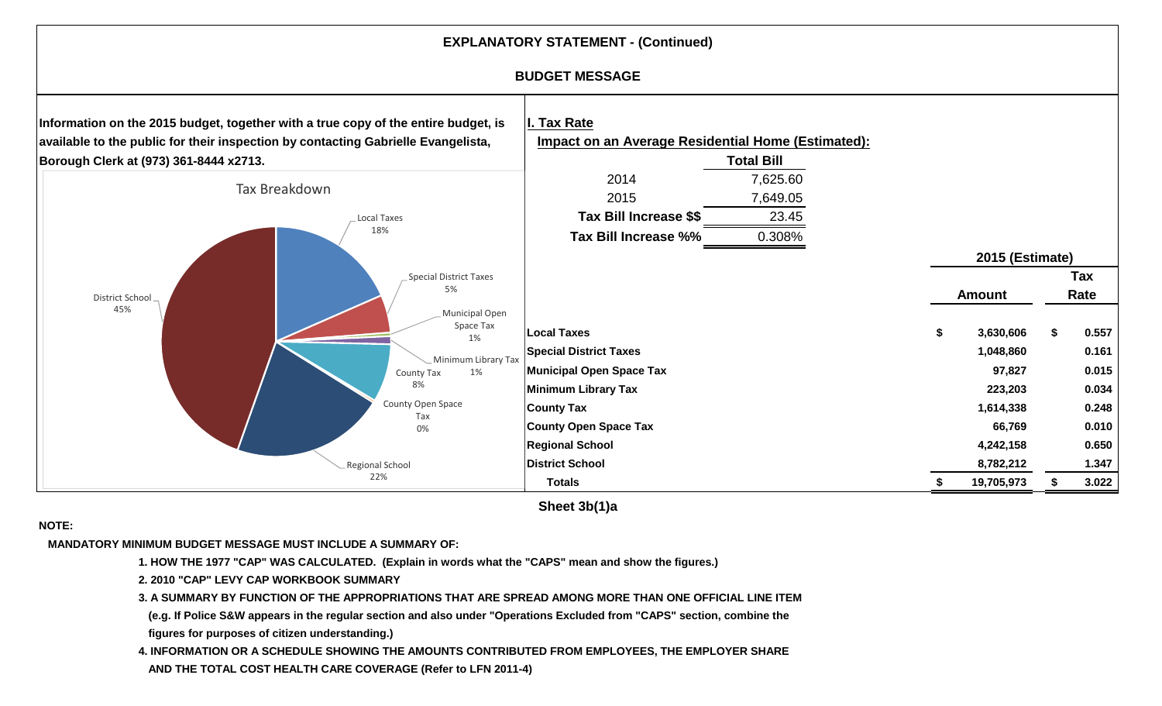

**Sheet 3b(1)a**

#### **NOTE:**

 **MANDATORY MINIMUM BUDGET MESSAGE MUST INCLUDE A SUMMARY OF:**

- **1. HOW THE 1977 "CAP" WAS CALCULATED. (Explain in words what the "CAPS" mean and show the figures.)**
- **2. 2010 "CAP" LEVY CAP WORKBOOK SUMMARY**
- **3. A SUMMARY BY FUNCTION OF THE APPROPRIATIONS THAT ARE SPREAD AMONG MORE THAN ONE OFFICIAL LINE ITEM**
- **(e.g. If Police S&W appears in the regular section and also under "Operations Excluded from "CAPS" section, combine the figures for purposes of citizen understanding.)**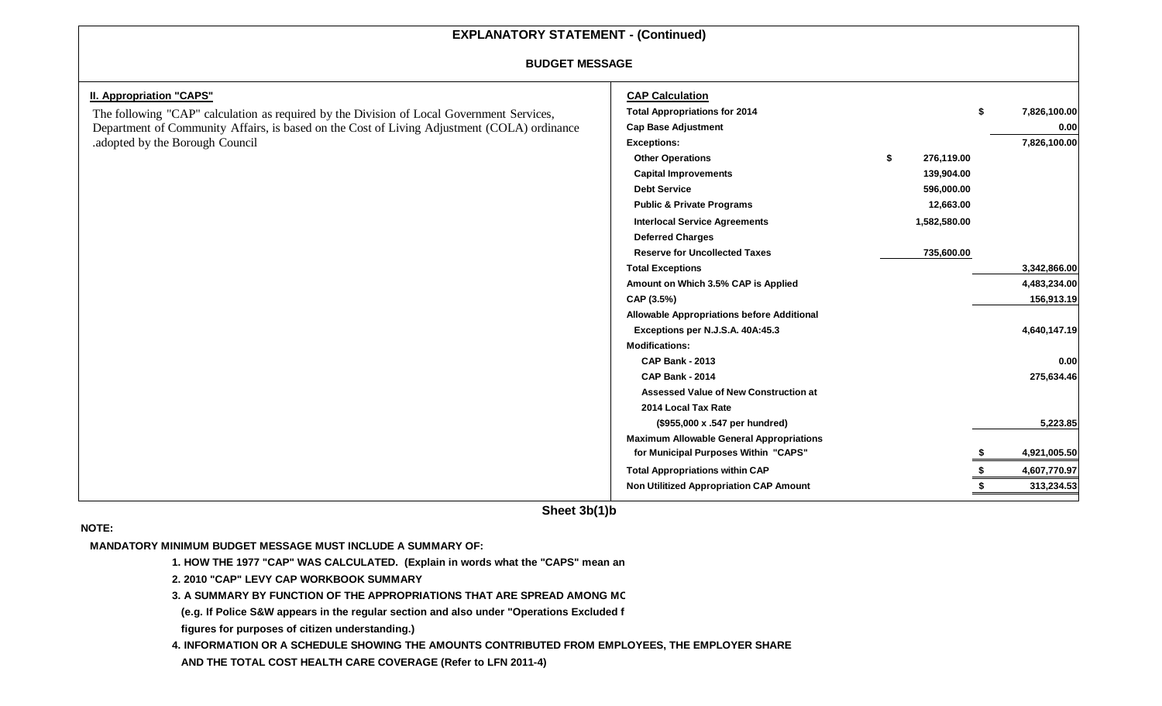#### **BUDGET MESSAGE**

| <b>II. Appropriation "CAPS"</b>                                                             | <b>CAP Calculation</b>                            |              |                    |
|---------------------------------------------------------------------------------------------|---------------------------------------------------|--------------|--------------------|
| The following "CAP" calculation as required by the Division of Local Government Services,   | <b>Total Appropriations for 2014</b>              |              | \$<br>7,826,100.00 |
| Department of Community Affairs, is based on the Cost of Living Adjustment (COLA) ordinance | <b>Cap Base Adjustment</b>                        |              | 0.00               |
| adopted by the Borough Council                                                              | <b>Exceptions:</b>                                |              | 7,826,100.00       |
|                                                                                             | <b>Other Operations</b>                           | 276,119.00   |                    |
|                                                                                             | <b>Capital Improvements</b>                       | 139,904.00   |                    |
|                                                                                             | <b>Debt Service</b>                               | 596,000.00   |                    |
|                                                                                             | <b>Public &amp; Private Programs</b>              | 12,663.00    |                    |
|                                                                                             | <b>Interlocal Service Agreements</b>              | 1,582,580.00 |                    |
|                                                                                             | <b>Deferred Charges</b>                           |              |                    |
|                                                                                             | <b>Reserve for Uncollected Taxes</b>              | 735,600.00   |                    |
|                                                                                             | <b>Total Exceptions</b>                           |              | 3,342,866.00       |
|                                                                                             | Amount on Which 3.5% CAP is Applied               |              | 4,483,234.00       |
|                                                                                             | CAP (3.5%)                                        |              | 156,913.19         |
|                                                                                             | <b>Allowable Appropriations before Additional</b> |              |                    |
|                                                                                             | Exceptions per N.J.S.A. 40A:45.3                  |              | 4,640,147.19       |
|                                                                                             | <b>Modifications:</b>                             |              |                    |
|                                                                                             | <b>CAP Bank - 2013</b>                            |              | 0.00               |
|                                                                                             | <b>CAP Bank - 2014</b>                            |              | 275,634.46         |
|                                                                                             | <b>Assessed Value of New Construction at</b>      |              |                    |
|                                                                                             | 2014 Local Tax Rate                               |              |                    |
|                                                                                             | (\$955,000 x .547 per hundred)                    |              | 5,223.85           |
|                                                                                             | <b>Maximum Allowable General Appropriations</b>   |              |                    |
|                                                                                             | for Municipal Purposes Within "CAPS"              |              | 4,921,005.50       |
|                                                                                             | <b>Total Appropriations within CAP</b>            |              | 4,607,770.97       |
|                                                                                             | Non Utilitized Appropriation CAP Amount           |              | 313,234.53         |
|                                                                                             |                                                   |              |                    |

**Sheet 3b(1)b**

**NOTE:**

 **MANDATORY MINIMUM BUDGET MESSAGE MUST INCLUDE A SUMMARY OF:** 

**1. HOW THE 1977 "CAP" WAS CALCULATED. (Explain in words what the "CAPS" mean an** 

**2. 2010 "CAP" LEVY CAP WORKBOOK SUMMARY**

**3. A SUMMARY BY FUNCTION OF THE APPROPRIATIONS THAT ARE SPREAD AMONG MO**

**(e.g. If Police S&W appears in the regular section and also under "Operations Excluded f**

**figures for purposes of citizen understanding.)**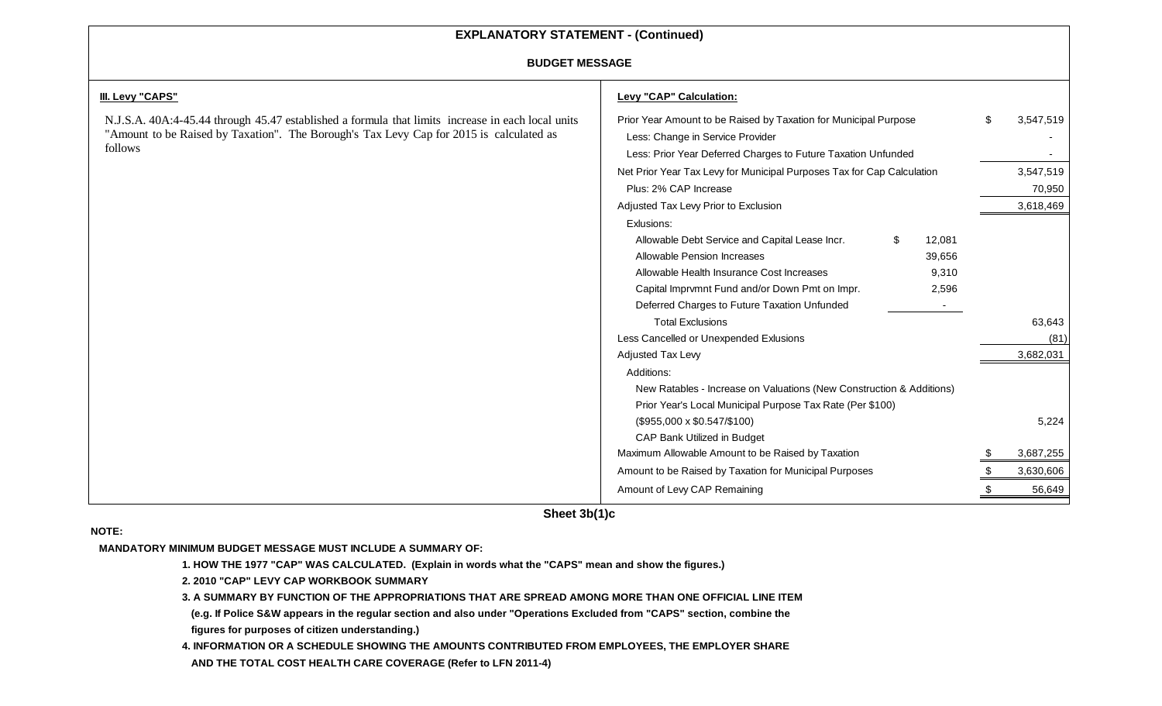#### **BUDGET MESSAGE**

| <b>BUDGET MESSAGE</b>                                                                                                                                                                                   |                                                                                                                                                                       |        |           |  |  |  |
|---------------------------------------------------------------------------------------------------------------------------------------------------------------------------------------------------------|-----------------------------------------------------------------------------------------------------------------------------------------------------------------------|--------|-----------|--|--|--|
| III. Levy "CAPS"                                                                                                                                                                                        | Levy "CAP" Calculation:                                                                                                                                               |        |           |  |  |  |
| N.J.S.A. 40A:4-45.44 through 45.47 established a formula that limits increase in each local units<br>"Amount to be Raised by Taxation". The Borough's Tax Levy Cap for 2015 is calculated as<br>follows | Prior Year Amount to be Raised by Taxation for Municipal Purpose<br>Less: Change in Service Provider<br>Less: Prior Year Deferred Charges to Future Taxation Unfunded | -SS    | 3,547,519 |  |  |  |
|                                                                                                                                                                                                         | Net Prior Year Tax Levy for Municipal Purposes Tax for Cap Calculation                                                                                                |        | 3,547,519 |  |  |  |
|                                                                                                                                                                                                         | Plus: 2% CAP Increase                                                                                                                                                 |        | 70,950    |  |  |  |
|                                                                                                                                                                                                         | Adjusted Tax Levy Prior to Exclusion                                                                                                                                  |        | 3,618,469 |  |  |  |
|                                                                                                                                                                                                         | Exlusions:                                                                                                                                                            |        |           |  |  |  |
|                                                                                                                                                                                                         | Allowable Debt Service and Capital Lease Incr.<br>\$<br>12,081                                                                                                        |        |           |  |  |  |
|                                                                                                                                                                                                         | Allowable Pension Increases<br>39,656                                                                                                                                 |        |           |  |  |  |
| Allowable Health Insurance Cost Increases<br>9,310<br>Capital Imprvmnt Fund and/or Down Pmt on Impr.<br>2,596<br>Deferred Charges to Future Taxation Unfunded<br>$\sim$<br><b>Total Exclusions</b>      |                                                                                                                                                                       |        |           |  |  |  |
|                                                                                                                                                                                                         |                                                                                                                                                                       |        |           |  |  |  |
|                                                                                                                                                                                                         |                                                                                                                                                                       |        |           |  |  |  |
|                                                                                                                                                                                                         |                                                                                                                                                                       | 63,643 |           |  |  |  |
|                                                                                                                                                                                                         | Less Cancelled or Unexpended Exlusions                                                                                                                                |        | (81)      |  |  |  |
|                                                                                                                                                                                                         | Adjusted Tax Levy                                                                                                                                                     |        | 3,682,031 |  |  |  |
|                                                                                                                                                                                                         | Additions:                                                                                                                                                            |        |           |  |  |  |
|                                                                                                                                                                                                         | New Ratables - Increase on Valuations (New Construction & Additions)                                                                                                  |        |           |  |  |  |
|                                                                                                                                                                                                         | Prior Year's Local Municipal Purpose Tax Rate (Per \$100)                                                                                                             |        |           |  |  |  |
|                                                                                                                                                                                                         | $($955,000 \times $0.547/\$100)$                                                                                                                                      |        | 5,224     |  |  |  |
|                                                                                                                                                                                                         | CAP Bank Utilized in Budget                                                                                                                                           |        |           |  |  |  |
|                                                                                                                                                                                                         | Maximum Allowable Amount to be Raised by Taxation                                                                                                                     |        | 3,687,255 |  |  |  |
|                                                                                                                                                                                                         | Amount to be Raised by Taxation for Municipal Purposes                                                                                                                |        | 3,630,606 |  |  |  |
|                                                                                                                                                                                                         | Amount of Levy CAP Remaining                                                                                                                                          |        | 56,649    |  |  |  |
|                                                                                                                                                                                                         |                                                                                                                                                                       |        |           |  |  |  |

**Sheet 3b(1)c**

#### **NOTE:**

 **MANDATORY MINIMUM BUDGET MESSAGE MUST INCLUDE A SUMMARY OF:**

**1. HOW THE 1977 "CAP" WAS CALCULATED. (Explain in words what the "CAPS" mean and show the figures.)**

**2. 2010 "CAP" LEVY CAP WORKBOOK SUMMARY**

**3. A SUMMARY BY FUNCTION OF THE APPROPRIATIONS THAT ARE SPREAD AMONG MORE THAN ONE OFFICIAL LINE ITEM** 

**(e.g. If Police S&W appears in the regular section and also under "Operations Excluded from "CAPS" section, combine the figures for purposes of citizen understanding.)**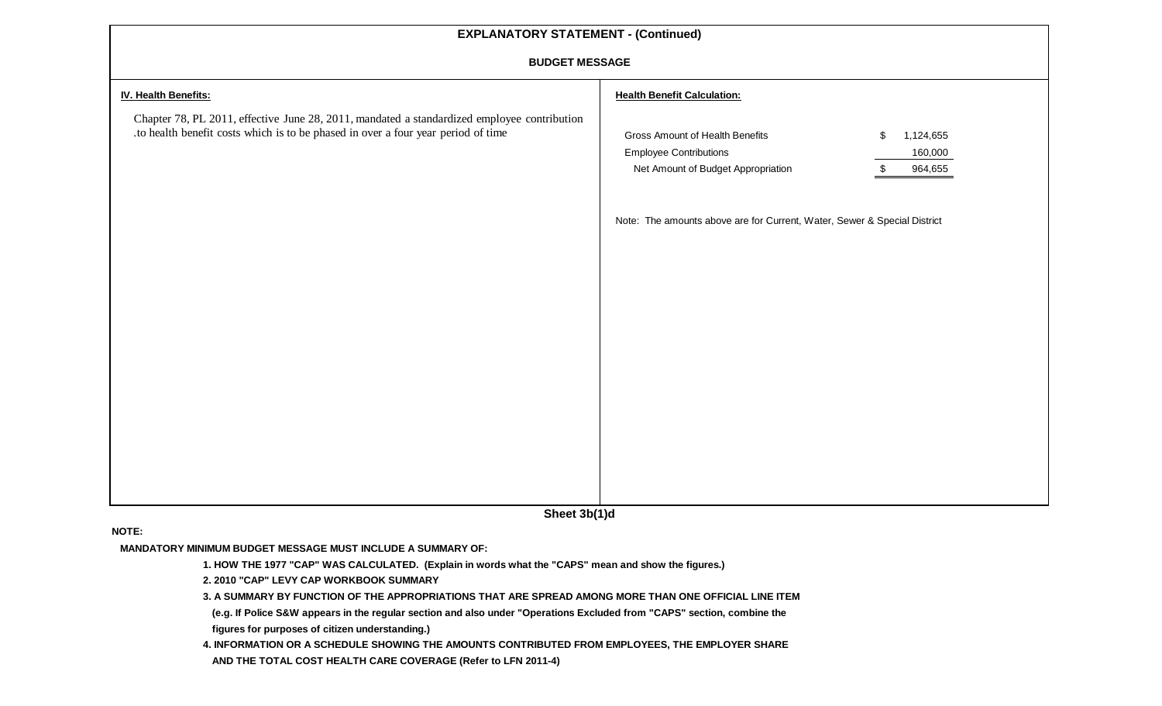#### **BUDGET MESSAGE**

| <b>BUDGET MESSAGE</b>                                                                                                                                                            |                                                                                                        |                                       |  |  |
|----------------------------------------------------------------------------------------------------------------------------------------------------------------------------------|--------------------------------------------------------------------------------------------------------|---------------------------------------|--|--|
| <b>IV. Health Benefits:</b>                                                                                                                                                      | <b>Health Benefit Calculation:</b>                                                                     |                                       |  |  |
| Chapter 78, PL 2011, effective June 28, 2011, mandated a standardized employee contribution<br>.to health benefit costs which is to be phased in over a four year period of time | Gross Amount of Health Benefits<br><b>Employee Contributions</b><br>Net Amount of Budget Appropriation | 1,124,655<br>\$<br>160,000<br>964,655 |  |  |
|                                                                                                                                                                                  | Note: The amounts above are for Current, Water, Sewer & Special District                               |                                       |  |  |
|                                                                                                                                                                                  |                                                                                                        |                                       |  |  |
|                                                                                                                                                                                  |                                                                                                        |                                       |  |  |
|                                                                                                                                                                                  |                                                                                                        |                                       |  |  |
|                                                                                                                                                                                  |                                                                                                        |                                       |  |  |
|                                                                                                                                                                                  |                                                                                                        |                                       |  |  |
|                                                                                                                                                                                  |                                                                                                        |                                       |  |  |
|                                                                                                                                                                                  |                                                                                                        |                                       |  |  |
|                                                                                                                                                                                  |                                                                                                        |                                       |  |  |

**Sheet 3b(1)d**

**NOTE:**

 **MANDATORY MINIMUM BUDGET MESSAGE MUST INCLUDE A SUMMARY OF:**

**1. HOW THE 1977 "CAP" WAS CALCULATED. (Explain in words what the "CAPS" mean and show the figures.)**

**2. 2010 "CAP" LEVY CAP WORKBOOK SUMMARY**

**3. A SUMMARY BY FUNCTION OF THE APPROPRIATIONS THAT ARE SPREAD AMONG MORE THAN ONE OFFICIAL LINE ITEM** 

**(e.g. If Police S&W appears in the regular section and also under "Operations Excluded from "CAPS" section, combine the figures for purposes of citizen understanding.)**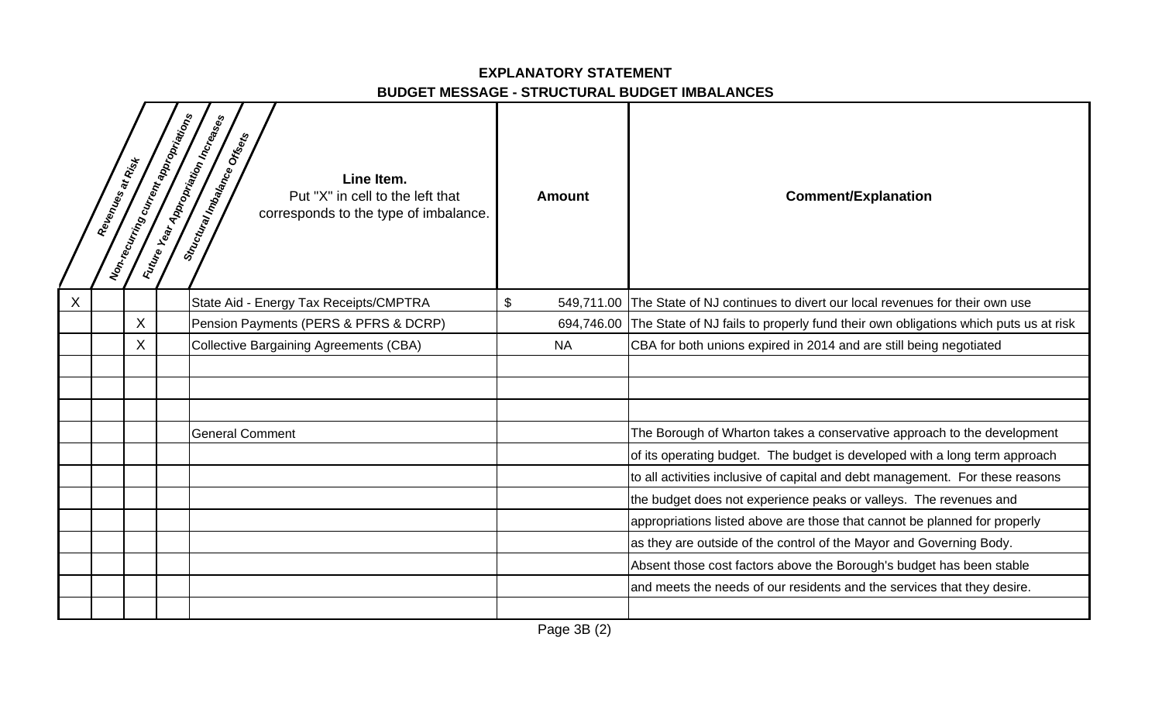### **EXPLANATORY STATEMENT BUDGET MESSAGE - STRUCTURAL BUDGET IMBALANCES**

|   | Revenues at Rist | Non-recurring current appropriations | Future Year Appropriation Increases<br>Siructural Imbalance Ortsets<br>Line Item.<br>Put "X" in cell to the left that<br>corresponds to the type of imbalance. | <b>Amount</b> | <b>Comment/Explanation</b>                                                                    |
|---|------------------|--------------------------------------|----------------------------------------------------------------------------------------------------------------------------------------------------------------|---------------|-----------------------------------------------------------------------------------------------|
| X |                  |                                      | State Aid - Energy Tax Receipts/CMPTRA                                                                                                                         | $\mathbb{S}$  | 549,711.00 The State of NJ continues to divert our local revenues for their own use           |
|   |                  | X                                    | Pension Payments (PERS & PFRS & DCRP)                                                                                                                          |               | 694,746.00 The State of NJ fails to properly fund their own obligations which puts us at risk |
|   |                  | X                                    | Collective Bargaining Agreements (CBA)                                                                                                                         | <b>NA</b>     | CBA for both unions expired in 2014 and are still being negotiated                            |
|   |                  |                                      |                                                                                                                                                                |               |                                                                                               |
|   |                  |                                      | <b>General Comment</b>                                                                                                                                         |               | The Borough of Wharton takes a conservative approach to the development                       |
|   |                  |                                      |                                                                                                                                                                |               | of its operating budget. The budget is developed with a long term approach                    |
|   |                  |                                      |                                                                                                                                                                |               | to all activities inclusive of capital and debt management. For these reasons                 |
|   |                  |                                      |                                                                                                                                                                |               | the budget does not experience peaks or valleys. The revenues and                             |
|   |                  |                                      |                                                                                                                                                                |               | appropriations listed above are those that cannot be planned for properly                     |
|   |                  |                                      |                                                                                                                                                                |               | as they are outside of the control of the Mayor and Governing Body.                           |
|   |                  |                                      |                                                                                                                                                                |               | Absent those cost factors above the Borough's budget has been stable                          |
|   |                  |                                      |                                                                                                                                                                |               | and meets the needs of our residents and the services that they desire.                       |
|   |                  |                                      |                                                                                                                                                                |               |                                                                                               |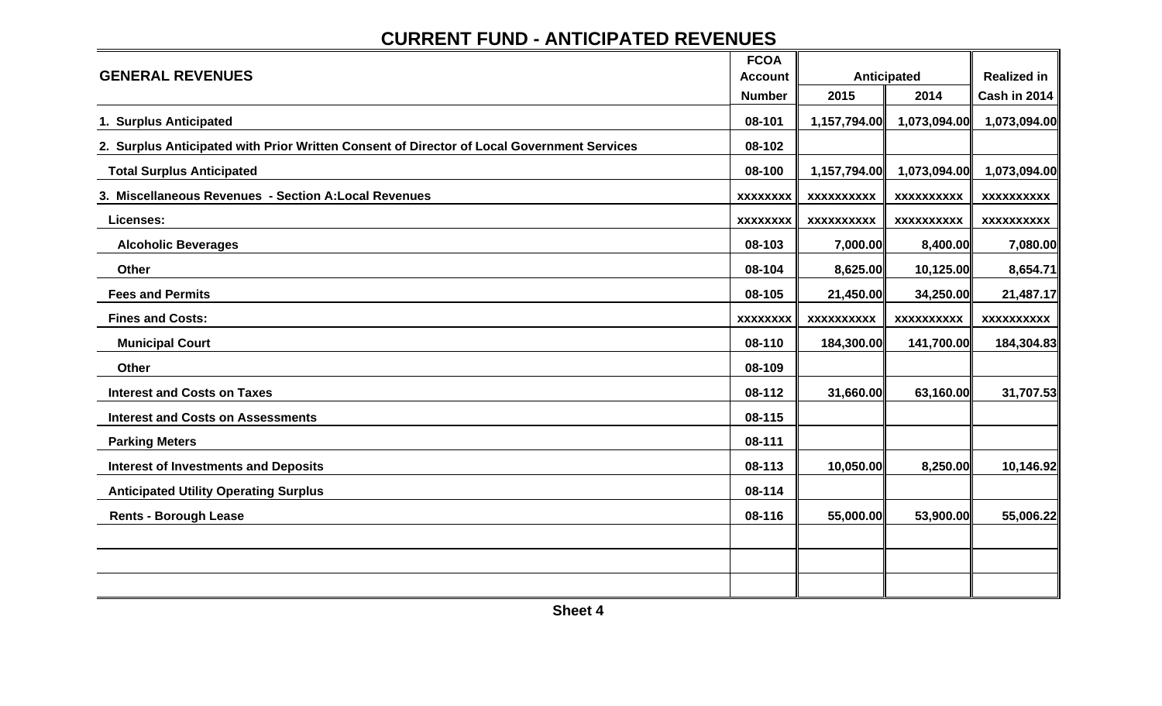# **CURRENT FUND - ANTICIPATED REVENUES**

|                                                                                            | <b>FCOA</b>     |                   |                   |                    |
|--------------------------------------------------------------------------------------------|-----------------|-------------------|-------------------|--------------------|
| <b>GENERAL REVENUES</b>                                                                    | <b>Account</b>  |                   | Anticipated       | <b>Realized in</b> |
|                                                                                            | <b>Number</b>   | 2015              | 2014              | Cash in 2014       |
| 1. Surplus Anticipated                                                                     | 08-101          | 1,157,794.00      | 1,073,094.00      | 1,073,094.00       |
| 2. Surplus Anticipated with Prior Written Consent of Director of Local Government Services | 08-102          |                   |                   |                    |
| <b>Total Surplus Anticipated</b>                                                           | 08-100          | 1,157,794.00      | 1,073,094.00      | 1,073,094.00       |
| 3. Miscellaneous Revenues - Section A: Local Revenues                                      | <b>XXXXXXXX</b> | <b>XXXXXXXXXX</b> | <b>XXXXXXXXXX</b> | <b>XXXXXXXXXX</b>  |
| Licenses:                                                                                  | <b>XXXXXXXX</b> | <b>XXXXXXXXXX</b> | <b>XXXXXXXXXX</b> | <b>XXXXXXXXXX</b>  |
| <b>Alcoholic Beverages</b>                                                                 | 08-103          | 7,000.00          | 8,400.00          | 7,080.00           |
| Other                                                                                      | 08-104          | 8,625.00          | 10,125.00         | 8,654.71           |
| <b>Fees and Permits</b>                                                                    | 08-105          | 21,450.00         | 34,250.00         | 21,487.17          |
| <b>Fines and Costs:</b>                                                                    | <b>XXXXXXXX</b> | <b>XXXXXXXXXX</b> | <b>XXXXXXXXXX</b> | <b>XXXXXXXXXX</b>  |
| <b>Municipal Court</b>                                                                     | 08-110          | 184,300.00        | 141,700.00        | 184,304.83         |
| Other                                                                                      | 08-109          |                   |                   |                    |
| <b>Interest and Costs on Taxes</b>                                                         | 08-112          | 31,660.00         | 63,160.00         | 31,707.53          |
| <b>Interest and Costs on Assessments</b>                                                   | 08-115          |                   |                   |                    |
| <b>Parking Meters</b>                                                                      | 08-111          |                   |                   |                    |
| <b>Interest of Investments and Deposits</b>                                                | 08-113          | 10,050.00         | 8,250.00          | 10,146.92          |
| <b>Anticipated Utility Operating Surplus</b>                                               | 08-114          |                   |                   |                    |
| <b>Rents - Borough Lease</b>                                                               | 08-116          | 55,000.00         | 53,900.00         | 55,006.22          |
|                                                                                            |                 |                   |                   |                    |
|                                                                                            |                 |                   |                   |                    |
|                                                                                            |                 |                   |                   |                    |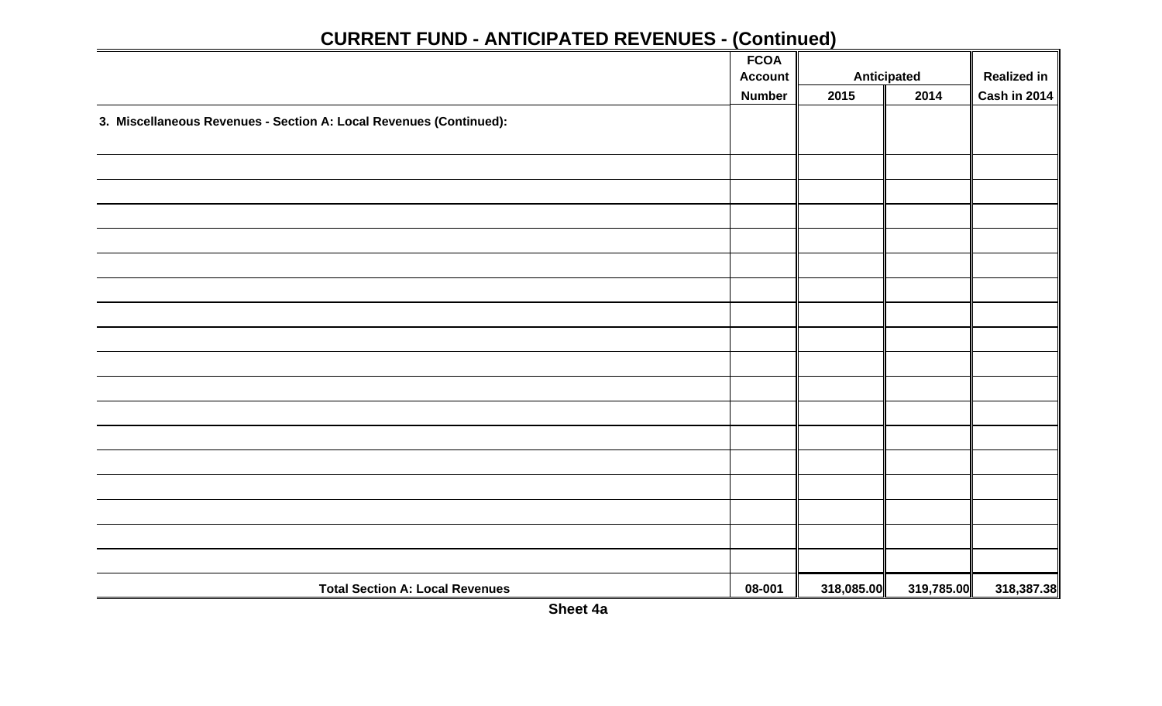|                                                                    | <b>FCOA</b>    |            |                    |                     |
|--------------------------------------------------------------------|----------------|------------|--------------------|---------------------|
|                                                                    | <b>Account</b> |            | <b>Anticipated</b> | <b>Realized in</b>  |
|                                                                    | <b>Number</b>  | 2015       | 2014               | <b>Cash in 2014</b> |
| 3. Miscellaneous Revenues - Section A: Local Revenues (Continued): |                |            |                    |                     |
|                                                                    |                |            |                    |                     |
|                                                                    |                |            |                    |                     |
|                                                                    |                |            |                    |                     |
|                                                                    |                |            |                    |                     |
|                                                                    |                |            |                    |                     |
|                                                                    |                |            |                    |                     |
|                                                                    |                |            |                    |                     |
|                                                                    |                |            |                    |                     |
|                                                                    |                |            |                    |                     |
|                                                                    |                |            |                    |                     |
|                                                                    |                |            |                    |                     |
|                                                                    |                |            |                    |                     |
|                                                                    |                |            |                    |                     |
|                                                                    |                |            |                    |                     |
|                                                                    |                |            |                    |                     |
|                                                                    |                |            |                    |                     |
|                                                                    |                |            |                    |                     |
|                                                                    |                |            |                    |                     |
|                                                                    |                |            |                    |                     |
| <b>Total Section A: Local Revenues</b>                             | 08-001         | 318,085.00 | 319,785.00         | 318,387.38          |

**Sheet 4a**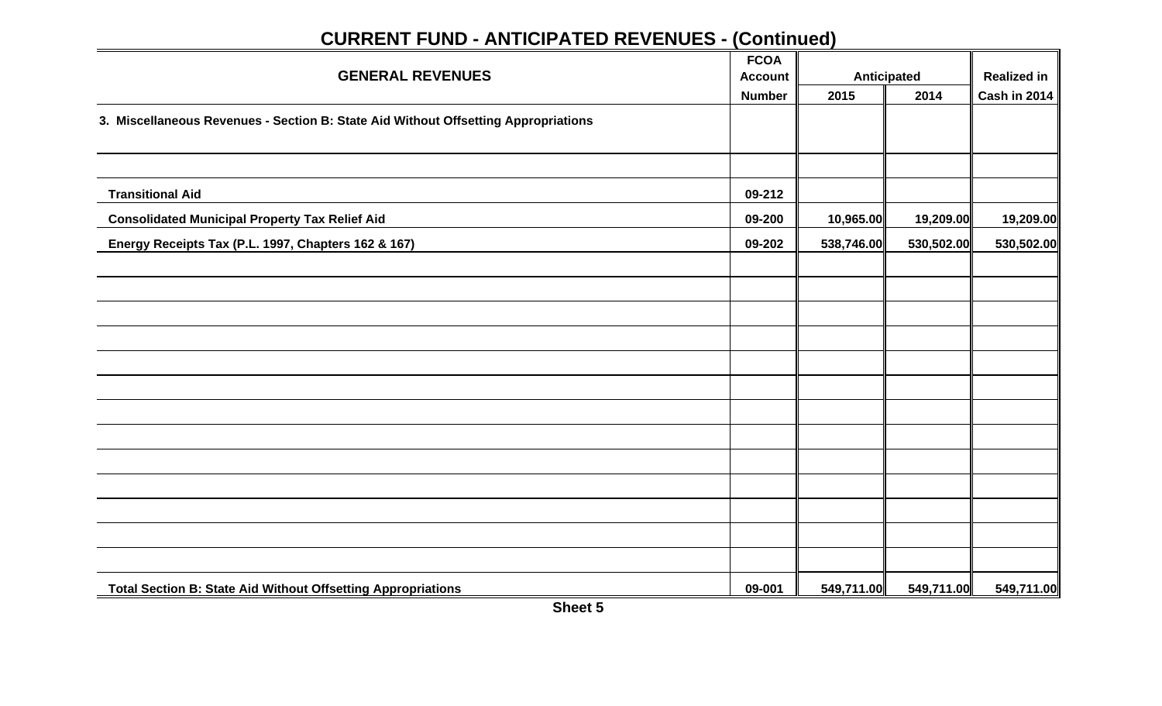|                                                                                    | <b>FCOA</b>    |            |                    |                     |
|------------------------------------------------------------------------------------|----------------|------------|--------------------|---------------------|
| <b>GENERAL REVENUES</b>                                                            | <b>Account</b> |            | <b>Anticipated</b> | <b>Realized in</b>  |
|                                                                                    | <b>Number</b>  | 2015       | 2014               | <b>Cash in 2014</b> |
| 3. Miscellaneous Revenues - Section B: State Aid Without Offsetting Appropriations |                |            |                    |                     |
|                                                                                    |                |            |                    |                     |
|                                                                                    |                |            |                    |                     |
| <b>Transitional Aid</b>                                                            | 09-212         |            |                    |                     |
| <b>Consolidated Municipal Property Tax Relief Aid</b>                              | 09-200         | 10,965.00  | 19,209.00          | 19,209.00           |
| Energy Receipts Tax (P.L. 1997, Chapters 162 & 167)                                | 09-202         | 538,746.00 | 530,502.00         | 530,502.00          |
|                                                                                    |                |            |                    |                     |
|                                                                                    |                |            |                    |                     |
|                                                                                    |                |            |                    |                     |
|                                                                                    |                |            |                    |                     |
|                                                                                    |                |            |                    |                     |
|                                                                                    |                |            |                    |                     |
|                                                                                    |                |            |                    |                     |
|                                                                                    |                |            |                    |                     |
|                                                                                    |                |            |                    |                     |
|                                                                                    |                |            |                    |                     |
|                                                                                    |                |            |                    |                     |
|                                                                                    |                |            |                    |                     |
|                                                                                    |                |            |                    |                     |
| <b>Total Section B: State Aid Without Offsetting Appropriations</b>                | 09-001         | 549,711.00 | 549,711.00         | 549,711.00          |

**Sheet 5**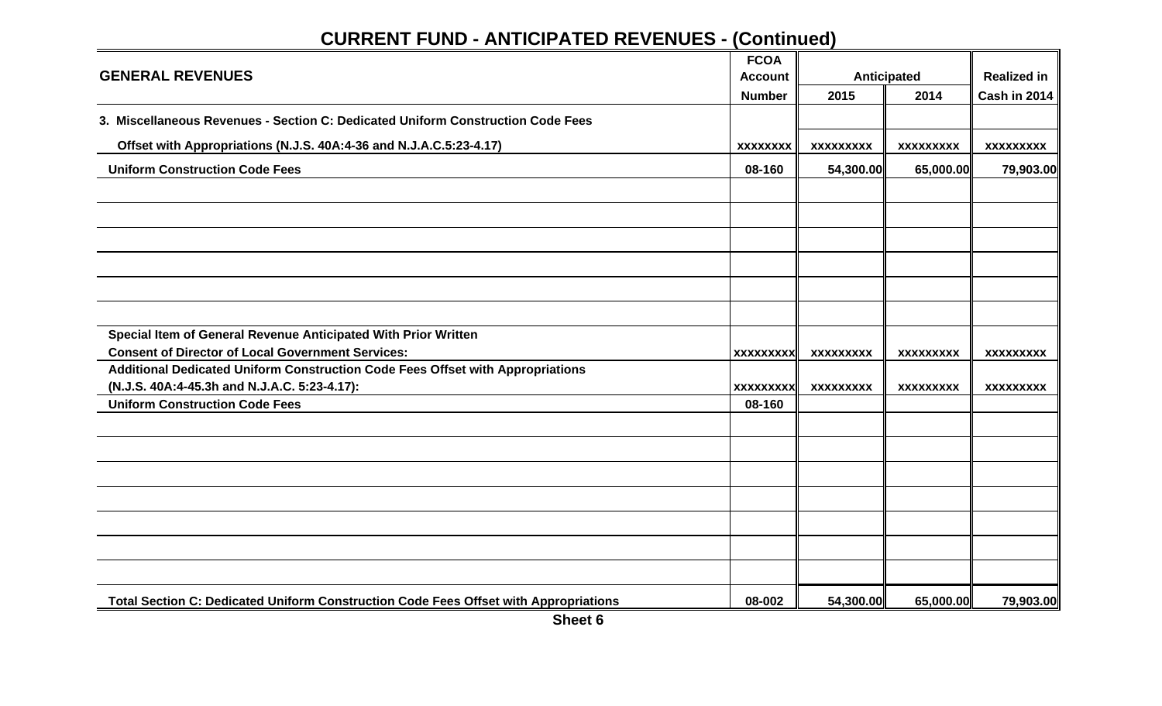|                                                                                      | <b>FCOA</b>      |                  |                    |                    |
|--------------------------------------------------------------------------------------|------------------|------------------|--------------------|--------------------|
| <b>GENERAL REVENUES</b>                                                              | <b>Account</b>   |                  | <b>Anticipated</b> | <b>Realized in</b> |
|                                                                                      | <b>Number</b>    | 2015             | 2014               | Cash in 2014       |
| 3. Miscellaneous Revenues - Section C: Dedicated Uniform Construction Code Fees      |                  |                  |                    |                    |
| Offset with Appropriations (N.J.S. 40A:4-36 and N.J.A.C.5:23-4.17)                   | <b>XXXXXXXX</b>  | <b>XXXXXXXXX</b> | <b>XXXXXXXXX</b>   | <b>XXXXXXXXX</b>   |
| <b>Uniform Construction Code Fees</b>                                                | 08-160           | 54,300.00        | 65,000.00          | 79,903.00          |
|                                                                                      |                  |                  |                    |                    |
|                                                                                      |                  |                  |                    |                    |
|                                                                                      |                  |                  |                    |                    |
|                                                                                      |                  |                  |                    |                    |
|                                                                                      |                  |                  |                    |                    |
|                                                                                      |                  |                  |                    |                    |
| Special Item of General Revenue Anticipated With Prior Written                       |                  |                  |                    |                    |
| <b>Consent of Director of Local Government Services:</b>                             | <b>XXXXXXXXX</b> | <b>XXXXXXXXX</b> | <b>XXXXXXXXX</b>   | <b>XXXXXXXXX</b>   |
| Additional Dedicated Uniform Construction Code Fees Offset with Appropriations       |                  |                  |                    |                    |
| (N.J.S. 40A:4-45.3h and N.J.A.C. 5:23-4.17):                                         | <b>XXXXXXXXX</b> | <b>XXXXXXXXX</b> | <b>XXXXXXXXX</b>   | <b>XXXXXXXXX</b>   |
| <b>Uniform Construction Code Fees</b>                                                | 08-160           |                  |                    |                    |
|                                                                                      |                  |                  |                    |                    |
|                                                                                      |                  |                  |                    |                    |
|                                                                                      |                  |                  |                    |                    |
|                                                                                      |                  |                  |                    |                    |
|                                                                                      |                  |                  |                    |                    |
|                                                                                      |                  |                  |                    |                    |
|                                                                                      |                  |                  |                    |                    |
| Total Section C: Dedicated Uniform Construction Code Fees Offset with Appropriations | 08-002           | 54,300.00        | 65,000.00          | 79,903.00          |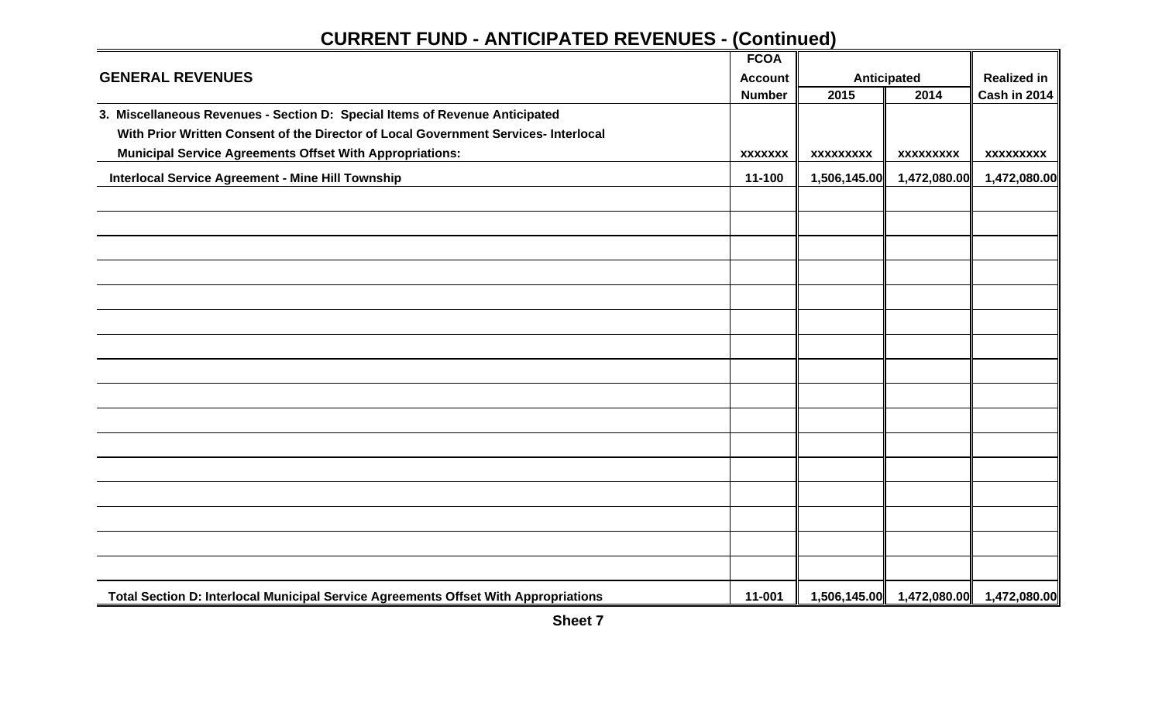|                                                                                     | <b>FCOA</b>    |                  |                           |                    |
|-------------------------------------------------------------------------------------|----------------|------------------|---------------------------|--------------------|
| <b>GENERAL REVENUES</b>                                                             | <b>Account</b> |                  | <b>Anticipated</b>        | <b>Realized in</b> |
|                                                                                     | <b>Number</b>  | 2015             | 2014                      | Cash in 2014       |
| 3. Miscellaneous Revenues - Section D: Special Items of Revenue Anticipated         |                |                  |                           |                    |
| With Prior Written Consent of the Director of Local Government Services- Interlocal |                |                  |                           |                    |
| <b>Municipal Service Agreements Offset With Appropriations:</b>                     | <b>XXXXXXX</b> | <b>XXXXXXXXX</b> | <b>XXXXXXXXX</b>          | <b>XXXXXXXXX</b>   |
| <b>Interlocal Service Agreement - Mine Hill Township</b>                            | 11-100         | 1,506,145.00     | 1,472,080.00              | 1,472,080.00       |
|                                                                                     |                |                  |                           |                    |
|                                                                                     |                |                  |                           |                    |
|                                                                                     |                |                  |                           |                    |
|                                                                                     |                |                  |                           |                    |
|                                                                                     |                |                  |                           |                    |
|                                                                                     |                |                  |                           |                    |
|                                                                                     |                |                  |                           |                    |
|                                                                                     |                |                  |                           |                    |
|                                                                                     |                |                  |                           |                    |
|                                                                                     |                |                  |                           |                    |
|                                                                                     |                |                  |                           |                    |
|                                                                                     |                |                  |                           |                    |
|                                                                                     |                |                  |                           |                    |
|                                                                                     |                |                  |                           |                    |
|                                                                                     |                |                  |                           |                    |
|                                                                                     |                |                  |                           |                    |
| Total Section D: Interlocal Municipal Service Agreements Offset With Appropriations | 11-001         |                  | 1,506,145.00 1,472,080.00 | 1,472,080.00       |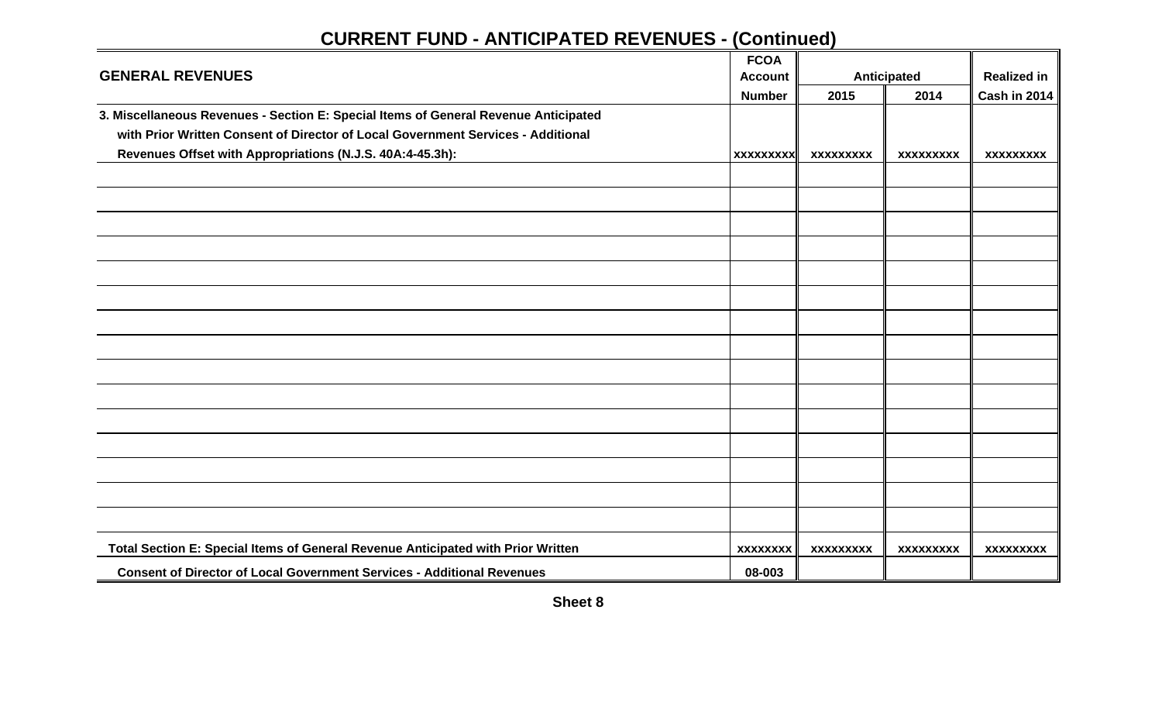|                                                                                     | <b>FCOA</b>      |                  |                    |                    |
|-------------------------------------------------------------------------------------|------------------|------------------|--------------------|--------------------|
| <b>GENERAL REVENUES</b>                                                             | <b>Account</b>   |                  | <b>Anticipated</b> | <b>Realized in</b> |
|                                                                                     | <b>Number</b>    | 2015             | 2014               | Cash in 2014       |
| 3. Miscellaneous Revenues - Section E: Special Items of General Revenue Anticipated |                  |                  |                    |                    |
| with Prior Written Consent of Director of Local Government Services - Additional    |                  |                  |                    |                    |
| Revenues Offset with Appropriations (N.J.S. 40A:4-45.3h):                           | <b>XXXXXXXXX</b> | <b>XXXXXXXXX</b> | <b>XXXXXXXXX</b>   | <b>XXXXXXXXX</b>   |
|                                                                                     |                  |                  |                    |                    |
|                                                                                     |                  |                  |                    |                    |
|                                                                                     |                  |                  |                    |                    |
|                                                                                     |                  |                  |                    |                    |
|                                                                                     |                  |                  |                    |                    |
|                                                                                     |                  |                  |                    |                    |
|                                                                                     |                  |                  |                    |                    |
|                                                                                     |                  |                  |                    |                    |
|                                                                                     |                  |                  |                    |                    |
|                                                                                     |                  |                  |                    |                    |
|                                                                                     |                  |                  |                    |                    |
|                                                                                     |                  |                  |                    |                    |
|                                                                                     |                  |                  |                    |                    |
|                                                                                     |                  |                  |                    |                    |
|                                                                                     |                  |                  |                    |                    |
| Total Section E: Special Items of General Revenue Anticipated with Prior Written    | <b>XXXXXXXX</b>  | <b>XXXXXXXXX</b> | <b>XXXXXXXXX</b>   | <b>XXXXXXXXX</b>   |
| <b>Consent of Director of Local Government Services - Additional Revenues</b>       | 08-003           |                  |                    |                    |

**Sheet 8**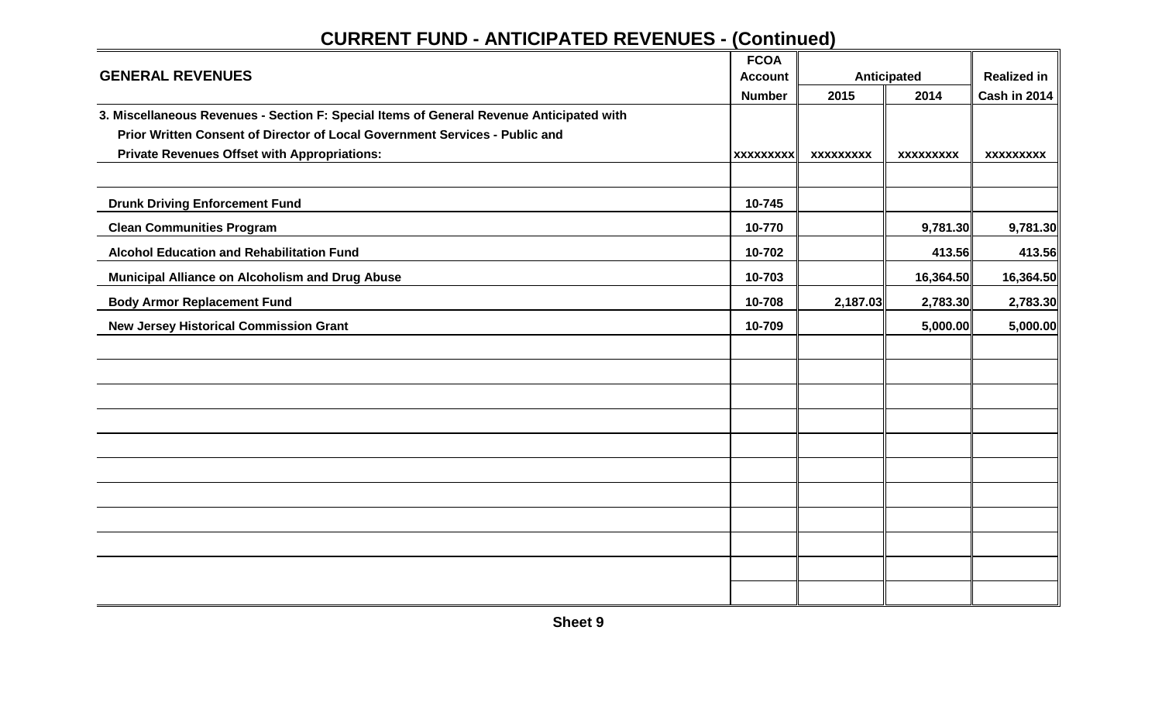|                                                                                          | <b>FCOA</b>      |                  |                    |                    |
|------------------------------------------------------------------------------------------|------------------|------------------|--------------------|--------------------|
| <b>GENERAL REVENUES</b>                                                                  | <b>Account</b>   |                  | <b>Anticipated</b> | <b>Realized in</b> |
|                                                                                          | <b>Number</b>    | 2015             | 2014               | Cash in 2014       |
| 3. Miscellaneous Revenues - Section F: Special Items of General Revenue Anticipated with |                  |                  |                    |                    |
| Prior Written Consent of Director of Local Government Services - Public and              |                  |                  |                    |                    |
| <b>Private Revenues Offset with Appropriations:</b>                                      | <b>XXXXXXXXX</b> | <b>XXXXXXXXX</b> | <b>XXXXXXXXX</b>   | <b>XXXXXXXXX</b>   |
|                                                                                          |                  |                  |                    |                    |
| <b>Drunk Driving Enforcement Fund</b>                                                    | 10-745           |                  |                    |                    |
| <b>Clean Communities Program</b>                                                         | 10-770           |                  | 9,781.30           | 9,781.30           |
| <b>Alcohol Education and Rehabilitation Fund</b>                                         | 10-702           |                  | 413.56             | 413.56             |
| Municipal Alliance on Alcoholism and Drug Abuse                                          | 10-703           |                  | 16,364.50          | 16,364.50          |
| <b>Body Armor Replacement Fund</b>                                                       | 10-708           | 2,187.03         | 2,783.30           | 2,783.30           |
| <b>New Jersey Historical Commission Grant</b>                                            | 10-709           |                  | 5,000.00           | 5,000.00           |
|                                                                                          |                  |                  |                    |                    |
|                                                                                          |                  |                  |                    |                    |
|                                                                                          |                  |                  |                    |                    |
|                                                                                          |                  |                  |                    |                    |
|                                                                                          |                  |                  |                    |                    |
|                                                                                          |                  |                  |                    |                    |
|                                                                                          |                  |                  |                    |                    |
|                                                                                          |                  |                  |                    |                    |
|                                                                                          |                  |                  |                    |                    |
|                                                                                          |                  |                  |                    |                    |
|                                                                                          |                  |                  |                    |                    |

**Sheet 9**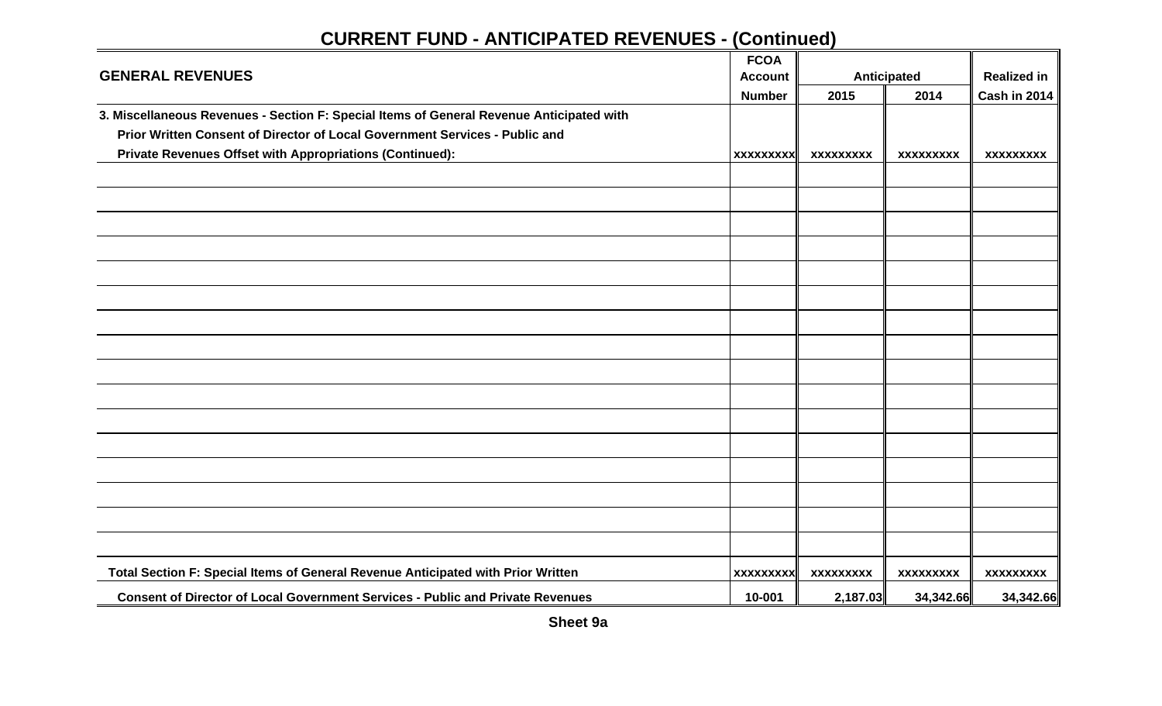|                                                                                          | <b>FCOA</b>      |                  |                    |                    |
|------------------------------------------------------------------------------------------|------------------|------------------|--------------------|--------------------|
| <b>GENERAL REVENUES</b>                                                                  | <b>Account</b>   |                  | <b>Anticipated</b> | <b>Realized in</b> |
|                                                                                          | <b>Number</b>    | 2015             | 2014               | Cash in 2014       |
| 3. Miscellaneous Revenues - Section F: Special Items of General Revenue Anticipated with |                  |                  |                    |                    |
| Prior Written Consent of Director of Local Government Services - Public and              |                  |                  |                    |                    |
| Private Revenues Offset with Appropriations (Continued):                                 | <b>XXXXXXXXX</b> | <b>XXXXXXXXX</b> | XXXXXXXXX          | <b>XXXXXXXXX</b>   |
|                                                                                          |                  |                  |                    |                    |
|                                                                                          |                  |                  |                    |                    |
|                                                                                          |                  |                  |                    |                    |
|                                                                                          |                  |                  |                    |                    |
|                                                                                          |                  |                  |                    |                    |
|                                                                                          |                  |                  |                    |                    |
|                                                                                          |                  |                  |                    |                    |
|                                                                                          |                  |                  |                    |                    |
|                                                                                          |                  |                  |                    |                    |
|                                                                                          |                  |                  |                    |                    |
|                                                                                          |                  |                  |                    |                    |
|                                                                                          |                  |                  |                    |                    |
|                                                                                          |                  |                  |                    |                    |
|                                                                                          |                  |                  |                    |                    |
|                                                                                          |                  |                  |                    |                    |
|                                                                                          |                  |                  |                    |                    |
|                                                                                          |                  |                  |                    |                    |
| Total Section F: Special Items of General Revenue Anticipated with Prior Written         | <b>XXXXXXXXX</b> | <b>XXXXXXXXX</b> | <b>XXXXXXXXX</b>   | <b>XXXXXXXXX</b>   |
| <b>Consent of Director of Local Government Services - Public and Private Revenues</b>    | 10-001           |                  |                    |                    |
|                                                                                          |                  | 2,187.03         | 34,342.66          | 34,342.66          |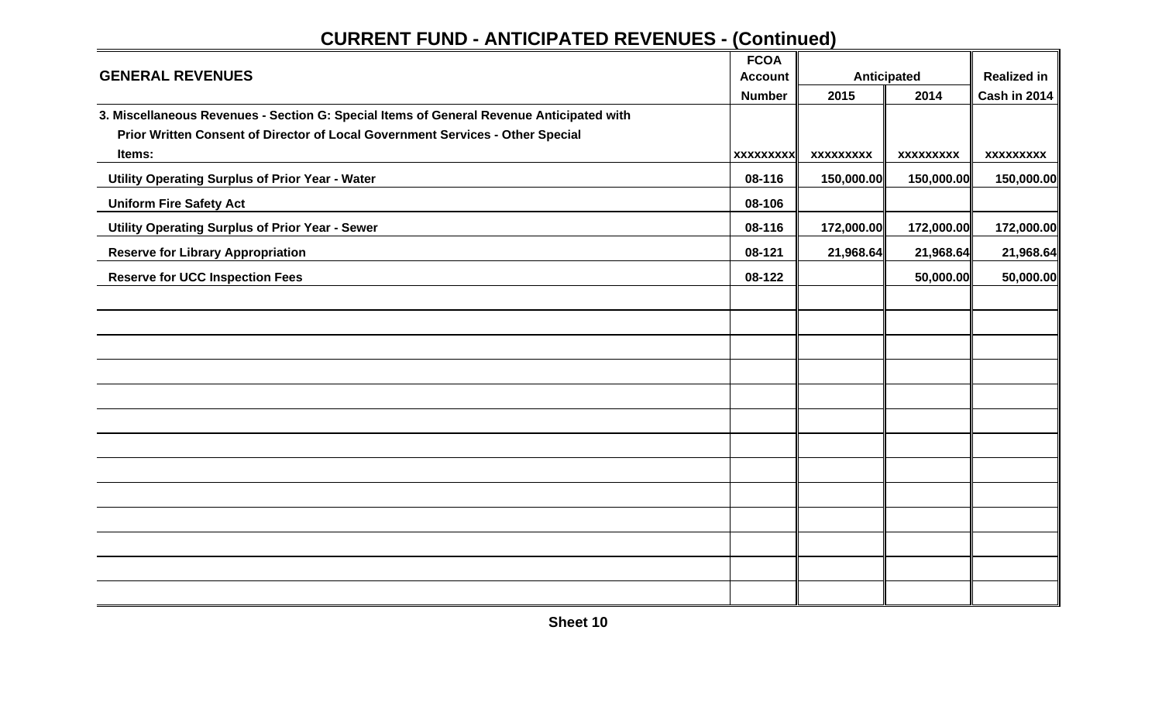|                                                                                          | <b>FCOA</b>      |                  |                  |                     |
|------------------------------------------------------------------------------------------|------------------|------------------|------------------|---------------------|
| <b>GENERAL REVENUES</b>                                                                  | <b>Account</b>   |                  | Anticipated      | <b>Realized in</b>  |
|                                                                                          | <b>Number</b>    | 2015             | 2014             | <b>Cash in 2014</b> |
| 3. Miscellaneous Revenues - Section G: Special Items of General Revenue Anticipated with |                  |                  |                  |                     |
| Prior Written Consent of Director of Local Government Services - Other Special           |                  |                  |                  |                     |
| Items:                                                                                   | <b>XXXXXXXXX</b> | <b>XXXXXXXXX</b> | <b>XXXXXXXXX</b> | <b>XXXXXXXXX</b>    |
| Utility Operating Surplus of Prior Year - Water                                          | 08-116           | 150,000.00       | 150,000.00       | 150,000.00          |
| <b>Uniform Fire Safety Act</b>                                                           | 08-106           |                  |                  |                     |
| Utility Operating Surplus of Prior Year - Sewer                                          | 08-116           | 172,000.00       | 172,000.00       | 172,000.00          |
| <b>Reserve for Library Appropriation</b>                                                 | 08-121           | 21,968.64        | 21,968.64        | 21,968.64           |
| <b>Reserve for UCC Inspection Fees</b>                                                   | 08-122           |                  | 50,000.00        | 50,000.00           |
|                                                                                          |                  |                  |                  |                     |
|                                                                                          |                  |                  |                  |                     |
|                                                                                          |                  |                  |                  |                     |
|                                                                                          |                  |                  |                  |                     |
|                                                                                          |                  |                  |                  |                     |
|                                                                                          |                  |                  |                  |                     |
|                                                                                          |                  |                  |                  |                     |
|                                                                                          |                  |                  |                  |                     |
|                                                                                          |                  |                  |                  |                     |
|                                                                                          |                  |                  |                  |                     |
|                                                                                          |                  |                  |                  |                     |
|                                                                                          |                  |                  |                  |                     |
|                                                                                          |                  |                  |                  |                     |

**Sheet 10**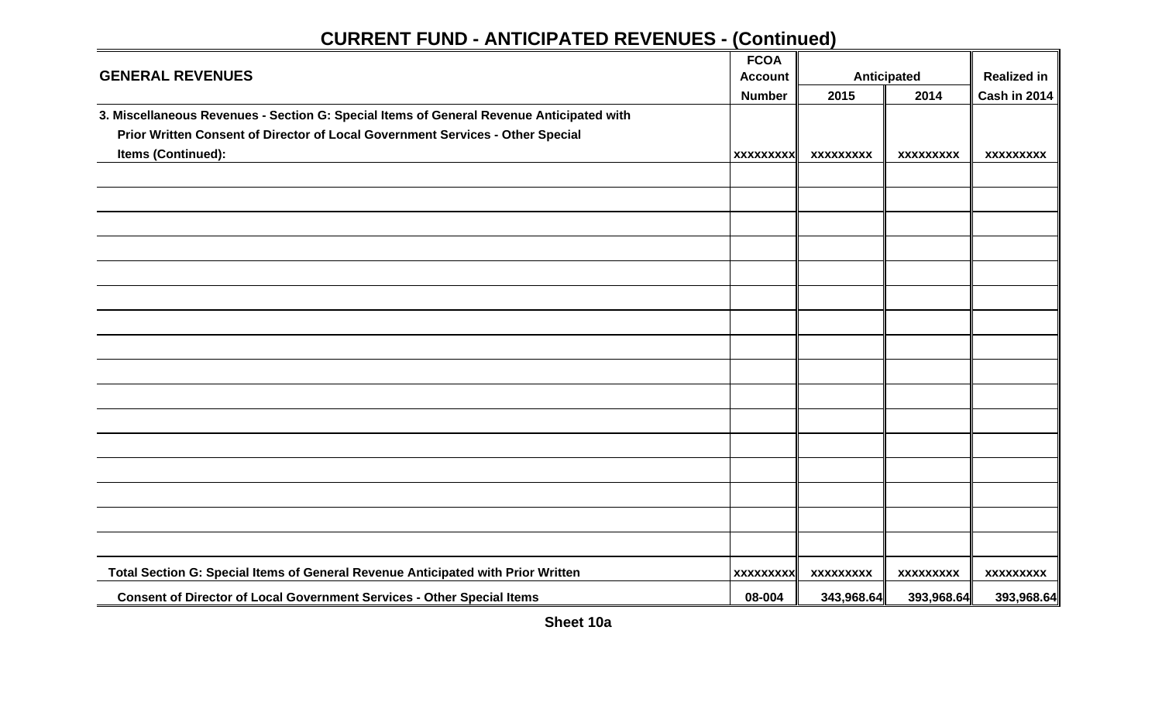|                                                                                          | <b>FCOA</b>      |                  |                    |                    |
|------------------------------------------------------------------------------------------|------------------|------------------|--------------------|--------------------|
| <b>GENERAL REVENUES</b>                                                                  | <b>Account</b>   |                  | <b>Anticipated</b> | <b>Realized in</b> |
|                                                                                          | <b>Number</b>    | 2015             | 2014               | Cash in 2014       |
| 3. Miscellaneous Revenues - Section G: Special Items of General Revenue Anticipated with |                  |                  |                    |                    |
| Prior Written Consent of Director of Local Government Services - Other Special           |                  |                  |                    |                    |
| <b>Items (Continued):</b>                                                                | <b>XXXXXXXXX</b> | <b>XXXXXXXXX</b> | XXXXXXXXX          | <b>XXXXXXXXX</b>   |
|                                                                                          |                  |                  |                    |                    |
|                                                                                          |                  |                  |                    |                    |
|                                                                                          |                  |                  |                    |                    |
|                                                                                          |                  |                  |                    |                    |
|                                                                                          |                  |                  |                    |                    |
|                                                                                          |                  |                  |                    |                    |
|                                                                                          |                  |                  |                    |                    |
|                                                                                          |                  |                  |                    |                    |
|                                                                                          |                  |                  |                    |                    |
|                                                                                          |                  |                  |                    |                    |
|                                                                                          |                  |                  |                    |                    |
|                                                                                          |                  |                  |                    |                    |
|                                                                                          |                  |                  |                    |                    |
|                                                                                          |                  |                  |                    |                    |
|                                                                                          |                  |                  |                    |                    |
|                                                                                          |                  |                  |                    |                    |
|                                                                                          |                  |                  |                    |                    |
| Total Section G: Special Items of General Revenue Anticipated with Prior Written         | <b>XXXXXXXXX</b> | <b>XXXXXXXXX</b> | <b>XXXXXXXXX</b>   | <b>XXXXXXXXX</b>   |
| Consent of Director of Local Government Services - Other Special Items                   | 08-004           | 343,968.64       | 393,968.64         | 393,968.64         |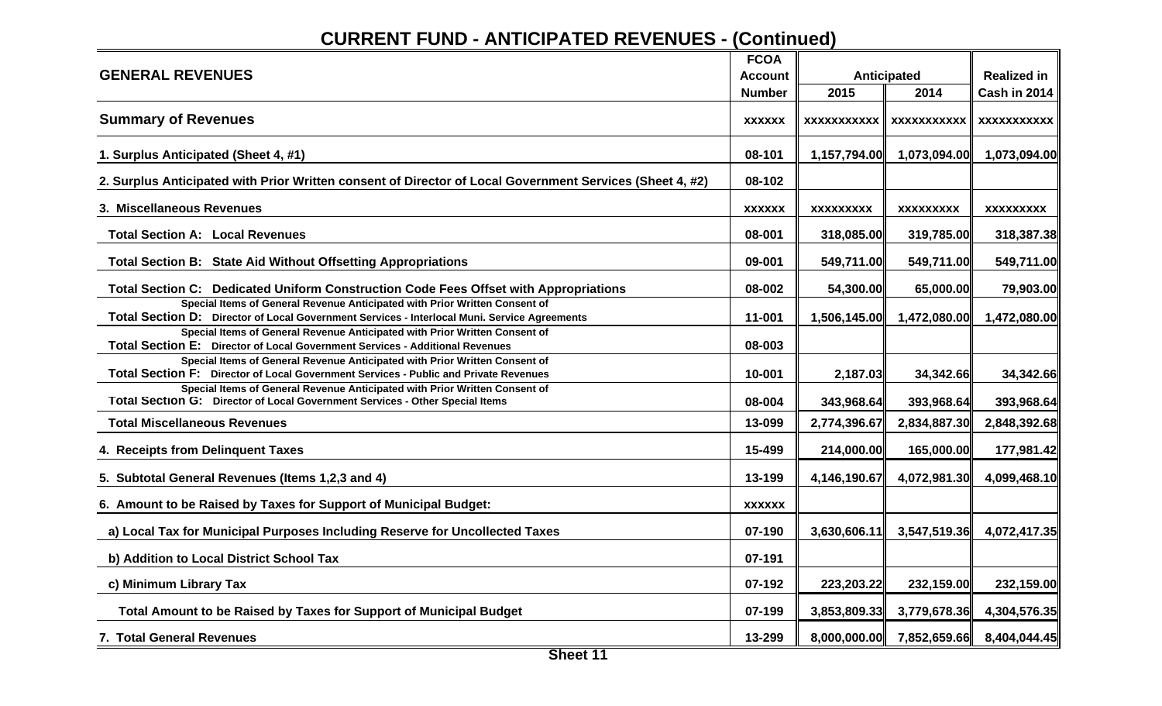|                                                                                                                                                                            | <b>FCOA</b>   |                    |                    |                     |
|----------------------------------------------------------------------------------------------------------------------------------------------------------------------------|---------------|--------------------|--------------------|---------------------|
| <b>GENERAL REVENUES</b>                                                                                                                                                    | Account       |                    | <b>Anticipated</b> | <b>Realized in</b>  |
|                                                                                                                                                                            | <b>Number</b> | 2015               | 2014               | <b>Cash in 2014</b> |
| <b>Summary of Revenues</b>                                                                                                                                                 | <b>XXXXXX</b> | <b>XXXXXXXXXXX</b> | <b>XXXXXXXXXXX</b> | <b>XXXXXXXXXXX</b>  |
| 1. Surplus Anticipated (Sheet 4, #1)                                                                                                                                       | 08-101        | 1,157,794.00       | 1,073,094.00       | 1,073,094.00        |
| 2. Surplus Anticipated with Prior Written consent of Director of Local Government Services (Sheet 4, #2)                                                                   | 08-102        |                    |                    |                     |
| 3. Miscellaneous Revenues                                                                                                                                                  | <b>XXXXXX</b> | <b>XXXXXXXXX</b>   | <b>XXXXXXXXX</b>   | <b>XXXXXXXXX</b>    |
| <b>Total Section A: Local Revenues</b>                                                                                                                                     | 08-001        | 318,085.00         | 319,785.00         | 318,387.38          |
| Total Section B: State Aid Without Offsetting Appropriations                                                                                                               | 09-001        | 549,711.00         | 549,711.00         | 549,711.00          |
| Total Section C: Dedicated Uniform Construction Code Fees Offset with Appropriations                                                                                       | 08-002        | 54,300.00          | 65,000.00          | 79,903.00           |
| Special Items of General Revenue Anticipated with Prior Written Consent of<br>Total Section D: Director of Local Government Services - Interlocal Muni. Service Agreements | 11-001        | 1,506,145.00       | 1,472,080.00       | 1,472,080.00        |
| Special Items of General Revenue Anticipated with Prior Written Consent of<br>Total Section E: Director of Local Government Services - Additional Revenues                 | 08-003        |                    |                    |                     |
| Special Items of General Revenue Anticipated with Prior Written Consent of<br>Total Section F: Director of Local Government Services - Public and Private Revenues         | 10-001        | 2,187.03           | 34,342.66          | 34,342.66           |
| Special Items of General Revenue Anticipated with Prior Written Consent of<br>Total Section G: Director of Local Government Services - Other Special Items                 | 08-004        | 343,968.64         | 393,968.64         | 393,968.64          |
| <b>Total Miscellaneous Revenues</b>                                                                                                                                        | 13-099        | 2,774,396.67       | 2,834,887.30       | 2,848,392.68        |
| 4. Receipts from Delinquent Taxes                                                                                                                                          | 15-499        | 214,000.00         | 165,000.00         | 177,981.42          |
| 5. Subtotal General Revenues (Items 1,2,3 and 4)                                                                                                                           | 13-199        | 4,146,190.67       | 4,072,981.30       | 4,099,468.10        |
| 6. Amount to be Raised by Taxes for Support of Municipal Budget:                                                                                                           | <b>XXXXXX</b> |                    |                    |                     |
| a) Local Tax for Municipal Purposes Including Reserve for Uncollected Taxes                                                                                                | 07-190        | 3,630,606.11       | 3,547,519.36       | 4,072,417.35        |
| b) Addition to Local District School Tax                                                                                                                                   | 07-191        |                    |                    |                     |
| c) Minimum Library Tax                                                                                                                                                     | 07-192        | 223,203.22         | 232,159.00         | 232,159.00          |
| Total Amount to be Raised by Taxes for Support of Municipal Budget                                                                                                         | 07-199        | 3,853,809.33       | 3,779,678.36       | 4,304,576.35        |
| 7. Total General Revenues                                                                                                                                                  | 13-299        | 8,000,000.00       | 7,852,659.66       | 8,404,044.45        |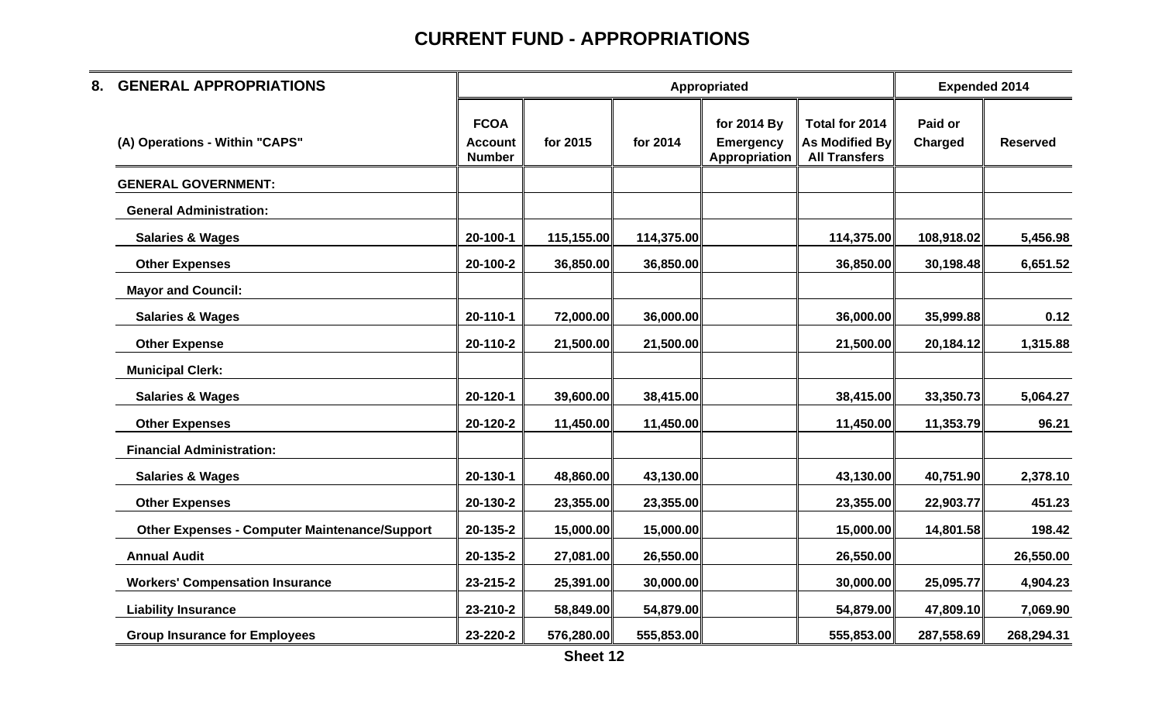| 8. | <b>GENERAL APPROPRIATIONS</b>                        |                                                |            |            | Appropriated                                     |                                                                 | <b>Expended 2014</b> |                 |
|----|------------------------------------------------------|------------------------------------------------|------------|------------|--------------------------------------------------|-----------------------------------------------------------------|----------------------|-----------------|
|    | (A) Operations - Within "CAPS"                       | <b>FCOA</b><br><b>Account</b><br><b>Number</b> | for 2015   | for 2014   | for 2014 By<br><b>Emergency</b><br>Appropriation | Total for 2014<br><b>As Modified By</b><br><b>All Transfers</b> | Paid or<br>Charged   | <b>Reserved</b> |
|    | <b>GENERAL GOVERNMENT:</b>                           |                                                |            |            |                                                  |                                                                 |                      |                 |
|    | <b>General Administration:</b>                       |                                                |            |            |                                                  |                                                                 |                      |                 |
|    | <b>Salaries &amp; Wages</b>                          | 20-100-1                                       | 115,155.00 | 114,375.00 |                                                  | 114,375.00                                                      | 108,918.02           | 5,456.98        |
|    | <b>Other Expenses</b>                                | 20-100-2                                       | 36,850.00  | 36,850.00  |                                                  | 36,850.00                                                       | 30,198.48            | 6,651.52        |
|    | <b>Mayor and Council:</b>                            |                                                |            |            |                                                  |                                                                 |                      |                 |
|    | <b>Salaries &amp; Wages</b>                          | 20-110-1                                       | 72,000.00  | 36,000.00  |                                                  | 36,000.00                                                       | 35,999.88            | 0.12            |
|    | <b>Other Expense</b>                                 | 20-110-2                                       | 21,500.00  | 21,500.00  |                                                  | 21,500.00                                                       | 20,184.12            | 1,315.88        |
|    | <b>Municipal Clerk:</b>                              |                                                |            |            |                                                  |                                                                 |                      |                 |
|    | <b>Salaries &amp; Wages</b>                          | 20-120-1                                       | 39,600.00  | 38,415.00  |                                                  | 38,415.00                                                       | 33,350.73            | 5,064.27        |
|    | <b>Other Expenses</b>                                | 20-120-2                                       | 11,450.00  | 11,450.00  |                                                  | 11,450.00                                                       | 11,353.79            | 96.21           |
|    | <b>Financial Administration:</b>                     |                                                |            |            |                                                  |                                                                 |                      |                 |
|    | <b>Salaries &amp; Wages</b>                          | 20-130-1                                       | 48,860.00  | 43,130.00  |                                                  | 43,130.00                                                       | 40,751.90            | 2,378.10        |
|    | <b>Other Expenses</b>                                | 20-130-2                                       | 23,355.00  | 23,355.00  |                                                  | 23,355.00                                                       | 22,903.77            | 451.23          |
|    | <b>Other Expenses - Computer Maintenance/Support</b> | 20-135-2                                       | 15,000.00  | 15,000.00  |                                                  | 15,000.00                                                       | 14,801.58            | 198.42          |
|    | <b>Annual Audit</b>                                  | 20-135-2                                       | 27,081.00  | 26,550.00  |                                                  | 26,550.00                                                       |                      | 26,550.00       |
|    | <b>Workers' Compensation Insurance</b>               | 23-215-2                                       | 25,391.00  | 30,000.00  |                                                  | 30,000.00                                                       | 25,095.77            | 4,904.23        |
|    | <b>Liability Insurance</b>                           | 23-210-2                                       | 58,849.00  | 54,879.00  |                                                  | 54,879.00                                                       | 47,809.10            | 7,069.90        |
|    | <b>Group Insurance for Employees</b>                 | 23-220-2                                       | 576,280.00 | 555,853.00 |                                                  | 555,853.00                                                      | 287,558.69           | 268,294.31      |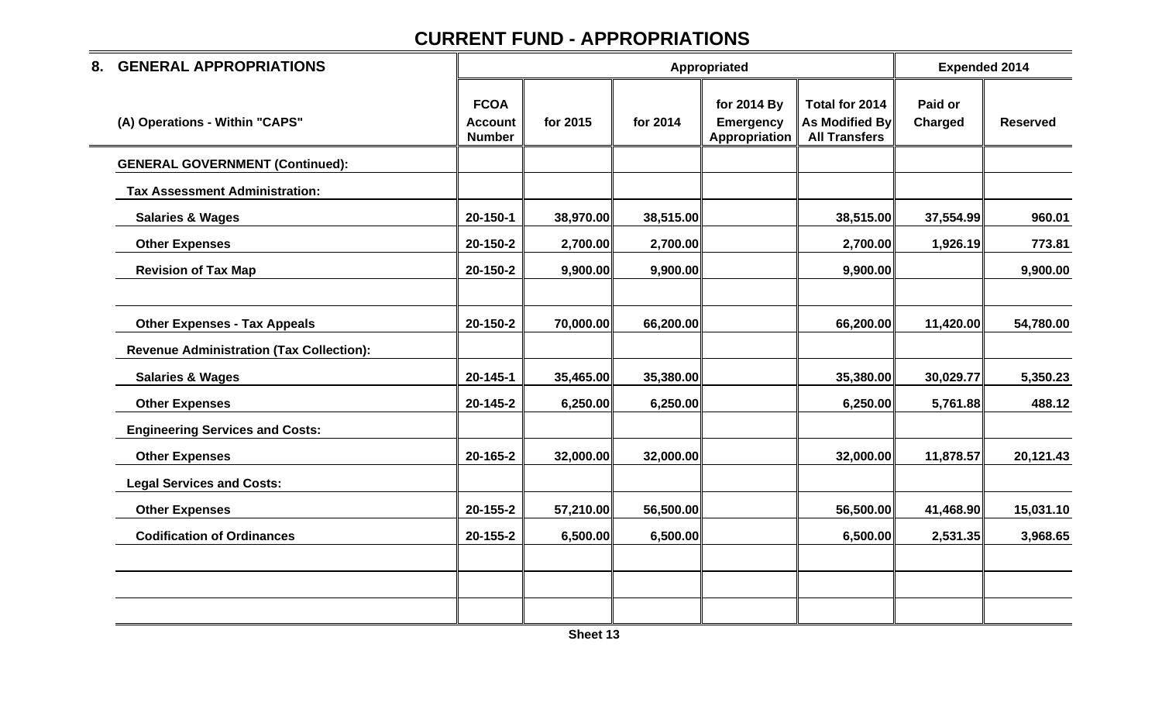| 8. | <b>GENERAL APPROPRIATIONS</b>                   |                                                |           |           | Appropriated                                     |                                                                 | <b>Expended 2014</b> |                 |
|----|-------------------------------------------------|------------------------------------------------|-----------|-----------|--------------------------------------------------|-----------------------------------------------------------------|----------------------|-----------------|
|    | (A) Operations - Within "CAPS"                  | <b>FCOA</b><br><b>Account</b><br><b>Number</b> | for 2015  | for 2014  | for 2014 By<br><b>Emergency</b><br>Appropriation | Total for 2014<br><b>As Modified By</b><br><b>All Transfers</b> | Paid or<br>Charged   | <b>Reserved</b> |
|    | <b>GENERAL GOVERNMENT (Continued):</b>          |                                                |           |           |                                                  |                                                                 |                      |                 |
|    | <b>Tax Assessment Administration:</b>           |                                                |           |           |                                                  |                                                                 |                      |                 |
|    | <b>Salaries &amp; Wages</b>                     | 20-150-1                                       | 38,970.00 | 38,515.00 |                                                  | 38,515.00                                                       | 37,554.99            | 960.01          |
|    | <b>Other Expenses</b>                           | 20-150-2                                       | 2,700.00  | 2,700.00  |                                                  | 2,700.00                                                        | 1,926.19             | 773.81          |
|    | <b>Revision of Tax Map</b>                      | 20-150-2                                       | 9,900.00  | 9,900.00  |                                                  | 9,900.00                                                        |                      | 9,900.00        |
|    |                                                 |                                                |           |           |                                                  |                                                                 |                      |                 |
|    | <b>Other Expenses - Tax Appeals</b>             | 20-150-2                                       | 70,000.00 | 66,200.00 |                                                  | 66,200.00                                                       | 11,420.00            | 54,780.00       |
|    | <b>Revenue Administration (Tax Collection):</b> |                                                |           |           |                                                  |                                                                 |                      |                 |
|    | <b>Salaries &amp; Wages</b>                     | 20-145-1                                       | 35,465.00 | 35,380.00 |                                                  | 35,380.00                                                       | 30,029.77            | 5,350.23        |
|    | <b>Other Expenses</b>                           | 20-145-2                                       | 6,250.00  | 6,250.00  |                                                  | 6,250.00                                                        | 5,761.88             | 488.12          |
|    | <b>Engineering Services and Costs:</b>          |                                                |           |           |                                                  |                                                                 |                      |                 |
|    | <b>Other Expenses</b>                           | 20-165-2                                       | 32,000.00 | 32,000.00 |                                                  | 32,000.00                                                       | 11,878.57            | 20,121.43       |
|    | <b>Legal Services and Costs:</b>                |                                                |           |           |                                                  |                                                                 |                      |                 |
|    | <b>Other Expenses</b>                           | 20-155-2                                       | 57,210.00 | 56,500.00 |                                                  | 56,500.00                                                       | 41,468.90            | 15,031.10       |
|    | <b>Codification of Ordinances</b>               | 20-155-2                                       | 6,500.00  | 6,500.00  |                                                  | 6,500.00                                                        | 2,531.35             | 3,968.65        |
|    |                                                 |                                                |           |           |                                                  |                                                                 |                      |                 |
|    |                                                 |                                                |           |           |                                                  |                                                                 |                      |                 |
|    |                                                 |                                                |           |           |                                                  |                                                                 |                      |                 |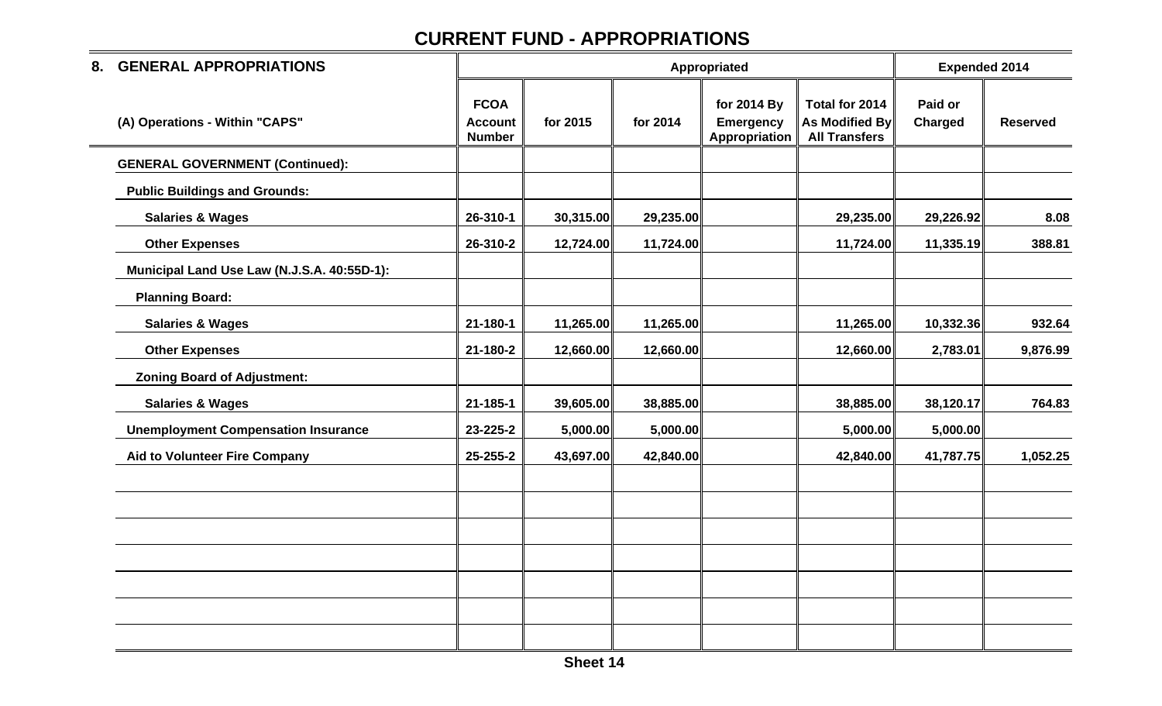| 8. | <b>GENERAL APPROPRIATIONS</b>               |                                                |           |           | Appropriated                                     |                                                          | <b>Expended 2014</b> |                 |
|----|---------------------------------------------|------------------------------------------------|-----------|-----------|--------------------------------------------------|----------------------------------------------------------|----------------------|-----------------|
|    | (A) Operations - Within "CAPS"              | <b>FCOA</b><br><b>Account</b><br><b>Number</b> | for 2015  | for 2014  | for 2014 By<br><b>Emergency</b><br>Appropriation | Total for 2014<br>As Modified By<br><b>All Transfers</b> | Paid or<br>Charged   | <b>Reserved</b> |
|    | <b>GENERAL GOVERNMENT (Continued):</b>      |                                                |           |           |                                                  |                                                          |                      |                 |
|    | <b>Public Buildings and Grounds:</b>        |                                                |           |           |                                                  |                                                          |                      |                 |
|    | <b>Salaries &amp; Wages</b>                 | 26-310-1                                       | 30,315.00 | 29,235.00 |                                                  | 29,235.00                                                | 29,226.92            | 8.08            |
|    | <b>Other Expenses</b>                       | 26-310-2                                       | 12,724.00 | 11,724.00 |                                                  | 11,724.00                                                | 11,335.19            | 388.81          |
|    | Municipal Land Use Law (N.J.S.A. 40:55D-1): |                                                |           |           |                                                  |                                                          |                      |                 |
|    | <b>Planning Board:</b>                      |                                                |           |           |                                                  |                                                          |                      |                 |
|    | <b>Salaries &amp; Wages</b>                 | 21-180-1                                       | 11,265.00 | 11,265.00 |                                                  | 11,265.00                                                | 10,332.36            | 932.64          |
|    | <b>Other Expenses</b>                       | 21-180-2                                       | 12,660.00 | 12,660.00 |                                                  | 12,660.00                                                | 2,783.01             | 9,876.99        |
|    | <b>Zoning Board of Adjustment:</b>          |                                                |           |           |                                                  |                                                          |                      |                 |
|    | <b>Salaries &amp; Wages</b>                 | $21 - 185 - 1$                                 | 39,605.00 | 38,885.00 |                                                  | 38,885.00                                                | 38,120.17            | 764.83          |
|    | <b>Unemployment Compensation Insurance</b>  | 23-225-2                                       | 5,000.00  | 5,000.00  |                                                  | 5,000.00                                                 | 5,000.00             |                 |
|    | <b>Aid to Volunteer Fire Company</b>        | 25-255-2                                       | 43,697.00 | 42,840.00 |                                                  | 42,840.00                                                | 41,787.75            | 1,052.25        |
|    |                                             |                                                |           |           |                                                  |                                                          |                      |                 |
|    |                                             |                                                |           |           |                                                  |                                                          |                      |                 |
|    |                                             |                                                |           |           |                                                  |                                                          |                      |                 |
|    |                                             |                                                |           |           |                                                  |                                                          |                      |                 |
|    |                                             |                                                |           |           |                                                  |                                                          |                      |                 |
|    |                                             |                                                |           |           |                                                  |                                                          |                      |                 |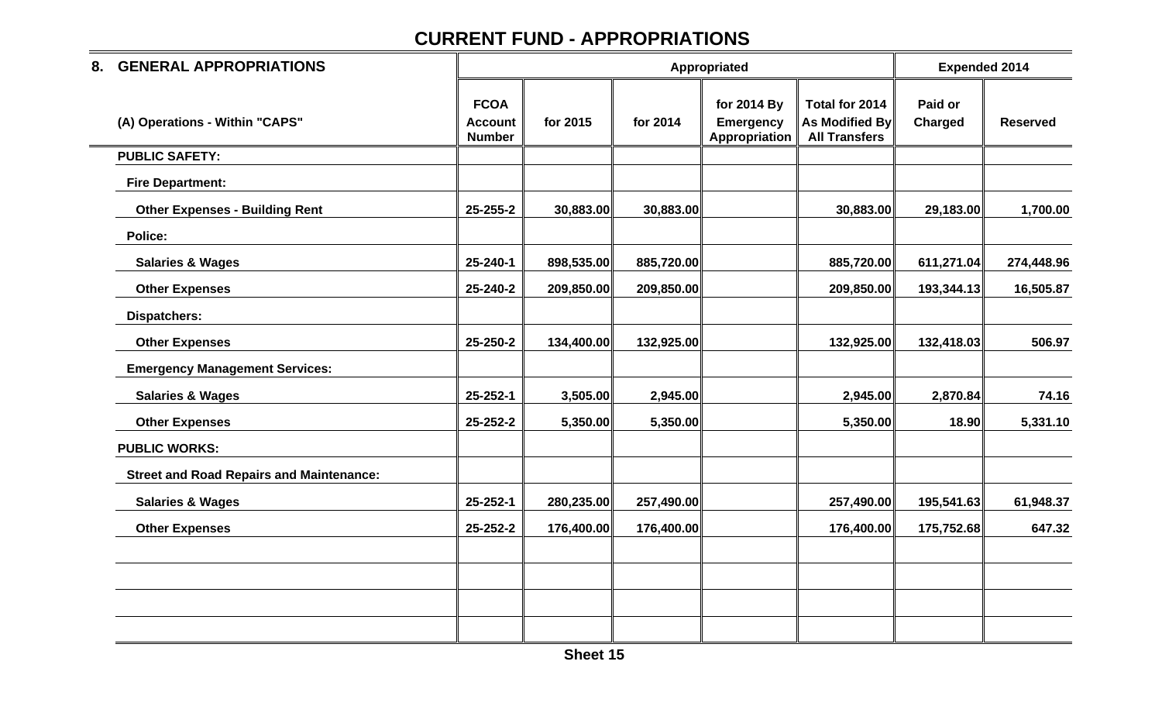| 8. | <b>GENERAL APPROPRIATIONS</b>                   |                                                |            |            | Appropriated                                     |                                                                 | <b>Expended 2014</b>      |                 |
|----|-------------------------------------------------|------------------------------------------------|------------|------------|--------------------------------------------------|-----------------------------------------------------------------|---------------------------|-----------------|
|    | (A) Operations - Within "CAPS"                  | <b>FCOA</b><br><b>Account</b><br><b>Number</b> | for 2015   | for 2014   | for 2014 By<br><b>Emergency</b><br>Appropriation | Total for 2014<br><b>As Modified By</b><br><b>All Transfers</b> | Paid or<br><b>Charged</b> | <b>Reserved</b> |
|    | <b>PUBLIC SAFETY:</b>                           |                                                |            |            |                                                  |                                                                 |                           |                 |
|    | <b>Fire Department:</b>                         |                                                |            |            |                                                  |                                                                 |                           |                 |
|    | <b>Other Expenses - Building Rent</b>           | 25-255-2                                       | 30,883.00  | 30,883.00  |                                                  | 30,883.00                                                       | 29,183.00                 | 1,700.00        |
|    | Police:                                         |                                                |            |            |                                                  |                                                                 |                           |                 |
|    | <b>Salaries &amp; Wages</b>                     | 25-240-1                                       | 898,535.00 | 885,720.00 |                                                  | 885,720.00                                                      | 611,271.04                | 274,448.96      |
|    | <b>Other Expenses</b>                           | 25-240-2                                       | 209,850.00 | 209,850.00 |                                                  | 209,850.00                                                      | 193,344.13                | 16,505.87       |
|    | <b>Dispatchers:</b>                             |                                                |            |            |                                                  |                                                                 |                           |                 |
|    | <b>Other Expenses</b>                           | 25-250-2                                       | 134,400.00 | 132,925.00 |                                                  | 132,925.00                                                      | 132,418.03                | 506.97          |
|    | <b>Emergency Management Services:</b>           |                                                |            |            |                                                  |                                                                 |                           |                 |
|    | <b>Salaries &amp; Wages</b>                     | 25-252-1                                       | 3,505.00   | 2,945.00   |                                                  | 2,945.00                                                        | 2,870.84                  | 74.16           |
|    | <b>Other Expenses</b>                           | 25-252-2                                       | 5,350.00   | 5,350.00   |                                                  | 5,350.00                                                        | 18.90                     | 5,331.10        |
|    | <b>PUBLIC WORKS:</b>                            |                                                |            |            |                                                  |                                                                 |                           |                 |
|    | <b>Street and Road Repairs and Maintenance:</b> |                                                |            |            |                                                  |                                                                 |                           |                 |
|    | <b>Salaries &amp; Wages</b>                     | 25-252-1                                       | 280,235.00 | 257,490.00 |                                                  | 257,490.00                                                      | 195,541.63                | 61,948.37       |
|    | <b>Other Expenses</b>                           | 25-252-2                                       | 176,400.00 | 176,400.00 |                                                  | 176,400.00                                                      | 175,752.68                | 647.32          |
|    |                                                 |                                                |            |            |                                                  |                                                                 |                           |                 |
|    |                                                 |                                                |            |            |                                                  |                                                                 |                           |                 |
|    |                                                 |                                                |            |            |                                                  |                                                                 |                           |                 |
|    |                                                 |                                                |            |            |                                                  |                                                                 |                           |                 |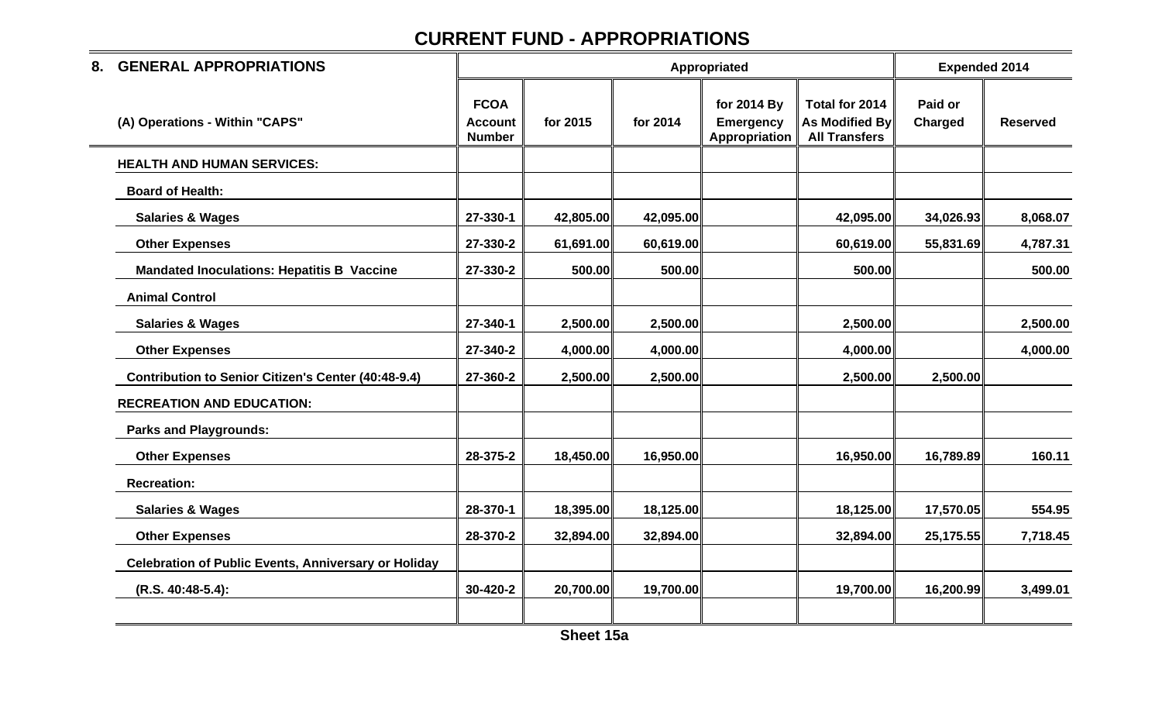| 8. | <b>GENERAL APPROPRIATIONS</b>                               |                                                |           |           | Appropriated                                     |                                                                 | <b>Expended 2014</b> |                 |
|----|-------------------------------------------------------------|------------------------------------------------|-----------|-----------|--------------------------------------------------|-----------------------------------------------------------------|----------------------|-----------------|
|    | (A) Operations - Within "CAPS"                              | <b>FCOA</b><br><b>Account</b><br><b>Number</b> | for 2015  | for 2014  | for 2014 By<br><b>Emergency</b><br>Appropriation | Total for 2014<br><b>As Modified By</b><br><b>All Transfers</b> | Paid or<br>Charged   | <b>Reserved</b> |
|    | <b>HEALTH AND HUMAN SERVICES:</b>                           |                                                |           |           |                                                  |                                                                 |                      |                 |
|    | <b>Board of Health:</b>                                     |                                                |           |           |                                                  |                                                                 |                      |                 |
|    | <b>Salaries &amp; Wages</b>                                 | 27-330-1                                       | 42,805.00 | 42,095.00 |                                                  | 42,095.00                                                       | 34,026.93            | 8,068.07        |
|    | <b>Other Expenses</b>                                       | 27-330-2                                       | 61,691.00 | 60,619.00 |                                                  | 60,619.00                                                       | 55,831.69            | 4,787.31        |
|    | <b>Mandated Inoculations: Hepatitis B Vaccine</b>           | 27-330-2                                       | 500.00    | 500.00    |                                                  | 500.00                                                          |                      | 500.00          |
|    | <b>Animal Control</b>                                       |                                                |           |           |                                                  |                                                                 |                      |                 |
|    | <b>Salaries &amp; Wages</b>                                 | 27-340-1                                       | 2,500.00  | 2,500.00  |                                                  | 2,500.00                                                        |                      | 2,500.00        |
|    | <b>Other Expenses</b>                                       | 27-340-2                                       | 4,000.00  | 4,000.00  |                                                  | 4,000.00                                                        |                      | 4,000.00        |
|    | Contribution to Senior Citizen's Center (40:48-9.4)         | 27-360-2                                       | 2,500.00  | 2,500.00  |                                                  | 2,500.00                                                        | 2,500.00             |                 |
|    | <b>RECREATION AND EDUCATION:</b>                            |                                                |           |           |                                                  |                                                                 |                      |                 |
|    | <b>Parks and Playgrounds:</b>                               |                                                |           |           |                                                  |                                                                 |                      |                 |
|    | <b>Other Expenses</b>                                       | 28-375-2                                       | 18,450.00 | 16,950.00 |                                                  | 16,950.00                                                       | 16,789.89            | 160.11          |
|    | <b>Recreation:</b>                                          |                                                |           |           |                                                  |                                                                 |                      |                 |
|    | <b>Salaries &amp; Wages</b>                                 | 28-370-1                                       | 18,395.00 | 18,125.00 |                                                  | 18,125.00                                                       | 17,570.05            | 554.95          |
|    | <b>Other Expenses</b>                                       | 28-370-2                                       | 32,894.00 | 32,894.00 |                                                  | 32,894.00                                                       | 25,175.55            | 7,718.45        |
|    | <b>Celebration of Public Events, Anniversary or Holiday</b> |                                                |           |           |                                                  |                                                                 |                      |                 |
|    | (R.S. 40:48-5.4):                                           | 30-420-2                                       | 20,700.00 | 19,700.00 |                                                  | 19,700.00                                                       | 16,200.99            | 3,499.01        |
|    |                                                             |                                                |           |           |                                                  |                                                                 |                      |                 |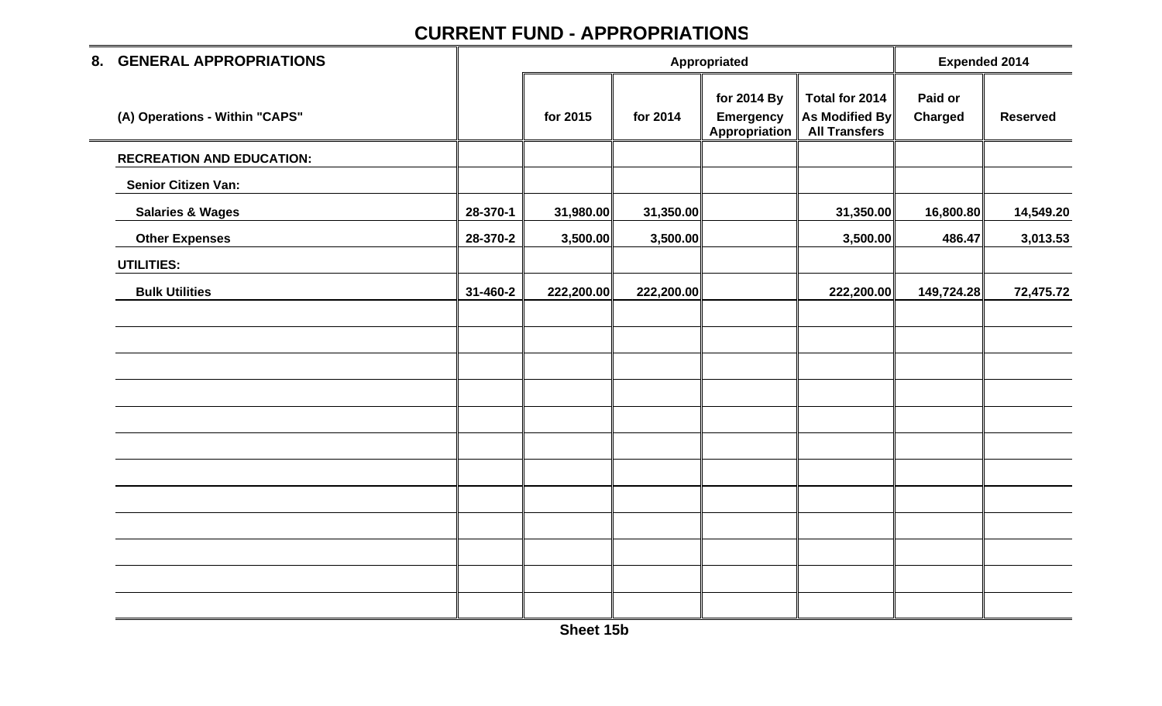| 8. GENERAL APPROPRIATIONS        |          |            | Appropriated |                                                  | <b>Expended 2014</b>                                            |                           |                 |
|----------------------------------|----------|------------|--------------|--------------------------------------------------|-----------------------------------------------------------------|---------------------------|-----------------|
| (A) Operations - Within "CAPS"   |          | for 2015   | for 2014     | for 2014 By<br><b>Emergency</b><br>Appropriation | Total for 2014<br><b>As Modified By</b><br><b>All Transfers</b> | Paid or<br><b>Charged</b> | <b>Reserved</b> |
| <b>RECREATION AND EDUCATION:</b> |          |            |              |                                                  |                                                                 |                           |                 |
| <b>Senior Citizen Van:</b>       |          |            |              |                                                  |                                                                 |                           |                 |
| <b>Salaries &amp; Wages</b>      | 28-370-1 | 31,980.00  | 31,350.00    |                                                  | 31,350.00                                                       | 16,800.80                 | 14,549.20       |
| <b>Other Expenses</b>            | 28-370-2 | 3,500.00   | 3,500.00     |                                                  | 3,500.00                                                        | 486.47                    | 3,013.53        |
| <b>UTILITIES:</b>                |          |            |              |                                                  |                                                                 |                           |                 |
| <b>Bulk Utilities</b>            | 31-460-2 | 222,200.00 | 222,200.00   |                                                  | 222,200.00                                                      | 149,724.28                | 72,475.72       |
|                                  |          |            |              |                                                  |                                                                 |                           |                 |
|                                  |          |            |              |                                                  |                                                                 |                           |                 |
|                                  |          |            |              |                                                  |                                                                 |                           |                 |
|                                  |          |            |              |                                                  |                                                                 |                           |                 |
|                                  |          |            |              |                                                  |                                                                 |                           |                 |
|                                  |          |            |              |                                                  |                                                                 |                           |                 |
|                                  |          |            |              |                                                  |                                                                 |                           |                 |
|                                  |          |            |              |                                                  |                                                                 |                           |                 |
|                                  |          |            |              |                                                  |                                                                 |                           |                 |
|                                  |          |            |              |                                                  |                                                                 |                           |                 |
|                                  |          |            |              |                                                  |                                                                 |                           |                 |
|                                  |          |            |              |                                                  |                                                                 |                           |                 |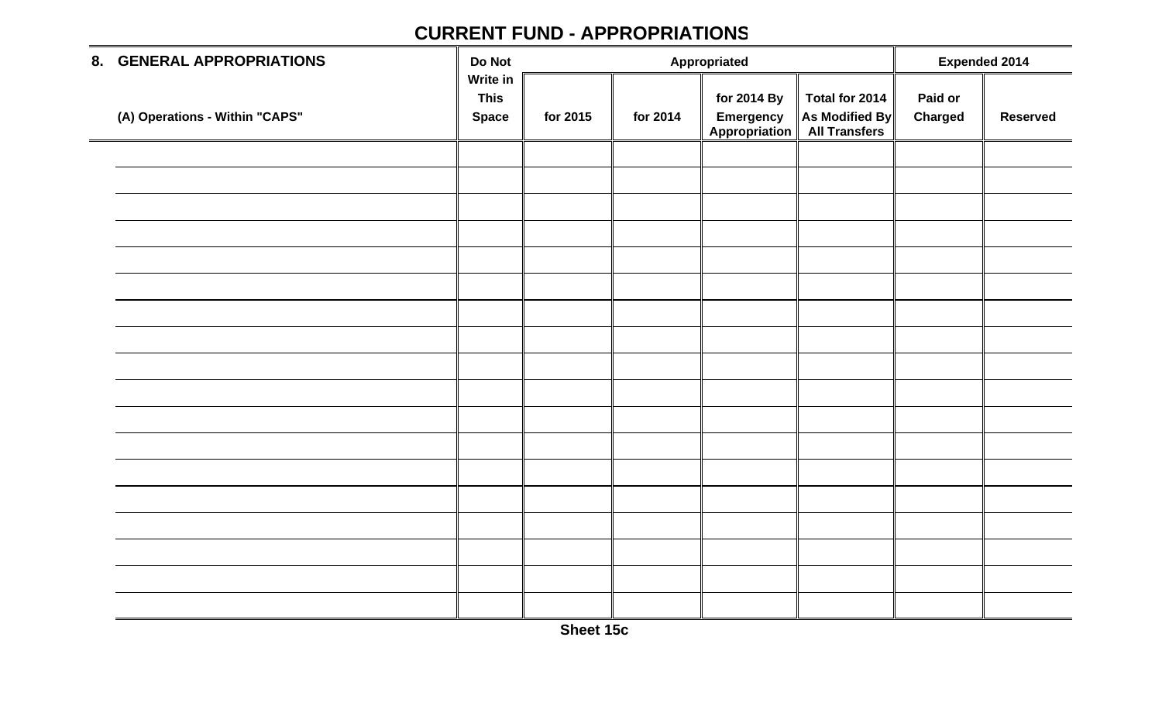| 8. GENERAL APPROPRIATIONS      | Do Not                                  |          |          | Appropriated                              |                                                   | <b>Expended 2014</b>      |                 |
|--------------------------------|-----------------------------------------|----------|----------|-------------------------------------------|---------------------------------------------------|---------------------------|-----------------|
| (A) Operations - Within "CAPS" | Write in<br><b>This</b><br><b>Space</b> | for 2015 | for 2014 | for 2014 By<br>Emergency<br>Appropriation | Total for 2014<br>As Modified By<br>All Transfers | Paid or<br><b>Charged</b> | <b>Reserved</b> |
|                                |                                         |          |          |                                           |                                                   |                           |                 |
|                                |                                         |          |          |                                           |                                                   |                           |                 |
|                                |                                         |          |          |                                           |                                                   |                           |                 |
|                                |                                         |          |          |                                           |                                                   |                           |                 |
|                                |                                         |          |          |                                           |                                                   |                           |                 |
|                                |                                         |          |          |                                           |                                                   |                           |                 |
|                                |                                         |          |          |                                           |                                                   |                           |                 |
|                                |                                         |          |          |                                           |                                                   |                           |                 |
|                                |                                         |          |          |                                           |                                                   |                           |                 |
|                                |                                         |          |          |                                           |                                                   |                           |                 |
|                                |                                         |          |          |                                           |                                                   |                           |                 |
|                                |                                         |          |          |                                           |                                                   |                           |                 |
|                                |                                         |          |          |                                           |                                                   |                           |                 |
|                                |                                         |          |          |                                           |                                                   |                           |                 |
|                                |                                         |          |          |                                           |                                                   |                           |                 |
|                                |                                         |          |          |                                           |                                                   |                           |                 |
|                                |                                         |          |          |                                           |                                                   |                           |                 |
|                                |                                         |          |          |                                           |                                                   |                           |                 |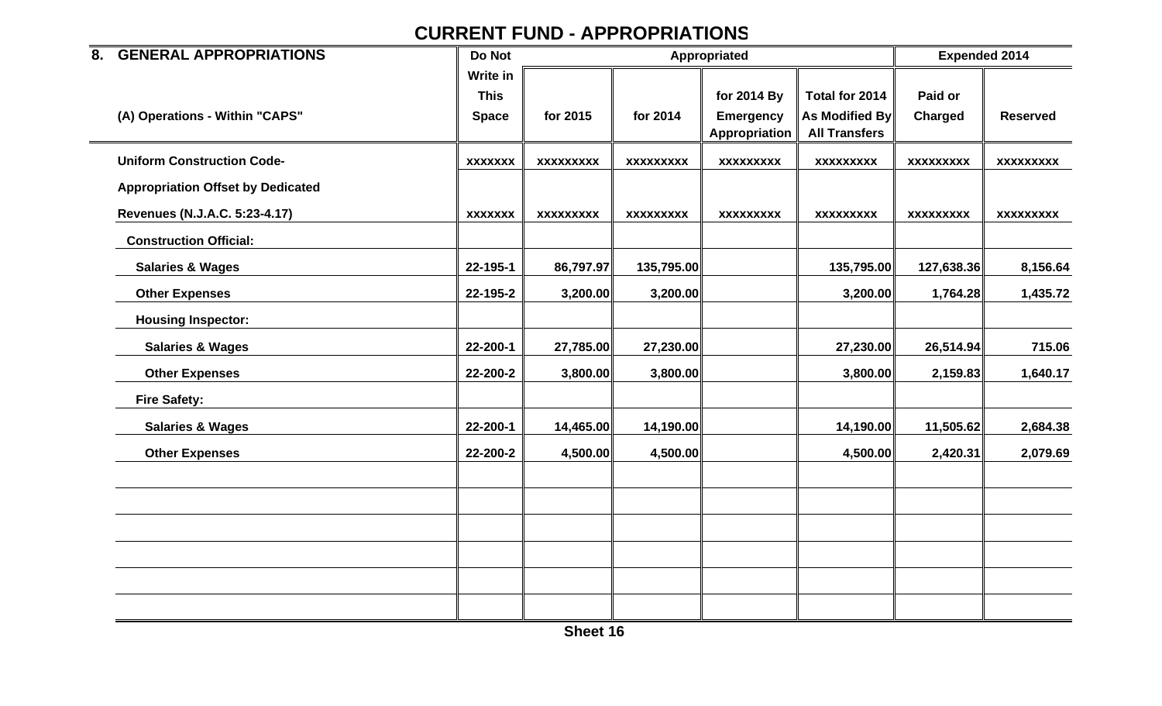| 8. GENERAL APPROPRIATIONS                | Do Not         |                  | Appropriated     |                  | <b>Expended 2014</b>  |                  |                  |
|------------------------------------------|----------------|------------------|------------------|------------------|-----------------------|------------------|------------------|
|                                          | Write in       |                  |                  |                  |                       |                  |                  |
|                                          | <b>This</b>    |                  |                  | for 2014 By      | Total for 2014        | Paid or          |                  |
| (A) Operations - Within "CAPS"           | <b>Space</b>   | for 2015         | for 2014         | <b>Emergency</b> | <b>As Modified By</b> | <b>Charged</b>   | <b>Reserved</b>  |
|                                          |                |                  |                  | Appropriation    | <b>All Transfers</b>  |                  |                  |
| <b>Uniform Construction Code-</b>        | <b>XXXXXXX</b> | <b>XXXXXXXXX</b> | <b>XXXXXXXXX</b> | <b>XXXXXXXXX</b> | <b>XXXXXXXXX</b>      | <b>XXXXXXXXX</b> | <b>XXXXXXXXX</b> |
| <b>Appropriation Offset by Dedicated</b> |                |                  |                  |                  |                       |                  |                  |
| Revenues (N.J.A.C. 5:23-4.17)            | <b>XXXXXXX</b> | <b>XXXXXXXXX</b> | <b>XXXXXXXXX</b> | <b>XXXXXXXXX</b> | <b>XXXXXXXXX</b>      | <b>XXXXXXXXX</b> | <b>XXXXXXXXX</b> |
| <b>Construction Official:</b>            |                |                  |                  |                  |                       |                  |                  |
| <b>Salaries &amp; Wages</b>              | 22-195-1       | 86,797.97        | 135,795.00       |                  | 135,795.00            | 127,638.36       | 8,156.64         |
| <b>Other Expenses</b>                    | 22-195-2       | 3,200.00         | 3,200.00         |                  | 3,200.00              | 1,764.28         | 1,435.72         |
| <b>Housing Inspector:</b>                |                |                  |                  |                  |                       |                  |                  |
| <b>Salaries &amp; Wages</b>              | 22-200-1       | 27,785.00        | 27,230.00        |                  | 27,230.00             | 26,514.94        | 715.06           |
| <b>Other Expenses</b>                    | 22-200-2       | 3,800.00         | 3,800.00         |                  | 3,800.00              | 2,159.83         | 1,640.17         |
| <b>Fire Safety:</b>                      |                |                  |                  |                  |                       |                  |                  |
| <b>Salaries &amp; Wages</b>              | 22-200-1       | 14,465.00        | 14,190.00        |                  | 14,190.00             | 11,505.62        | 2,684.38         |
| <b>Other Expenses</b>                    | 22-200-2       | 4,500.00         | 4,500.00         |                  | 4,500.00              | 2,420.31         | 2,079.69         |
|                                          |                |                  |                  |                  |                       |                  |                  |
|                                          |                |                  |                  |                  |                       |                  |                  |
|                                          |                |                  |                  |                  |                       |                  |                  |
|                                          |                |                  |                  |                  |                       |                  |                  |
|                                          |                |                  |                  |                  |                       |                  |                  |
|                                          |                |                  |                  |                  |                       |                  |                  |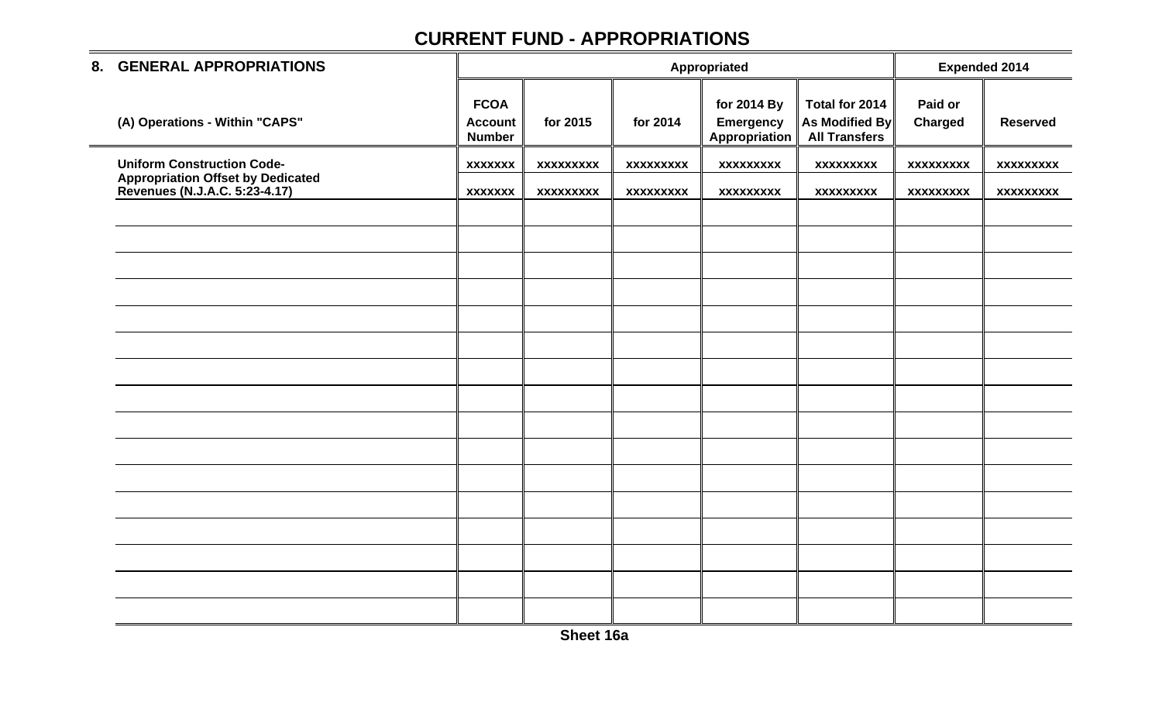| 8. GENERAL APPROPRIATIONS                                                  |                                                |                  | Appropriated     |                                                  | <b>Expended 2014</b>                                     |                    |                  |
|----------------------------------------------------------------------------|------------------------------------------------|------------------|------------------|--------------------------------------------------|----------------------------------------------------------|--------------------|------------------|
| (A) Operations - Within "CAPS"                                             | <b>FCOA</b><br><b>Account</b><br><b>Number</b> | for 2015         | for 2014         | for 2014 By<br><b>Emergency</b><br>Appropriation | Total for 2014<br>As Modified By<br><b>All Transfers</b> | Paid or<br>Charged | <b>Reserved</b>  |
| <b>Uniform Construction Code-</b>                                          | <b>XXXXXXX</b>                                 | <b>XXXXXXXXX</b> | <b>XXXXXXXXX</b> | <b>XXXXXXXXX</b>                                 | <b>XXXXXXXXX</b>                                         | <b>XXXXXXXXX</b>   | <b>XXXXXXXXX</b> |
| <b>Appropriation Offset by Dedicated<br/>Revenues (N.J.A.C. 5:23-4.17)</b> | <b>XXXXXXX</b>                                 | <b>XXXXXXXXX</b> | <b>XXXXXXXXX</b> | <b>XXXXXXXXX</b>                                 | <b>XXXXXXXXX</b>                                         | <b>XXXXXXXXX</b>   | <b>XXXXXXXXX</b> |
|                                                                            |                                                |                  |                  |                                                  |                                                          |                    |                  |
|                                                                            |                                                |                  |                  |                                                  |                                                          |                    |                  |
|                                                                            |                                                |                  |                  |                                                  |                                                          |                    |                  |
|                                                                            |                                                |                  |                  |                                                  |                                                          |                    |                  |
|                                                                            |                                                |                  |                  |                                                  |                                                          |                    |                  |
|                                                                            |                                                |                  |                  |                                                  |                                                          |                    |                  |
|                                                                            |                                                |                  |                  |                                                  |                                                          |                    |                  |
|                                                                            |                                                |                  |                  |                                                  |                                                          |                    |                  |
|                                                                            |                                                |                  |                  |                                                  |                                                          |                    |                  |
|                                                                            |                                                |                  |                  |                                                  |                                                          |                    |                  |
|                                                                            |                                                |                  |                  |                                                  |                                                          |                    |                  |
|                                                                            |                                                |                  |                  |                                                  |                                                          |                    |                  |
|                                                                            |                                                |                  |                  |                                                  |                                                          |                    |                  |
|                                                                            |                                                |                  |                  |                                                  |                                                          |                    |                  |
|                                                                            |                                                |                  |                  |                                                  |                                                          |                    |                  |
|                                                                            |                                                |                  |                  |                                                  |                                                          |                    |                  |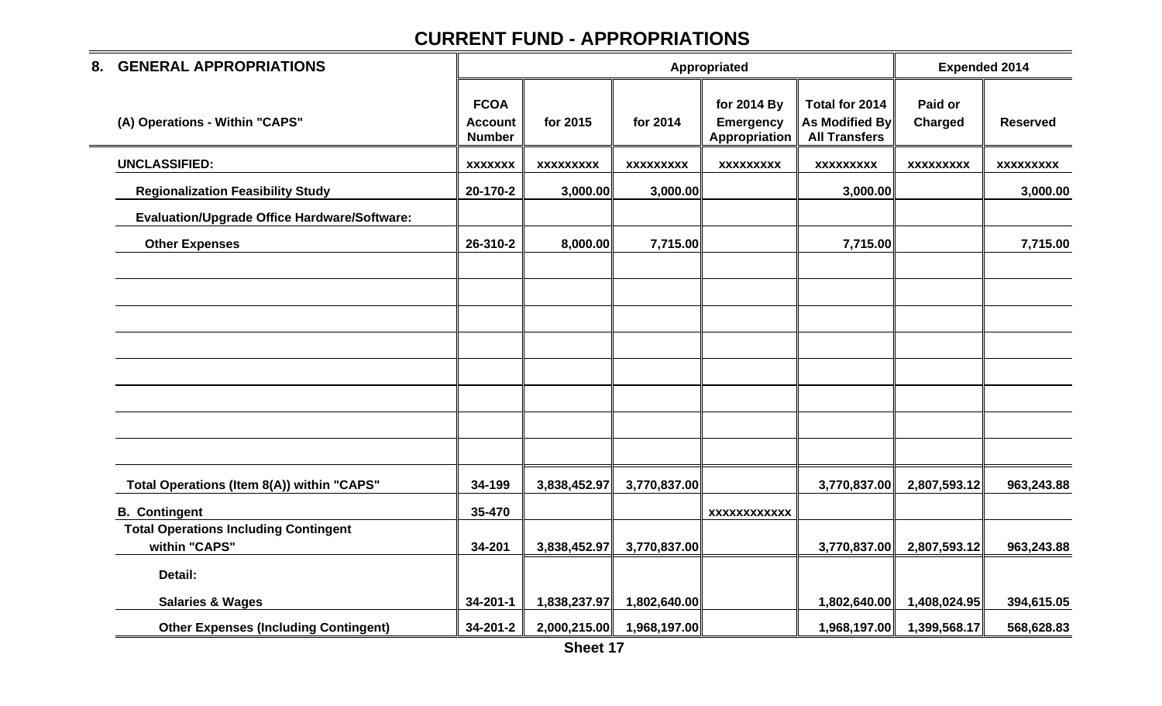| <b>GENERAL APPROPRIATIONS</b><br>8.                           |                                                |                  |                  | Appropriated                                     |                                                                 | <b>Expended 2014</b> |                  |
|---------------------------------------------------------------|------------------------------------------------|------------------|------------------|--------------------------------------------------|-----------------------------------------------------------------|----------------------|------------------|
| (A) Operations - Within "CAPS"                                | <b>FCOA</b><br><b>Account</b><br><b>Number</b> | for 2015         | for 2014         | for 2014 By<br><b>Emergency</b><br>Appropriation | Total for 2014<br><b>As Modified By</b><br><b>All Transfers</b> | Paid or<br>Charged   | <b>Reserved</b>  |
| <b>UNCLASSIFIED:</b>                                          | <b>XXXXXXX</b>                                 | <b>XXXXXXXXX</b> | <b>XXXXXXXXX</b> | <b>XXXXXXXXX</b>                                 | <b>XXXXXXXXX</b>                                                | <b>XXXXXXXXX</b>     | <b>XXXXXXXXX</b> |
| <b>Regionalization Feasibility Study</b>                      | 20-170-2                                       | 3,000.00         | 3,000.00         |                                                  | 3,000.00                                                        |                      | 3,000.00         |
| <b>Evaluation/Upgrade Office Hardware/Software:</b>           |                                                |                  |                  |                                                  |                                                                 |                      |                  |
| <b>Other Expenses</b>                                         | 26-310-2                                       | 8,000.00         | 7,715.00         |                                                  | 7,715.00                                                        |                      | 7,715.00         |
|                                                               |                                                |                  |                  |                                                  |                                                                 |                      |                  |
|                                                               |                                                |                  |                  |                                                  |                                                                 |                      |                  |
|                                                               |                                                |                  |                  |                                                  |                                                                 |                      |                  |
| Total Operations (Item 8(A)) within "CAPS"                    | 34-199                                         | 3,838,452.97     | 3,770,837.00     |                                                  | 3,770,837.00                                                    | 2,807,593.12         | 963,243.88       |
| <b>B.</b> Contingent                                          | 35-470                                         |                  |                  | <b>XXXXXXXXXXXX</b>                              |                                                                 |                      |                  |
| <b>Total Operations Including Contingent</b><br>within "CAPS" | 34-201                                         | 3,838,452.97     | 3,770,837.00     |                                                  | 3,770,837.00                                                    | 2,807,593.12         | 963,243.88       |
| Detail:                                                       |                                                |                  |                  |                                                  |                                                                 |                      |                  |
| <b>Salaries &amp; Wages</b>                                   | 34-201-1                                       | 1,838,237.97     | 1,802,640.00     |                                                  | 1,802,640.00                                                    | 1,408,024.95         | 394,615.05       |
| <b>Other Expenses (Including Contingent)</b>                  | 34-201-2                                       | 2,000,215.00     | 1,968,197.00     |                                                  | 1,968,197.00                                                    | 1,399,568.17         | 568,628.83       |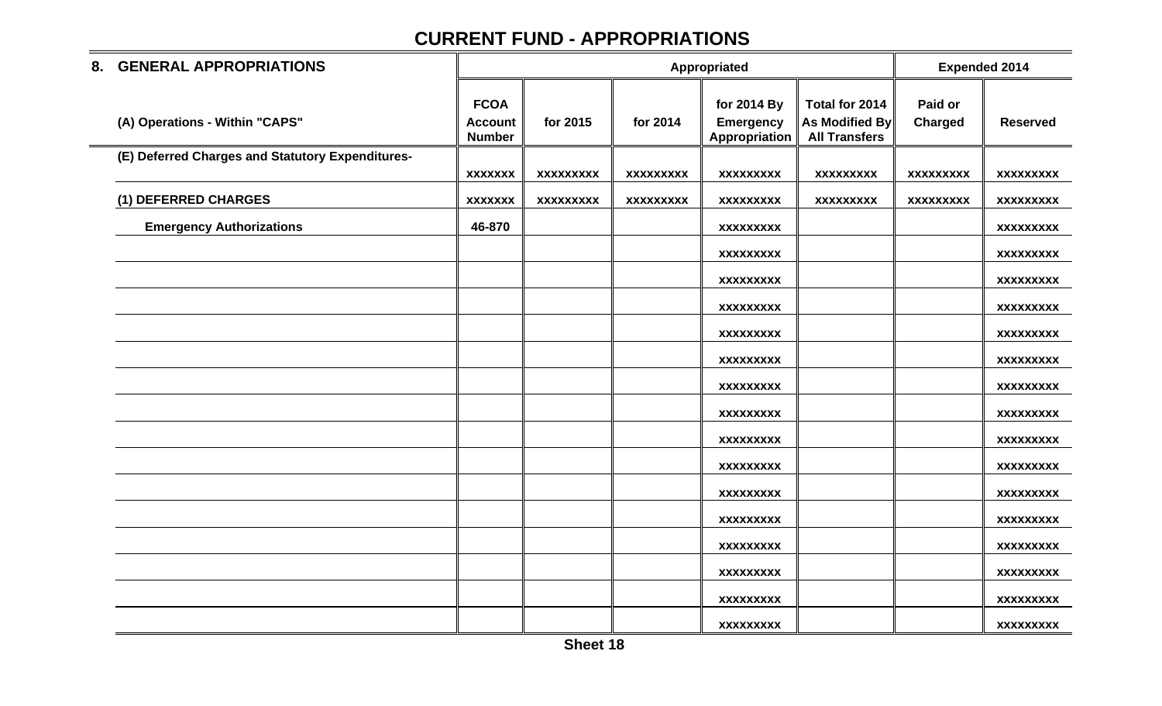| 8. GENERAL APPROPRIATIONS                        |                                                |                  |                  | Appropriated                                     |                                                          |                    | <b>Expended 2014</b> |
|--------------------------------------------------|------------------------------------------------|------------------|------------------|--------------------------------------------------|----------------------------------------------------------|--------------------|----------------------|
| (A) Operations - Within "CAPS"                   | <b>FCOA</b><br><b>Account</b><br><b>Number</b> | for 2015         | for 2014         | for 2014 By<br><b>Emergency</b><br>Appropriation | Total for 2014<br>As Modified By<br><b>All Transfers</b> | Paid or<br>Charged | <b>Reserved</b>      |
| (E) Deferred Charges and Statutory Expenditures- | <b>XXXXXXX</b>                                 | <b>XXXXXXXXX</b> | <b>XXXXXXXXX</b> | <b>XXXXXXXXX</b>                                 | <b>XXXXXXXXX</b>                                         | <b>XXXXXXXXX</b>   | <b>XXXXXXXXX</b>     |
| (1) DEFERRED CHARGES                             | <b>XXXXXXX</b>                                 | <b>XXXXXXXXX</b> | <b>XXXXXXXXX</b> | <b>XXXXXXXXX</b>                                 | XXXXXXXXX                                                | <b>XXXXXXXXX</b>   | <b>XXXXXXXXX</b>     |
| <b>Emergency Authorizations</b>                  | 46-870                                         |                  |                  | <b>XXXXXXXXX</b>                                 |                                                          |                    | <b>XXXXXXXXX</b>     |
|                                                  |                                                |                  |                  | <b>XXXXXXXXX</b>                                 |                                                          |                    | <b>XXXXXXXXX</b>     |
|                                                  |                                                |                  |                  | XXXXXXXXX                                        |                                                          |                    | <b>XXXXXXXXX</b>     |
|                                                  |                                                |                  |                  | <b>XXXXXXXXX</b>                                 |                                                          |                    | <b>XXXXXXXXX</b>     |
|                                                  |                                                |                  |                  | <b>XXXXXXXXX</b>                                 |                                                          |                    | <b>XXXXXXXXX</b>     |
|                                                  |                                                |                  |                  | <b>XXXXXXXXX</b>                                 |                                                          |                    | <b>XXXXXXXXX</b>     |
|                                                  |                                                |                  |                  | <b>XXXXXXXXX</b>                                 |                                                          |                    | <b>XXXXXXXXX</b>     |
|                                                  |                                                |                  |                  | <b>XXXXXXXXX</b>                                 |                                                          |                    | <b>XXXXXXXXX</b>     |
|                                                  |                                                |                  |                  | <b>XXXXXXXXX</b>                                 |                                                          |                    | <b>XXXXXXXXX</b>     |
|                                                  |                                                |                  |                  | <b>XXXXXXXXX</b>                                 |                                                          |                    | <b>XXXXXXXXX</b>     |
|                                                  |                                                |                  |                  | <b>XXXXXXXXX</b>                                 |                                                          |                    | <b>XXXXXXXXX</b>     |
|                                                  |                                                |                  |                  | <b>XXXXXXXXX</b>                                 |                                                          |                    | <b>XXXXXXXXX</b>     |
|                                                  |                                                |                  |                  | <b>XXXXXXXXX</b>                                 |                                                          |                    | <b>XXXXXXXXX</b>     |
|                                                  |                                                |                  |                  | <b>XXXXXXXXX</b>                                 |                                                          |                    | <b>XXXXXXXXX</b>     |
|                                                  |                                                |                  |                  | <b>XXXXXXXXX</b>                                 |                                                          |                    | <b>XXXXXXXXX</b>     |
|                                                  |                                                |                  |                  | <b>XXXXXXXXX</b>                                 |                                                          |                    | <b>XXXXXXXXX</b>     |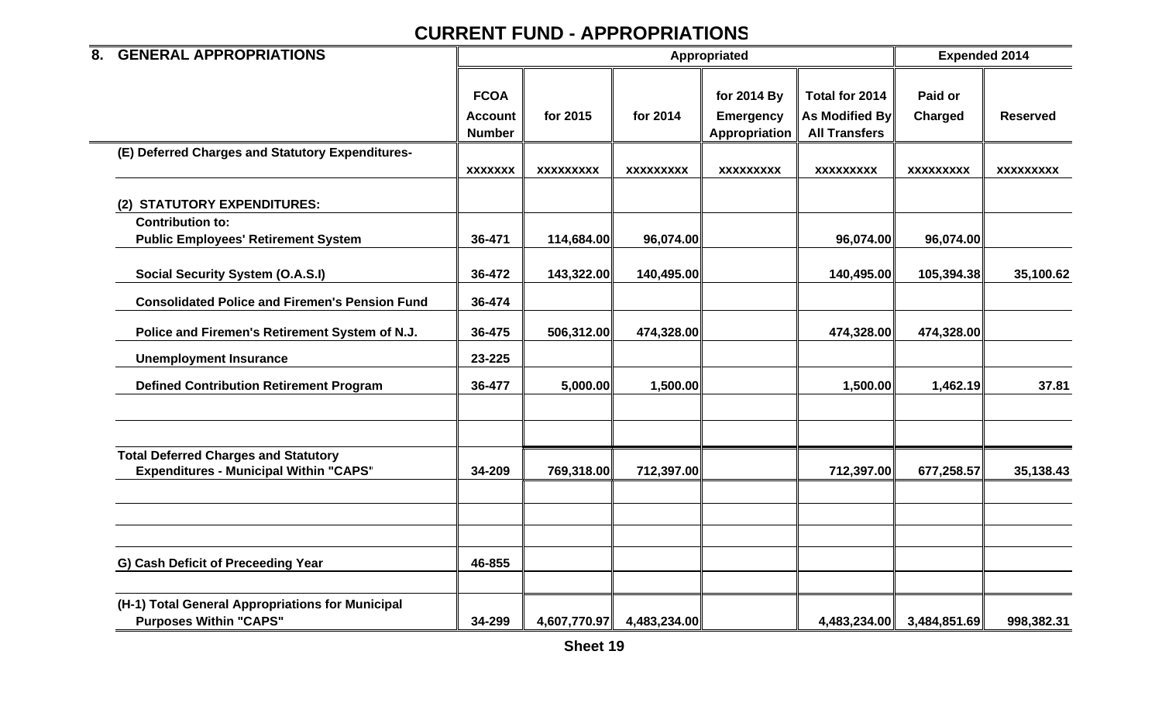| <b>GENERAL APPROPRIATIONS</b><br>8.                                                          |                                                |                  |                  | Appropriated                                     |                                                                 | <b>Expended 2014</b> |                  |  |
|----------------------------------------------------------------------------------------------|------------------------------------------------|------------------|------------------|--------------------------------------------------|-----------------------------------------------------------------|----------------------|------------------|--|
|                                                                                              | <b>FCOA</b><br><b>Account</b><br><b>Number</b> | for 2015         | for 2014         | for 2014 By<br><b>Emergency</b><br>Appropriation | Total for 2014<br><b>As Modified By</b><br><b>All Transfers</b> | Paid or<br>Charged   | <b>Reserved</b>  |  |
| (E) Deferred Charges and Statutory Expenditures-                                             | <b>XXXXXXX</b>                                 | <b>XXXXXXXXX</b> | <b>XXXXXXXXX</b> | <b>XXXXXXXXX</b>                                 | <b>XXXXXXXXX</b>                                                | <b>XXXXXXXXX</b>     | <b>XXXXXXXXX</b> |  |
| (2) STATUTORY EXPENDITURES:                                                                  |                                                |                  |                  |                                                  |                                                                 |                      |                  |  |
| <b>Contribution to:</b><br><b>Public Employees' Retirement System</b>                        | 36-471                                         | 114,684.00       | 96,074.00        |                                                  | 96,074.00                                                       | 96,074.00            |                  |  |
| <b>Social Security System (O.A.S.I)</b>                                                      | 36-472                                         | 143,322.00       | 140,495.00       |                                                  | 140,495.00                                                      | 105,394.38           | 35,100.62        |  |
| <b>Consolidated Police and Firemen's Pension Fund</b>                                        | 36-474                                         |                  |                  |                                                  |                                                                 |                      |                  |  |
| Police and Firemen's Retirement System of N.J.                                               | 36-475                                         | 506,312.00       | 474,328.00       |                                                  | 474,328.00                                                      | 474,328.00           |                  |  |
| <b>Unemployment Insurance</b>                                                                | 23-225                                         |                  |                  |                                                  |                                                                 |                      |                  |  |
| <b>Defined Contribution Retirement Program</b>                                               | 36-477                                         | 5,000.00         | 1,500.00         |                                                  | 1,500.00                                                        | 1,462.19             | 37.81            |  |
| <b>Total Deferred Charges and Statutory</b><br><b>Expenditures - Municipal Within "CAPS"</b> | 34-209                                         | 769,318.00       | 712,397.00       |                                                  | 712,397.00                                                      | 677,258.57           | 35,138.43        |  |
|                                                                                              |                                                |                  |                  |                                                  |                                                                 |                      |                  |  |
| G) Cash Deficit of Preceeding Year                                                           | 46-855                                         |                  |                  |                                                  |                                                                 |                      |                  |  |
| (H-1) Total General Appropriations for Municipal<br><b>Purposes Within "CAPS"</b>            | 34-299                                         | 4,607,770.97     | 4,483,234.00     |                                                  | 4,483,234.00                                                    | 3,484,851.69         | 998,382.31       |  |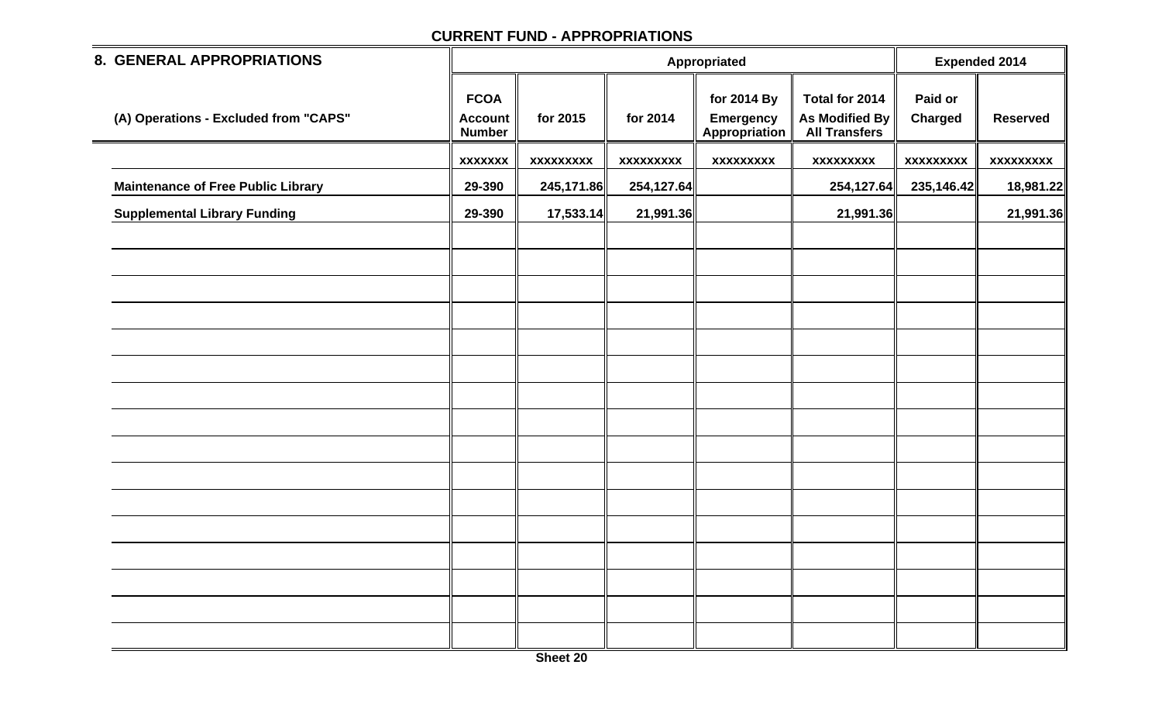| 8. GENERAL APPROPRIATIONS                 |                                                |                  |                  | <b>Expended 2014</b>                             |                                                          |                           |                  |
|-------------------------------------------|------------------------------------------------|------------------|------------------|--------------------------------------------------|----------------------------------------------------------|---------------------------|------------------|
| (A) Operations - Excluded from "CAPS"     | <b>FCOA</b><br><b>Account</b><br><b>Number</b> | for 2015         | for 2014         | for 2014 By<br><b>Emergency</b><br>Appropriation | Total for 2014<br>As Modified By<br><b>All Transfers</b> | Paid or<br><b>Charged</b> | <b>Reserved</b>  |
|                                           | <b>XXXXXXX</b>                                 | <b>XXXXXXXXX</b> | <b>XXXXXXXXX</b> | <b>XXXXXXXXX</b>                                 | <b>XXXXXXXXX</b>                                         | <b>XXXXXXXXX</b>          | <b>XXXXXXXXX</b> |
| <b>Maintenance of Free Public Library</b> | 29-390                                         | 245,171.86       | 254,127.64       |                                                  | 254,127.64                                               | 235,146.42                | 18,981.22        |
| <b>Supplemental Library Funding</b>       | 29-390                                         | 17,533.14        | 21,991.36        |                                                  | 21,991.36                                                |                           | 21,991.36        |
|                                           |                                                |                  |                  |                                                  |                                                          |                           |                  |
|                                           |                                                |                  |                  |                                                  |                                                          |                           |                  |
|                                           |                                                |                  |                  |                                                  |                                                          |                           |                  |
|                                           |                                                |                  |                  |                                                  |                                                          |                           |                  |
|                                           |                                                |                  |                  |                                                  |                                                          |                           |                  |
|                                           |                                                |                  |                  |                                                  |                                                          |                           |                  |
|                                           |                                                |                  |                  |                                                  |                                                          |                           |                  |
|                                           |                                                |                  |                  |                                                  |                                                          |                           |                  |
|                                           |                                                |                  |                  |                                                  |                                                          |                           |                  |
|                                           |                                                |                  |                  |                                                  |                                                          |                           |                  |
|                                           |                                                |                  |                  |                                                  |                                                          |                           |                  |
|                                           |                                                |                  |                  |                                                  |                                                          |                           |                  |
|                                           |                                                |                  |                  |                                                  |                                                          |                           |                  |
|                                           |                                                |                  |                  |                                                  |                                                          |                           |                  |
|                                           |                                                |                  |                  |                                                  |                                                          |                           |                  |
|                                           |                                                |                  |                  |                                                  |                                                          |                           |                  |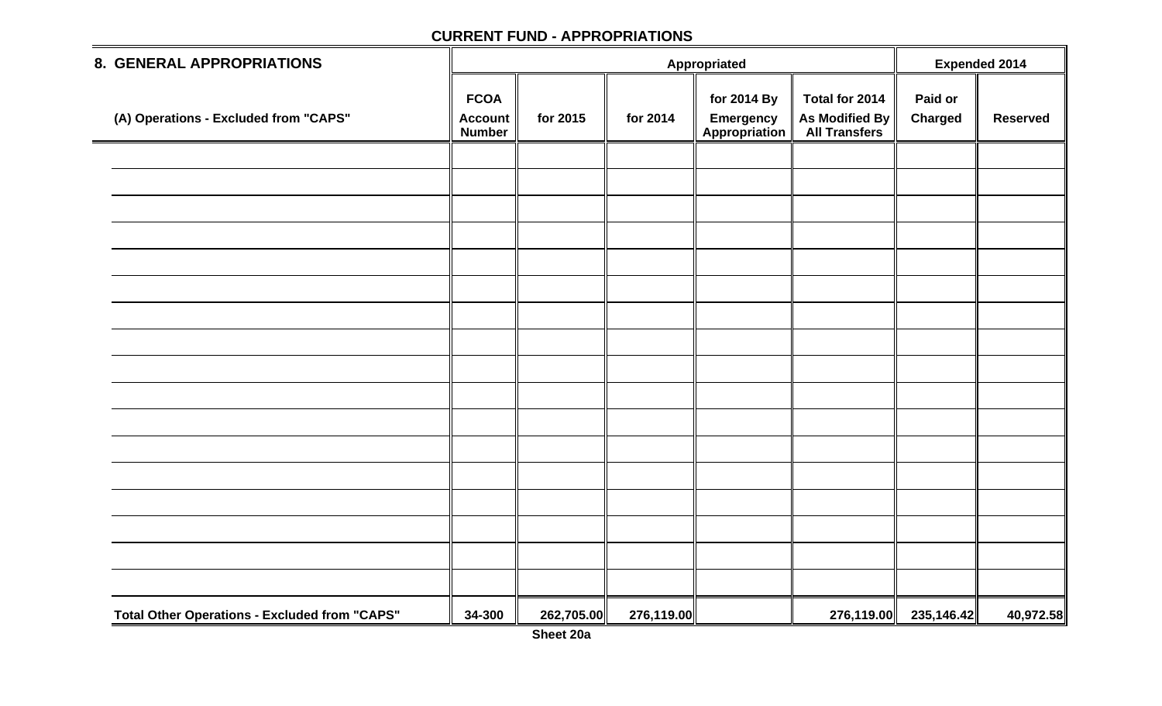| 8. GENERAL APPROPRIATIONS                            |                                                |            |            | <b>Expended 2014</b>                                                    |                                                          |                       |                 |
|------------------------------------------------------|------------------------------------------------|------------|------------|-------------------------------------------------------------------------|----------------------------------------------------------|-----------------------|-----------------|
| (A) Operations - Excluded from "CAPS"                | <b>FCOA</b><br><b>Account</b><br><b>Number</b> | for 2015   | for 2014   | Appropriated<br>for 2014 By<br><b>Emergency</b><br><b>Appropriation</b> | Total for 2014<br>As Modified By<br><b>All Transfers</b> | Paid or<br>Charged    | <b>Reserved</b> |
|                                                      |                                                |            |            |                                                                         |                                                          |                       |                 |
|                                                      |                                                |            |            |                                                                         |                                                          |                       |                 |
|                                                      |                                                |            |            |                                                                         |                                                          |                       |                 |
|                                                      |                                                |            |            |                                                                         |                                                          |                       |                 |
|                                                      |                                                |            |            |                                                                         |                                                          |                       |                 |
|                                                      |                                                |            |            |                                                                         |                                                          |                       |                 |
|                                                      |                                                |            |            |                                                                         |                                                          |                       |                 |
|                                                      |                                                |            |            |                                                                         |                                                          |                       |                 |
|                                                      |                                                |            |            |                                                                         |                                                          |                       |                 |
|                                                      |                                                |            |            |                                                                         |                                                          |                       |                 |
|                                                      |                                                |            |            |                                                                         |                                                          |                       |                 |
|                                                      |                                                |            |            |                                                                         |                                                          |                       |                 |
|                                                      |                                                |            |            |                                                                         |                                                          |                       |                 |
|                                                      |                                                |            |            |                                                                         |                                                          |                       |                 |
|                                                      |                                                |            |            |                                                                         |                                                          |                       |                 |
|                                                      |                                                |            |            |                                                                         |                                                          |                       |                 |
|                                                      |                                                |            |            |                                                                         |                                                          |                       |                 |
| <b>Total Other Operations - Excluded from "CAPS"</b> | 34-300                                         | 262,705.00 | 276,119.00 |                                                                         |                                                          | 276,119.00 235,146.42 | 40,972.58       |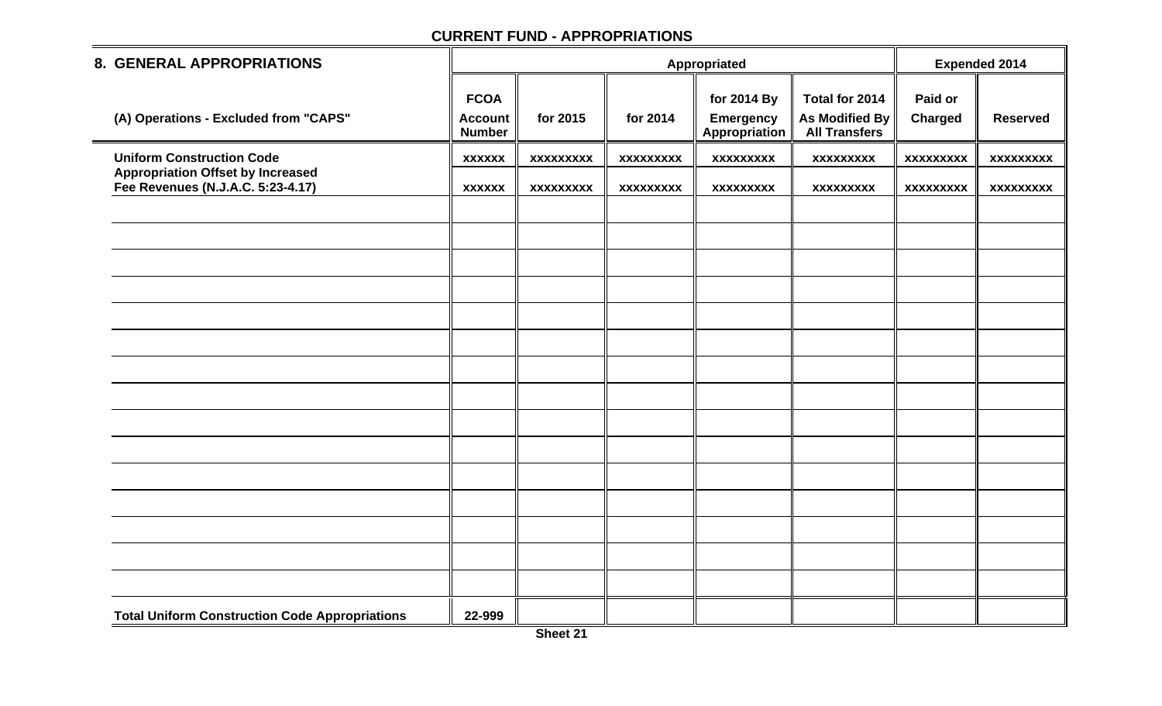| <b>8. GENERAL APPROPRIATIONS</b>                                              |                                                |                  |                  | Appropriated                                     |                                                          | <b>Expended 2014</b>      |                  |
|-------------------------------------------------------------------------------|------------------------------------------------|------------------|------------------|--------------------------------------------------|----------------------------------------------------------|---------------------------|------------------|
| (A) Operations - Excluded from "CAPS"                                         | <b>FCOA</b><br><b>Account</b><br><b>Number</b> | for 2015         | for 2014         | for 2014 By<br><b>Emergency</b><br>Appropriation | Total for 2014<br>As Modified By<br><b>All Transfers</b> | Paid or<br><b>Charged</b> | <b>Reserved</b>  |
| <b>Uniform Construction Code</b>                                              | <b>XXXXXX</b>                                  | <b>XXXXXXXXX</b> | <b>XXXXXXXXX</b> | <b>XXXXXXXXX</b>                                 | <b>XXXXXXXXX</b>                                         | <b>XXXXXXXXX</b>          | <b>XXXXXXXXX</b> |
| <b>Appropriation Offset by Increased</b><br>Fee Revenues (N.J.A.C. 5:23-4.17) | <b>XXXXXX</b>                                  | <b>XXXXXXXXX</b> | <b>XXXXXXXXX</b> | <b>XXXXXXXXX</b>                                 | <b>XXXXXXXXX</b>                                         | <b>XXXXXXXXX</b>          | <b>XXXXXXXXX</b> |
|                                                                               |                                                |                  |                  |                                                  |                                                          |                           |                  |
|                                                                               |                                                |                  |                  |                                                  |                                                          |                           |                  |
|                                                                               |                                                |                  |                  |                                                  |                                                          |                           |                  |
|                                                                               |                                                |                  |                  |                                                  |                                                          |                           |                  |
|                                                                               |                                                |                  |                  |                                                  |                                                          |                           |                  |
|                                                                               |                                                |                  |                  |                                                  |                                                          |                           |                  |
|                                                                               |                                                |                  |                  |                                                  |                                                          |                           |                  |
|                                                                               |                                                |                  |                  |                                                  |                                                          |                           |                  |
|                                                                               |                                                |                  |                  |                                                  |                                                          |                           |                  |
|                                                                               |                                                |                  |                  |                                                  |                                                          |                           |                  |
|                                                                               |                                                |                  |                  |                                                  |                                                          |                           |                  |
|                                                                               |                                                |                  |                  |                                                  |                                                          |                           |                  |
|                                                                               |                                                |                  |                  |                                                  |                                                          |                           |                  |
|                                                                               |                                                |                  |                  |                                                  |                                                          |                           |                  |
|                                                                               |                                                |                  |                  |                                                  |                                                          |                           |                  |
| <b>Total Uniform Construction Code Appropriations</b>                         | 22-999                                         |                  |                  |                                                  |                                                          |                           |                  |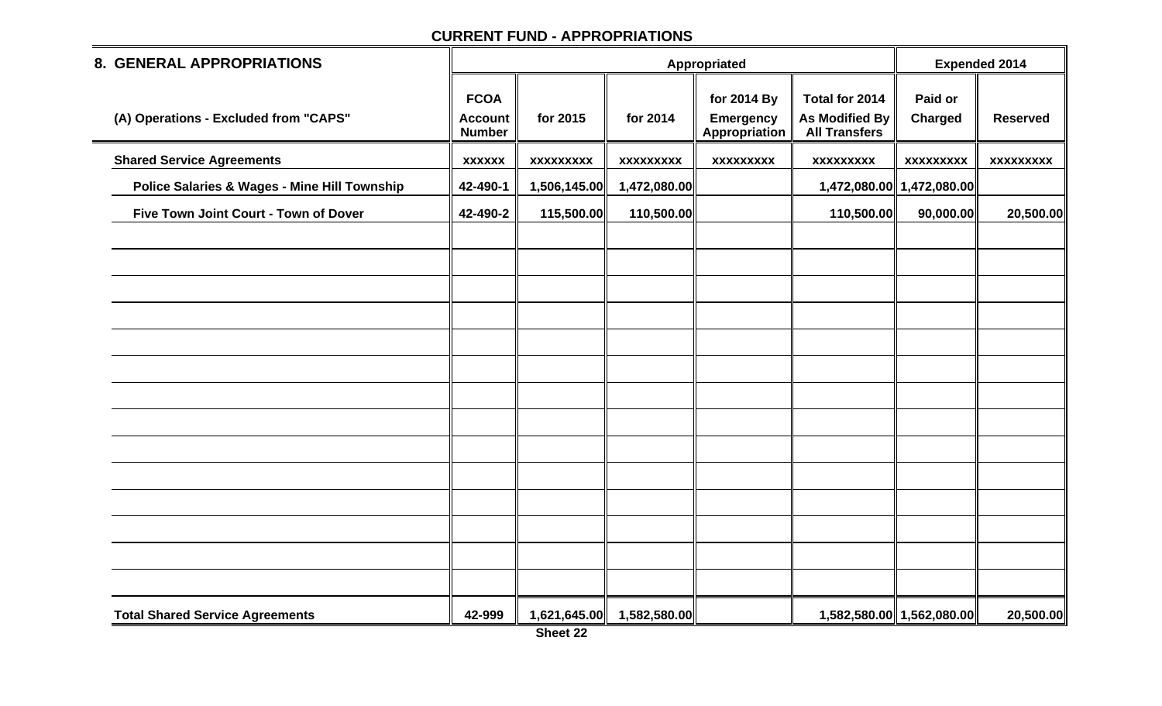| <b>8. GENERAL APPROPRIATIONS</b>                        |                                                |                  |                  | Appropriated                                     |                                                          | <b>Expended 2014</b>      |                  |
|---------------------------------------------------------|------------------------------------------------|------------------|------------------|--------------------------------------------------|----------------------------------------------------------|---------------------------|------------------|
| (A) Operations - Excluded from "CAPS"                   | <b>FCOA</b><br><b>Account</b><br><b>Number</b> | for 2015         | for 2014         | for 2014 By<br><b>Emergency</b><br>Appropriation | Total for 2014<br>As Modified By<br><b>All Transfers</b> | Paid or<br>Charged        | <b>Reserved</b>  |
| <b>Shared Service Agreements</b>                        | <b>XXXXXX</b>                                  | <b>XXXXXXXXX</b> | <b>XXXXXXXXX</b> | <b>XXXXXXXXX</b>                                 | <b>XXXXXXXXX</b>                                         | <b>XXXXXXXXX</b>          | <b>XXXXXXXXX</b> |
| <b>Police Salaries &amp; Wages - Mine Hill Township</b> | 42-490-1                                       | 1,506,145.00     | 1,472,080.00     |                                                  |                                                          | 1,472,080.00 1,472,080.00 |                  |
| Five Town Joint Court - Town of Dover                   | 42-490-2                                       | 115,500.00       | 110,500.00       |                                                  | 110,500.00                                               | 90,000.00                 | 20,500.00        |
|                                                         |                                                |                  |                  |                                                  |                                                          |                           |                  |
|                                                         |                                                |                  |                  |                                                  |                                                          |                           |                  |
|                                                         |                                                |                  |                  |                                                  |                                                          |                           |                  |
|                                                         |                                                |                  |                  |                                                  |                                                          |                           |                  |
|                                                         |                                                |                  |                  |                                                  |                                                          |                           |                  |
|                                                         |                                                |                  |                  |                                                  |                                                          |                           |                  |
|                                                         |                                                |                  |                  |                                                  |                                                          |                           |                  |
|                                                         |                                                |                  |                  |                                                  |                                                          |                           |                  |
|                                                         |                                                |                  |                  |                                                  |                                                          |                           |                  |
|                                                         |                                                |                  |                  |                                                  |                                                          |                           |                  |
|                                                         |                                                |                  |                  |                                                  |                                                          |                           |                  |
|                                                         |                                                |                  |                  |                                                  |                                                          |                           |                  |
|                                                         |                                                |                  |                  |                                                  |                                                          |                           |                  |
|                                                         |                                                |                  |                  |                                                  |                                                          |                           |                  |
| <b>Total Shared Service Agreements</b>                  | 42-999                                         | 1,621,645.00     | 1,582,580.00     |                                                  |                                                          | 1,582,580.00 1,562,080.00 | 20,500.00        |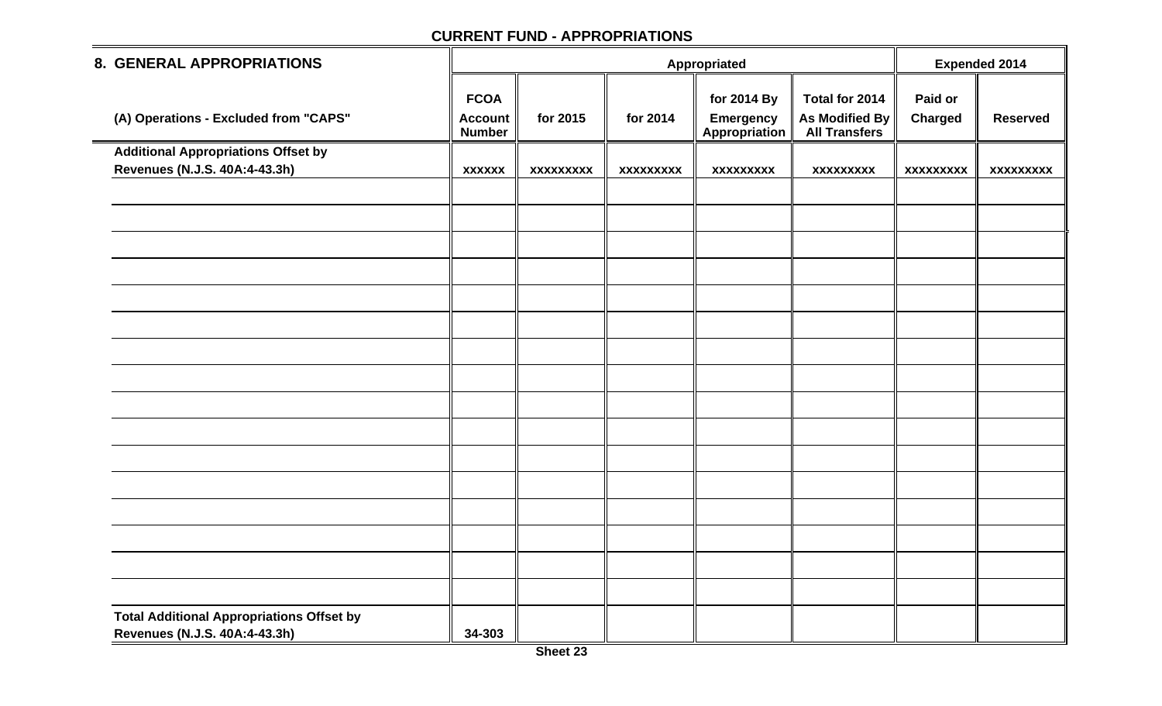| 8. GENERAL APPROPRIATIONS                                                         |                                                |                  |                  | <b>Expended 2014</b>                                    |                                                          |                           |                  |
|-----------------------------------------------------------------------------------|------------------------------------------------|------------------|------------------|---------------------------------------------------------|----------------------------------------------------------|---------------------------|------------------|
| (A) Operations - Excluded from "CAPS"                                             | <b>FCOA</b><br><b>Account</b><br><b>Number</b> | for 2015         | for 2014         | for 2014 By<br><b>Emergency</b><br><b>Appropriation</b> | Total for 2014<br>As Modified By<br><b>All Transfers</b> | Paid or<br><b>Charged</b> | <b>Reserved</b>  |
| <b>Additional Appropriations Offset by</b>                                        |                                                |                  |                  |                                                         |                                                          |                           |                  |
| Revenues (N.J.S. 40A:4-43.3h)                                                     | <b>XXXXXX</b>                                  | <b>XXXXXXXXX</b> | <b>XXXXXXXXX</b> | <b>XXXXXXXXX</b>                                        | <b>XXXXXXXXX</b>                                         | <b>XXXXXXXXX</b>          | <b>XXXXXXXXX</b> |
|                                                                                   |                                                |                  |                  |                                                         |                                                          |                           |                  |
|                                                                                   |                                                |                  |                  |                                                         |                                                          |                           |                  |
|                                                                                   |                                                |                  |                  |                                                         |                                                          |                           |                  |
|                                                                                   |                                                |                  |                  |                                                         |                                                          |                           |                  |
|                                                                                   |                                                |                  |                  |                                                         |                                                          |                           |                  |
|                                                                                   |                                                |                  |                  |                                                         |                                                          |                           |                  |
|                                                                                   |                                                |                  |                  |                                                         |                                                          |                           |                  |
|                                                                                   |                                                |                  |                  |                                                         |                                                          |                           |                  |
|                                                                                   |                                                |                  |                  |                                                         |                                                          |                           |                  |
|                                                                                   |                                                |                  |                  |                                                         |                                                          |                           |                  |
|                                                                                   |                                                |                  |                  |                                                         |                                                          |                           |                  |
|                                                                                   |                                                |                  |                  |                                                         |                                                          |                           |                  |
|                                                                                   |                                                |                  |                  |                                                         |                                                          |                           |                  |
|                                                                                   |                                                |                  |                  |                                                         |                                                          |                           |                  |
|                                                                                   |                                                |                  |                  |                                                         |                                                          |                           |                  |
|                                                                                   |                                                |                  |                  |                                                         |                                                          |                           |                  |
| <b>Total Additional Appropriations Offset by</b><br>Revenues (N.J.S. 40A:4-43.3h) | 34-303                                         |                  |                  |                                                         |                                                          |                           |                  |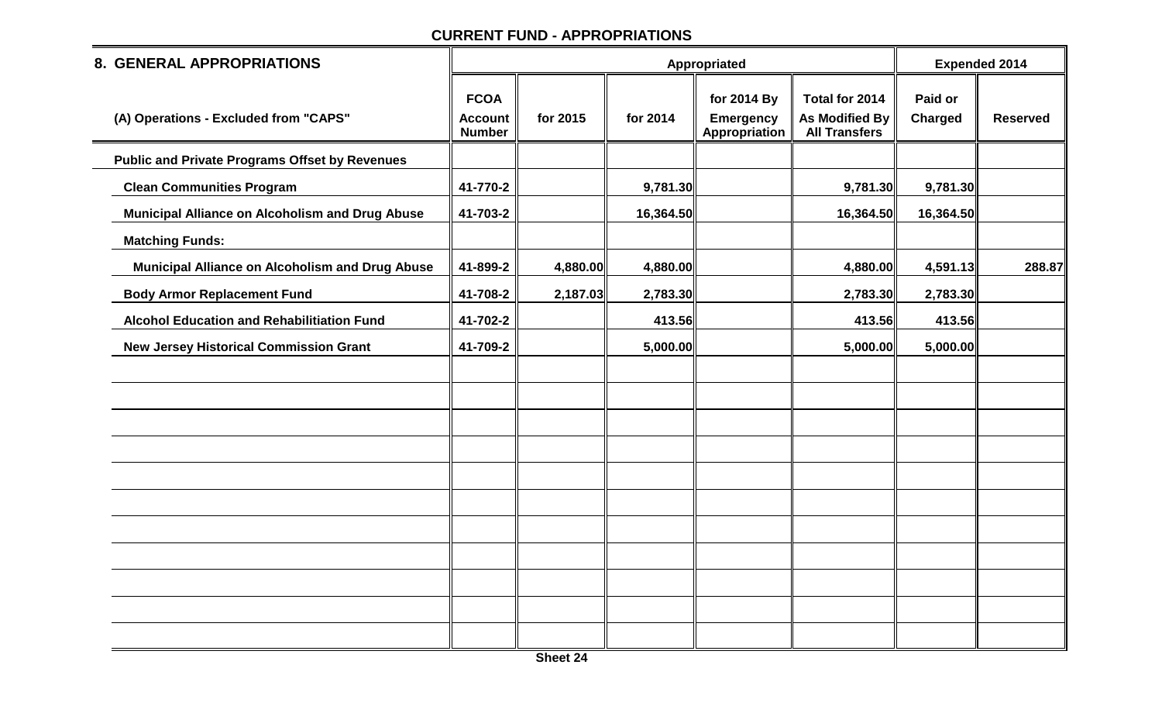| <b>8. GENERAL APPROPRIATIONS</b>                      |                                                |          |           | Appropriated                                     |                                                                 | <b>Expended 2014</b> |                 |
|-------------------------------------------------------|------------------------------------------------|----------|-----------|--------------------------------------------------|-----------------------------------------------------------------|----------------------|-----------------|
| (A) Operations - Excluded from "CAPS"                 | <b>FCOA</b><br><b>Account</b><br><b>Number</b> | for 2015 | for 2014  | for 2014 By<br><b>Emergency</b><br>Appropriation | Total for 2014<br><b>As Modified By</b><br><b>All Transfers</b> | Paid or<br>Charged   | <b>Reserved</b> |
| <b>Public and Private Programs Offset by Revenues</b> |                                                |          |           |                                                  |                                                                 |                      |                 |
| <b>Clean Communities Program</b>                      | 41-770-2                                       |          | 9,781.30  |                                                  | 9,781.30                                                        | 9,781.30             |                 |
| Municipal Alliance on Alcoholism and Drug Abuse       | 41-703-2                                       |          | 16,364.50 |                                                  | 16,364.50                                                       | 16,364.50            |                 |
| <b>Matching Funds:</b>                                |                                                |          |           |                                                  |                                                                 |                      |                 |
| Municipal Alliance on Alcoholism and Drug Abuse       | 41-899-2                                       | 4,880.00 | 4,880.00  |                                                  | 4,880.00                                                        | 4,591.13             | 288.87          |
| <b>Body Armor Replacement Fund</b>                    | 41-708-2                                       | 2,187.03 | 2,783.30  |                                                  | 2,783.30                                                        | 2,783.30             |                 |
| <b>Alcohol Education and Rehabilitiation Fund</b>     | 41-702-2                                       |          | 413.56    |                                                  | 413.56                                                          | 413.56               |                 |
| <b>New Jersey Historical Commission Grant</b>         | 41-709-2                                       |          | 5,000.00  |                                                  | 5,000.00                                                        | 5,000.00             |                 |
|                                                       |                                                |          |           |                                                  |                                                                 |                      |                 |
|                                                       |                                                |          |           |                                                  |                                                                 |                      |                 |
|                                                       |                                                |          |           |                                                  |                                                                 |                      |                 |
|                                                       |                                                |          |           |                                                  |                                                                 |                      |                 |
|                                                       |                                                |          |           |                                                  |                                                                 |                      |                 |
|                                                       |                                                |          |           |                                                  |                                                                 |                      |                 |
|                                                       |                                                |          |           |                                                  |                                                                 |                      |                 |
|                                                       |                                                |          |           |                                                  |                                                                 |                      |                 |
|                                                       |                                                |          |           |                                                  |                                                                 |                      |                 |
|                                                       |                                                |          |           |                                                  |                                                                 |                      |                 |
|                                                       |                                                |          |           |                                                  |                                                                 |                      |                 |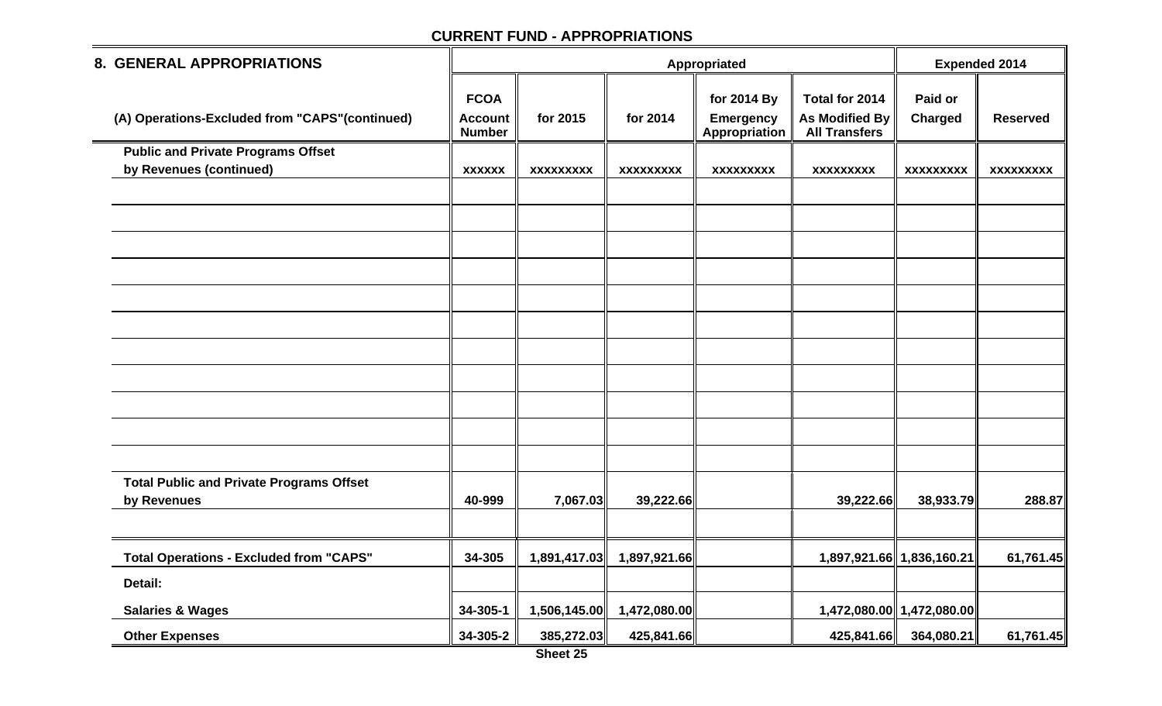| <b>8. GENERAL APPROPRIATIONS</b>                |                                                |                  |                  | Appropriated                                     |                                                          | <b>Expended 2014</b>      |                  |
|-------------------------------------------------|------------------------------------------------|------------------|------------------|--------------------------------------------------|----------------------------------------------------------|---------------------------|------------------|
| (A) Operations-Excluded from "CAPS" (continued) | <b>FCOA</b><br><b>Account</b><br><b>Number</b> | for 2015         | for 2014         | for 2014 By<br><b>Emergency</b><br>Appropriation | Total for 2014<br>As Modified By<br><b>All Transfers</b> | Paid or<br>Charged        | <b>Reserved</b>  |
| <b>Public and Private Programs Offset</b>       |                                                |                  |                  |                                                  |                                                          |                           |                  |
| by Revenues (continued)                         | <b>XXXXXX</b>                                  | <b>XXXXXXXXX</b> | <b>XXXXXXXXX</b> | <b>XXXXXXXXX</b>                                 | <b>XXXXXXXXX</b>                                         | <b>XXXXXXXXX</b>          | <b>XXXXXXXXX</b> |
|                                                 |                                                |                  |                  |                                                  |                                                          |                           |                  |
|                                                 |                                                |                  |                  |                                                  |                                                          |                           |                  |
|                                                 |                                                |                  |                  |                                                  |                                                          |                           |                  |
|                                                 |                                                |                  |                  |                                                  |                                                          |                           |                  |
|                                                 |                                                |                  |                  |                                                  |                                                          |                           |                  |
|                                                 |                                                |                  |                  |                                                  |                                                          |                           |                  |
|                                                 |                                                |                  |                  |                                                  |                                                          |                           |                  |
|                                                 |                                                |                  |                  |                                                  |                                                          |                           |                  |
|                                                 |                                                |                  |                  |                                                  |                                                          |                           |                  |
|                                                 |                                                |                  |                  |                                                  |                                                          |                           |                  |
|                                                 |                                                |                  |                  |                                                  |                                                          |                           |                  |
| <b>Total Public and Private Programs Offset</b> |                                                |                  |                  |                                                  |                                                          |                           |                  |
| by Revenues                                     | 40-999                                         | 7,067.03         | 39,222.66        |                                                  | 39,222.66                                                | 38,933.79                 | 288.87           |
|                                                 |                                                |                  |                  |                                                  |                                                          |                           |                  |
| <b>Total Operations - Excluded from "CAPS"</b>  | 34-305                                         | 1,891,417.03     | 1,897,921.66     |                                                  |                                                          | 1,897,921.66 1,836,160.21 | 61,761.45        |
| Detail:                                         |                                                |                  |                  |                                                  |                                                          |                           |                  |
| <b>Salaries &amp; Wages</b>                     | 34-305-1                                       | 1,506,145.00     | 1,472,080.00     |                                                  |                                                          | 1,472,080.00 1,472,080.00 |                  |
| <b>Other Expenses</b>                           | 34-305-2                                       | 385,272.03       | 425,841.66       |                                                  | 425,841.66                                               | 364,080.21                | 61,761.45        |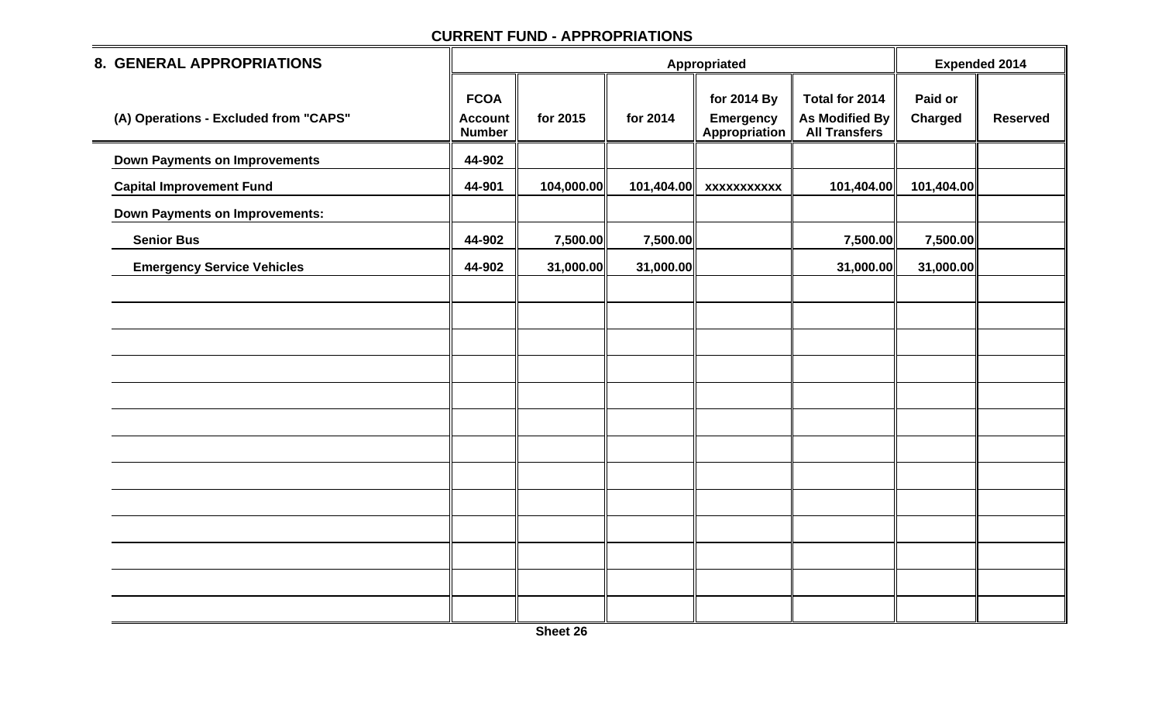| 8. GENERAL APPROPRIATIONS             |                                                |            |            | <b>Expended 2014</b>                             |                                                                 |                           |                 |
|---------------------------------------|------------------------------------------------|------------|------------|--------------------------------------------------|-----------------------------------------------------------------|---------------------------|-----------------|
| (A) Operations - Excluded from "CAPS" | <b>FCOA</b><br><b>Account</b><br><b>Number</b> | for 2015   | for 2014   | for 2014 By<br><b>Emergency</b><br>Appropriation | Total for 2014<br><b>As Modified By</b><br><b>All Transfers</b> | Paid or<br><b>Charged</b> | <b>Reserved</b> |
| <b>Down Payments on Improvements</b>  | 44-902                                         |            |            |                                                  |                                                                 |                           |                 |
| <b>Capital Improvement Fund</b>       | 44-901                                         | 104,000.00 | 101,404.00 | <b>XXXXXXXXXXX</b>                               | 101,404.00                                                      | 101,404.00                |                 |
| <b>Down Payments on Improvements:</b> |                                                |            |            |                                                  |                                                                 |                           |                 |
| <b>Senior Bus</b>                     | 44-902                                         | 7,500.00   | 7,500.00   |                                                  | 7,500.00                                                        | 7,500.00                  |                 |
| <b>Emergency Service Vehicles</b>     | 44-902                                         | 31,000.00  | 31,000.00  |                                                  | 31,000.00                                                       | 31,000.00                 |                 |
|                                       |                                                |            |            |                                                  |                                                                 |                           |                 |
|                                       |                                                |            |            |                                                  |                                                                 |                           |                 |
|                                       |                                                |            |            |                                                  |                                                                 |                           |                 |
|                                       |                                                |            |            |                                                  |                                                                 |                           |                 |
|                                       |                                                |            |            |                                                  |                                                                 |                           |                 |
|                                       |                                                |            |            |                                                  |                                                                 |                           |                 |
|                                       |                                                |            |            |                                                  |                                                                 |                           |                 |
|                                       |                                                |            |            |                                                  |                                                                 |                           |                 |
|                                       |                                                |            |            |                                                  |                                                                 |                           |                 |
|                                       |                                                |            |            |                                                  |                                                                 |                           |                 |
|                                       |                                                |            |            |                                                  |                                                                 |                           |                 |
|                                       |                                                |            |            |                                                  |                                                                 |                           |                 |
|                                       |                                                |            |            |                                                  |                                                                 |                           |                 |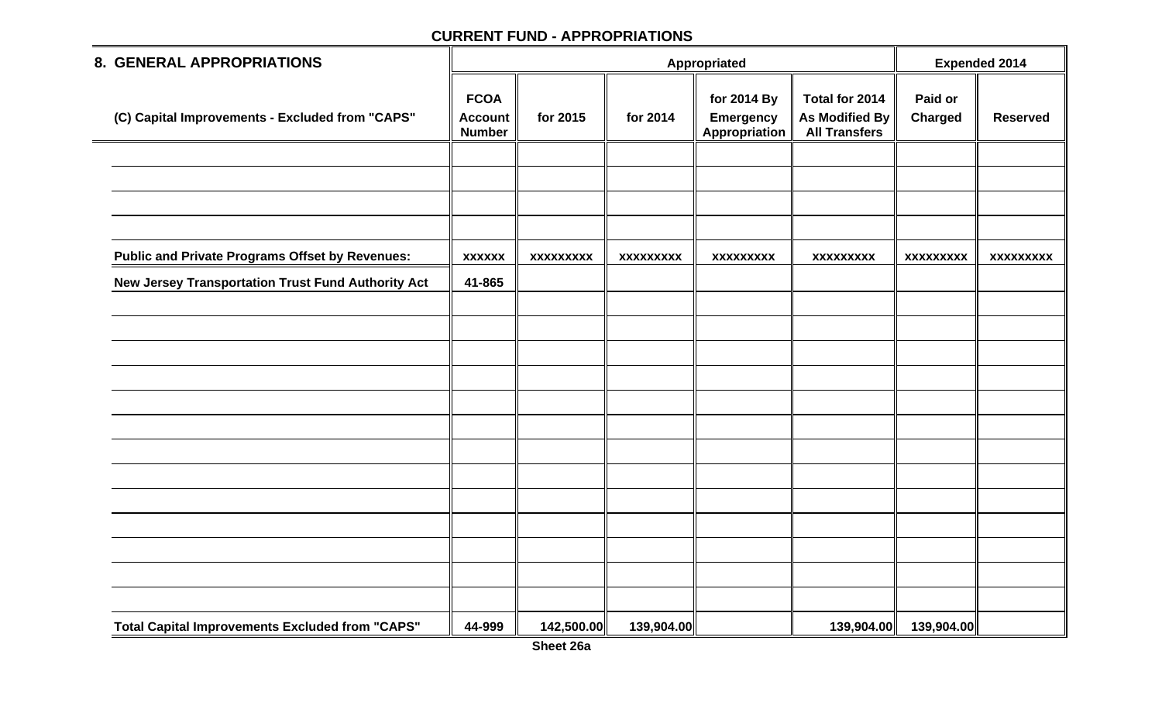| <b>8. GENERAL APPROPRIATIONS</b>                                                                             |                                                |                  |                  | Appropriated                                            |                                                          | <b>Expended 2014</b>      |                  |
|--------------------------------------------------------------------------------------------------------------|------------------------------------------------|------------------|------------------|---------------------------------------------------------|----------------------------------------------------------|---------------------------|------------------|
| (C) Capital Improvements - Excluded from "CAPS"                                                              | <b>FCOA</b><br><b>Account</b><br><b>Number</b> | for 2015         | for 2014         | for 2014 By<br><b>Emergency</b><br><b>Appropriation</b> | Total for 2014<br>As Modified By<br><b>All Transfers</b> | Paid or<br><b>Charged</b> | <b>Reserved</b>  |
|                                                                                                              |                                                |                  |                  |                                                         |                                                          |                           |                  |
|                                                                                                              |                                                |                  |                  |                                                         |                                                          |                           |                  |
|                                                                                                              |                                                |                  |                  |                                                         |                                                          |                           |                  |
| <b>Public and Private Programs Offset by Revenues:</b><br>New Jersey Transportation Trust Fund Authority Act | <b>XXXXXX</b><br>41-865                        | <b>XXXXXXXXX</b> | <b>XXXXXXXXX</b> | <b>XXXXXXXXX</b>                                        | <b>XXXXXXXXX</b>                                         | <b>XXXXXXXXX</b>          | <b>XXXXXXXXX</b> |
|                                                                                                              |                                                |                  |                  |                                                         |                                                          |                           |                  |
|                                                                                                              |                                                |                  |                  |                                                         |                                                          |                           |                  |
|                                                                                                              |                                                |                  |                  |                                                         |                                                          |                           |                  |
|                                                                                                              |                                                |                  |                  |                                                         |                                                          |                           |                  |
|                                                                                                              |                                                |                  |                  |                                                         |                                                          |                           |                  |
|                                                                                                              |                                                |                  |                  |                                                         |                                                          |                           |                  |
|                                                                                                              |                                                |                  |                  |                                                         |                                                          |                           |                  |
|                                                                                                              |                                                |                  |                  |                                                         |                                                          |                           |                  |
|                                                                                                              |                                                |                  |                  |                                                         |                                                          |                           |                  |
|                                                                                                              |                                                |                  |                  |                                                         |                                                          |                           |                  |
| <b>Total Capital Improvements Excluded from "CAPS"</b>                                                       | 44-999                                         | 142,500.00       | 139,904.00       |                                                         | 139,904.00                                               | 139,904.00                |                  |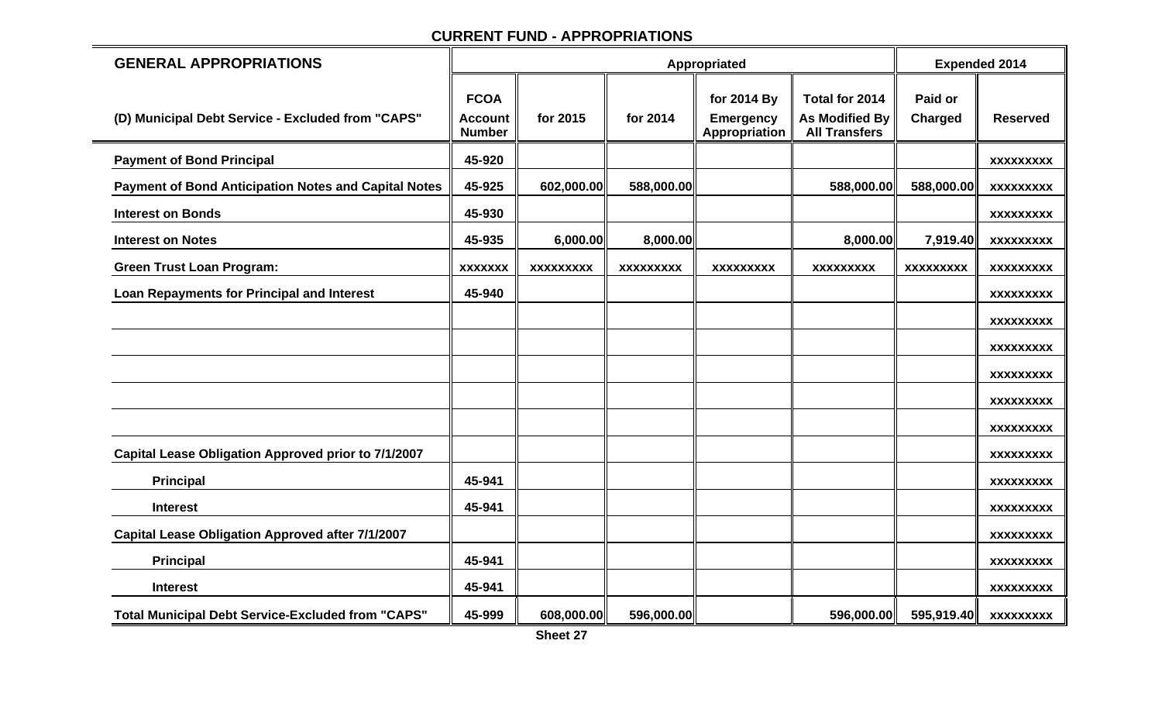| <b>GENERAL APPROPRIATIONS</b>                               |                                                |                  |                  | Appropriated                                     |                                                                 | <b>Expended 2014</b>      |                  |
|-------------------------------------------------------------|------------------------------------------------|------------------|------------------|--------------------------------------------------|-----------------------------------------------------------------|---------------------------|------------------|
| (D) Municipal Debt Service - Excluded from "CAPS"           | <b>FCOA</b><br><b>Account</b><br><b>Number</b> | for 2015         | for 2014         | for 2014 By<br><b>Emergency</b><br>Appropriation | Total for 2014<br><b>As Modified By</b><br><b>All Transfers</b> | Paid or<br><b>Charged</b> | <b>Reserved</b>  |
| <b>Payment of Bond Principal</b>                            | 45-920                                         |                  |                  |                                                  |                                                                 |                           | <b>XXXXXXXXX</b> |
| <b>Payment of Bond Anticipation Notes and Capital Notes</b> | 45-925                                         | 602,000.00       | 588,000.00       |                                                  | 588,000.00                                                      | 588,000.00                | <b>XXXXXXXXX</b> |
| <b>Interest on Bonds</b>                                    | 45-930                                         |                  |                  |                                                  |                                                                 |                           | <b>XXXXXXXXX</b> |
| <b>Interest on Notes</b>                                    | 45-935                                         | 6,000.00         | 8,000.00         |                                                  | 8,000.00                                                        | 7,919.40                  | <b>XXXXXXXXX</b> |
| <b>Green Trust Loan Program:</b>                            | <b>XXXXXXX</b>                                 | <b>XXXXXXXXX</b> | <b>XXXXXXXXX</b> | <b>XXXXXXXXX</b>                                 | <b>XXXXXXXXX</b>                                                | <b>XXXXXXXXX</b>          | <b>XXXXXXXXX</b> |
| <b>Loan Repayments for Principal and Interest</b>           | 45-940                                         |                  |                  |                                                  |                                                                 |                           | <b>XXXXXXXXX</b> |
|                                                             |                                                |                  |                  |                                                  |                                                                 |                           | <b>XXXXXXXXX</b> |
|                                                             |                                                |                  |                  |                                                  |                                                                 |                           | <b>XXXXXXXXX</b> |
|                                                             |                                                |                  |                  |                                                  |                                                                 |                           | <b>XXXXXXXXX</b> |
|                                                             |                                                |                  |                  |                                                  |                                                                 |                           | <b>XXXXXXXXX</b> |
|                                                             |                                                |                  |                  |                                                  |                                                                 |                           | <b>XXXXXXXXX</b> |
| Capital Lease Obligation Approved prior to 7/1/2007         |                                                |                  |                  |                                                  |                                                                 |                           | <b>XXXXXXXXX</b> |
| <b>Principal</b>                                            | 45-941                                         |                  |                  |                                                  |                                                                 |                           | <b>XXXXXXXXX</b> |
| <b>Interest</b>                                             | 45-941                                         |                  |                  |                                                  |                                                                 |                           | <b>XXXXXXXXX</b> |
| <b>Capital Lease Obligation Approved after 7/1/2007</b>     |                                                |                  |                  |                                                  |                                                                 |                           | <b>XXXXXXXXX</b> |
| <b>Principal</b>                                            | 45-941                                         |                  |                  |                                                  |                                                                 |                           | <b>XXXXXXXXX</b> |
| <b>Interest</b>                                             | 45-941                                         |                  |                  |                                                  |                                                                 |                           | <b>XXXXXXXXX</b> |
| <b>Total Municipal Debt Service-Excluded from "CAPS"</b>    | 45-999                                         | 608,000.00       | 596,000.00       |                                                  | 596,000.00                                                      | 595,919.40                | <b>XXXXXXXXX</b> |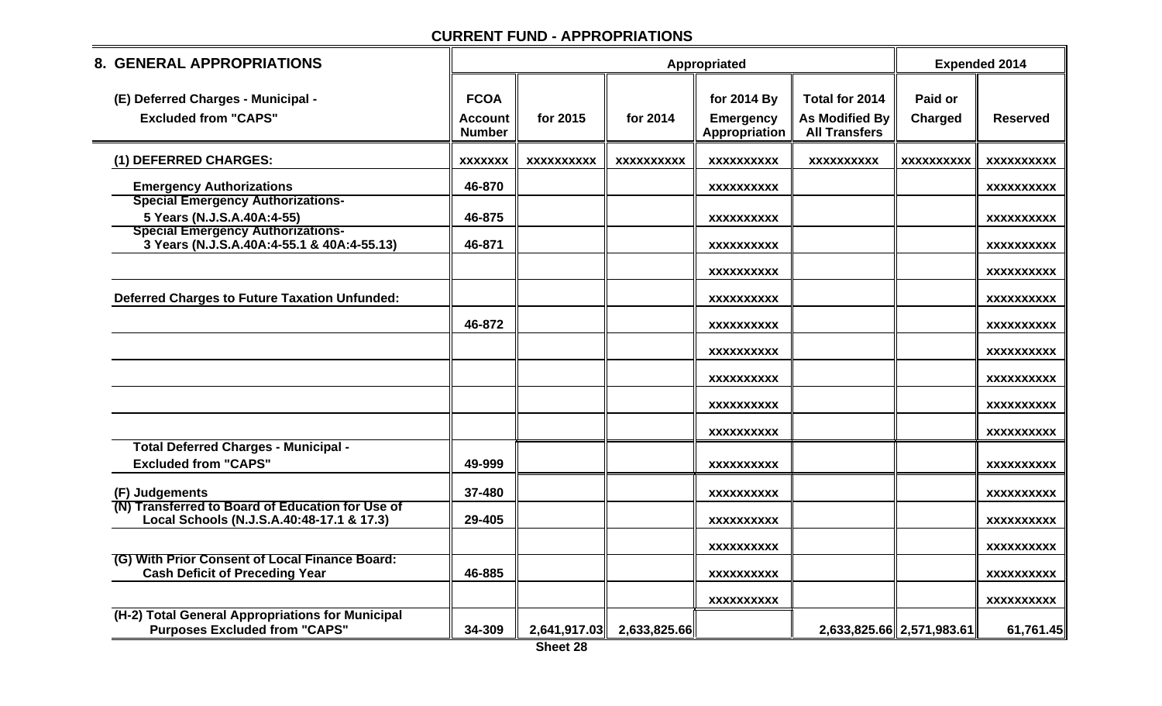| <b>8. GENERAL APPROPRIATIONS</b>                                                              |                                                |                   |                           | <b>Expended 2014</b>                             |                                                          |                           |                   |
|-----------------------------------------------------------------------------------------------|------------------------------------------------|-------------------|---------------------------|--------------------------------------------------|----------------------------------------------------------|---------------------------|-------------------|
| (E) Deferred Charges - Municipal -<br><b>Excluded from "CAPS"</b>                             | <b>FCOA</b><br><b>Account</b><br><b>Number</b> | for 2015          | for 2014                  | for 2014 By<br><b>Emergency</b><br>Appropriation | Total for 2014<br>As Modified By<br><b>All Transfers</b> | Paid or<br><b>Charged</b> | <b>Reserved</b>   |
| (1) DEFERRED CHARGES:                                                                         | <b>XXXXXXX</b>                                 | <b>XXXXXXXXXX</b> | <b>XXXXXXXXXX</b>         | <b>XXXXXXXXXX</b>                                | <b>XXXXXXXXXX</b>                                        | <b>XXXXXXXXXX</b>         | XXXXXXXXXX        |
| <b>Emergency Authorizations</b><br><b>Special Emergency Authorizations-</b>                   | 46-870                                         |                   |                           | <b>XXXXXXXXXX</b>                                |                                                          |                           | <b>XXXXXXXXXX</b> |
| 5 Years (N.J.S.A.40A:4-55)                                                                    | 46-875                                         |                   |                           | <b>XXXXXXXXXX</b>                                |                                                          |                           | <b>XXXXXXXXXX</b> |
| <b>Special Emergency Authorizations-</b><br>3 Years (N.J.S.A.40A:4-55.1 & 40A:4-55.13)        | 46-871                                         |                   |                           | <b>XXXXXXXXXX</b>                                |                                                          |                           | <b>XXXXXXXXXX</b> |
|                                                                                               |                                                |                   |                           | <b>XXXXXXXXXX</b>                                |                                                          |                           | <b>XXXXXXXXXX</b> |
| <b>Deferred Charges to Future Taxation Unfunded:</b>                                          |                                                |                   |                           | <b>XXXXXXXXXX</b>                                |                                                          |                           | <b>XXXXXXXXXX</b> |
|                                                                                               | 46-872                                         |                   |                           | <b>XXXXXXXXXX</b>                                |                                                          |                           | <b>XXXXXXXXXX</b> |
|                                                                                               |                                                |                   |                           | <b>XXXXXXXXXX</b>                                |                                                          |                           | <b>XXXXXXXXXX</b> |
|                                                                                               |                                                |                   |                           | <b>XXXXXXXXXX</b>                                |                                                          |                           | <b>XXXXXXXXXX</b> |
|                                                                                               |                                                |                   |                           | <b>XXXXXXXXXX</b>                                |                                                          |                           | <b>XXXXXXXXXX</b> |
|                                                                                               |                                                |                   |                           | <b>XXXXXXXXXX</b>                                |                                                          |                           | <b>XXXXXXXXXX</b> |
| <b>Total Deferred Charges - Municipal -</b>                                                   |                                                |                   |                           |                                                  |                                                          |                           |                   |
| <b>Excluded from "CAPS"</b>                                                                   | 49-999                                         |                   |                           | <b>XXXXXXXXXX</b>                                |                                                          |                           | <b>XXXXXXXXXX</b> |
| (F) Judgements                                                                                | 37-480                                         |                   |                           | <b>XXXXXXXXXX</b>                                |                                                          |                           | XXXXXXXXXX        |
| (N) Transferred to Board of Education for Use of<br>Local Schools (N.J.S.A.40:48-17.1 & 17.3) | 29-405                                         |                   |                           | <b>XXXXXXXXXX</b>                                |                                                          |                           | <b>XXXXXXXXXX</b> |
|                                                                                               |                                                |                   |                           | <b>XXXXXXXXXX</b>                                |                                                          |                           | <b>XXXXXXXXXX</b> |
| (G) With Prior Consent of Local Finance Board:<br><b>Cash Deficit of Preceding Year</b>       | 46-885                                         |                   |                           | <b>XXXXXXXXXX</b>                                |                                                          |                           | <b>XXXXXXXXXX</b> |
|                                                                                               |                                                |                   |                           | <b>XXXXXXXXXX</b>                                |                                                          |                           | <b>XXXXXXXXXX</b> |
| (H-2) Total General Appropriations for Municipal<br><b>Purposes Excluded from "CAPS"</b>      | 34-309                                         |                   | 2,641,917.03 2,633,825.66 |                                                  |                                                          | 2,633,825.66 2,571,983.61 | 61,761.45         |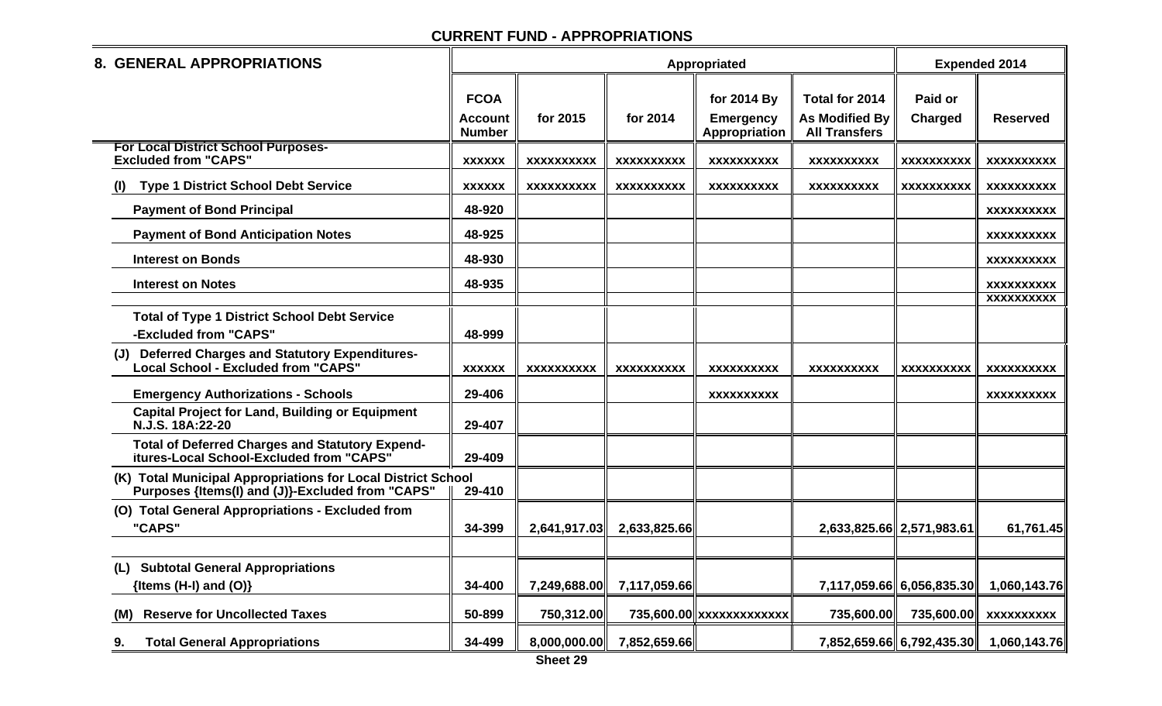| <b>8. GENERAL APPROPRIATIONS</b>                                                                                 |                                                |                   |                   | Appropriated                                     |                                                                 | <b>Expended 2014</b>      |                                 |
|------------------------------------------------------------------------------------------------------------------|------------------------------------------------|-------------------|-------------------|--------------------------------------------------|-----------------------------------------------------------------|---------------------------|---------------------------------|
|                                                                                                                  | <b>FCOA</b><br><b>Account</b><br><b>Number</b> | for 2015          | for 2014          | for 2014 By<br><b>Emergency</b><br>Appropriation | Total for 2014<br><b>As Modified By</b><br><b>All Transfers</b> | Paid or<br><b>Charged</b> | <b>Reserved</b>                 |
| <b>For Local District School Purposes-</b><br><b>Excluded from "CAPS"</b>                                        | <b>XXXXXX</b>                                  | <b>XXXXXXXXXX</b> | <b>XXXXXXXXXX</b> | <b>XXXXXXXXXX</b>                                | <b>XXXXXXXXXX</b>                                               | <b>XXXXXXXXXX</b>         | <b>XXXXXXXXXX</b>               |
| <b>Type 1 District School Debt Service</b><br>$\mathbf{U}$                                                       | <b>XXXXXX</b>                                  | <b>XXXXXXXXXX</b> | <b>XXXXXXXXXX</b> | XXXXXXXXXX                                       | <b>XXXXXXXXXX</b>                                               | <b>XXXXXXXXXX</b>         | <b>XXXXXXXXXX</b>               |
| <b>Payment of Bond Principal</b>                                                                                 | 48-920                                         |                   |                   |                                                  |                                                                 |                           | <b>XXXXXXXXXX</b>               |
| <b>Payment of Bond Anticipation Notes</b>                                                                        | 48-925                                         |                   |                   |                                                  |                                                                 |                           | XXXXXXXXXX                      |
| <b>Interest on Bonds</b>                                                                                         | 48-930                                         |                   |                   |                                                  |                                                                 |                           | <b>XXXXXXXXXX</b>               |
| <b>Interest on Notes</b>                                                                                         | 48-935                                         |                   |                   |                                                  |                                                                 |                           | <b>XXXXXXXXXX</b><br>XXXXXXXXXX |
| <b>Total of Type 1 District School Debt Service</b><br>-Excluded from "CAPS"                                     | 48-999                                         |                   |                   |                                                  |                                                                 |                           |                                 |
| <b>Deferred Charges and Statutory Expenditures-</b><br>Local School - Excluded from "CAPS"                       | <b>XXXXXX</b>                                  | <b>XXXXXXXXXX</b> | <b>XXXXXXXXXX</b> | <b>XXXXXXXXXX</b>                                | <b>XXXXXXXXXX</b>                                               | <b>XXXXXXXXXX</b>         | <b>XXXXXXXXXX</b>               |
| <b>Emergency Authorizations - Schools</b>                                                                        | 29-406                                         |                   |                   | <b>XXXXXXXXXX</b>                                |                                                                 |                           | <b>XXXXXXXXXX</b>               |
| <b>Capital Project for Land, Building or Equipment</b><br>N.J.S. 18A:22-20                                       | 29-407                                         |                   |                   |                                                  |                                                                 |                           |                                 |
| <b>Total of Deferred Charges and Statutory Expend-</b><br>itures-Local School-Excluded from "CAPS"               | 29-409                                         |                   |                   |                                                  |                                                                 |                           |                                 |
| (K) Total Municipal Appropriations for Local District School<br>Purposes {Items(I) and (J)}-Excluded from "CAPS" | 29-410                                         |                   |                   |                                                  |                                                                 |                           |                                 |
| (O) Total General Appropriations - Excluded from<br>"CAPS"                                                       | 34-399                                         | 2,641,917.03      | 2,633,825.66      |                                                  | 2,633,825.66 2,571,983.61                                       |                           | 61,761.45                       |
| (L) Subtotal General Appropriations<br>{Items $(H-I)$ and $(O)$ }                                                | 34-400                                         | 7,249,688.00      | 7,117,059.66      |                                                  |                                                                 | 7,117,059.66 6,056,835.30 | 1,060,143.76                    |
| <b>Reserve for Uncollected Taxes</b><br>(M)                                                                      | 50-899                                         | 750,312.00        |                   | 735,600.00 xxxxxxxxxxxxx                         | 735,600.00                                                      | 735,600.00                | <b>XXXXXXXXXX</b>               |
| <b>Total General Appropriations</b><br>9.                                                                        | 34-499                                         | 8,000,000.00      | 7,852,659.66      |                                                  |                                                                 | 7,852,659.66 6,792,435.30 | 1,060,143.76                    |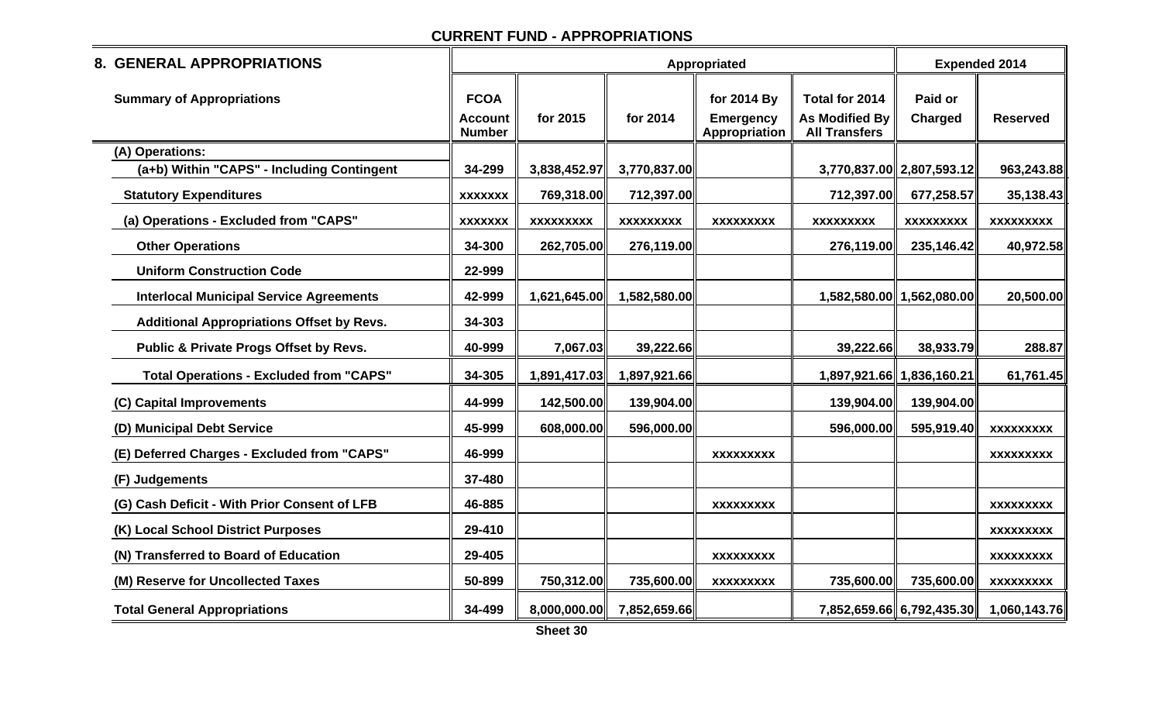| 8. GENERAL APPROPRIATIONS                        |                                                |                  |                  | Appropriated                                     |                                                                 | <b>Expended 2014</b>      |                  |
|--------------------------------------------------|------------------------------------------------|------------------|------------------|--------------------------------------------------|-----------------------------------------------------------------|---------------------------|------------------|
| <b>Summary of Appropriations</b>                 | <b>FCOA</b><br><b>Account</b><br><b>Number</b> | for 2015         | for 2014         | for 2014 By<br><b>Emergency</b><br>Appropriation | Total for 2014<br><b>As Modified By</b><br><b>All Transfers</b> | Paid or<br>Charged        | <b>Reserved</b>  |
| (A) Operations:                                  |                                                |                  |                  |                                                  |                                                                 |                           |                  |
| (a+b) Within "CAPS" - Including Contingent       | 34-299                                         | 3,838,452.97     | 3,770,837.00     |                                                  |                                                                 | 3,770,837.00 2,807,593.12 | 963,243.88       |
| <b>Statutory Expenditures</b>                    | <b>XXXXXXX</b>                                 | 769,318.00       | 712,397.00       |                                                  | 712,397.00                                                      | 677,258.57                | 35,138.43        |
| (a) Operations - Excluded from "CAPS"            | <b>XXXXXXX</b>                                 | <b>XXXXXXXXX</b> | <b>XXXXXXXXX</b> | <b>XXXXXXXXX</b>                                 | <b>XXXXXXXXX</b>                                                | XXXXXXXXX                 | <b>XXXXXXXXX</b> |
| <b>Other Operations</b>                          | 34-300                                         | 262,705.00       | 276,119.00       |                                                  | 276,119.00                                                      | 235,146.42                | 40,972.58        |
| <b>Uniform Construction Code</b>                 | 22-999                                         |                  |                  |                                                  |                                                                 |                           |                  |
| <b>Interlocal Municipal Service Agreements</b>   | 42-999                                         | 1,621,645.00     | 1,582,580.00     |                                                  |                                                                 | 1,582,580.00 1,562,080.00 | 20,500.00        |
| <b>Additional Appropriations Offset by Revs.</b> | 34-303                                         |                  |                  |                                                  |                                                                 |                           |                  |
| Public & Private Progs Offset by Revs.           | 40-999                                         | 7,067.03         | 39,222.66        |                                                  | 39,222.66                                                       | 38,933.79                 | 288.87           |
| <b>Total Operations - Excluded from "CAPS"</b>   | 34-305                                         | 1,891,417.03     | 1,897,921.66     |                                                  |                                                                 | 1,897,921.66 1,836,160.21 | 61,761.45        |
| (C) Capital Improvements                         | 44-999                                         | 142,500.00       | 139,904.00       |                                                  | 139,904.00                                                      | 139,904.00                |                  |
| (D) Municipal Debt Service                       | 45-999                                         | 608,000.00       | 596,000.00       |                                                  | 596,000.00                                                      | 595,919.40                | <b>XXXXXXXXX</b> |
| (E) Deferred Charges - Excluded from "CAPS"      | 46-999                                         |                  |                  | <b>XXXXXXXXX</b>                                 |                                                                 |                           | <b>XXXXXXXXX</b> |
| (F) Judgements                                   | 37-480                                         |                  |                  |                                                  |                                                                 |                           |                  |
| (G) Cash Deficit - With Prior Consent of LFB     | 46-885                                         |                  |                  | <b>XXXXXXXXX</b>                                 |                                                                 |                           | <b>XXXXXXXXX</b> |
| (K) Local School District Purposes               | 29-410                                         |                  |                  |                                                  |                                                                 |                           | <b>XXXXXXXXX</b> |
| (N) Transferred to Board of Education            | 29-405                                         |                  |                  | <b>XXXXXXXXX</b>                                 |                                                                 |                           | <b>XXXXXXXXX</b> |
| (M) Reserve for Uncollected Taxes                | 50-899                                         | 750,312.00       | 735,600.00       | <b>XXXXXXXXX</b>                                 | 735,600.00                                                      | 735,600.00                | <b>XXXXXXXXX</b> |
| <b>Total General Appropriations</b>              | 34-499                                         | 8,000,000.00     | 7,852,659.66     |                                                  |                                                                 | 7,852,659.66 6,792,435.30 | 1,060,143.76     |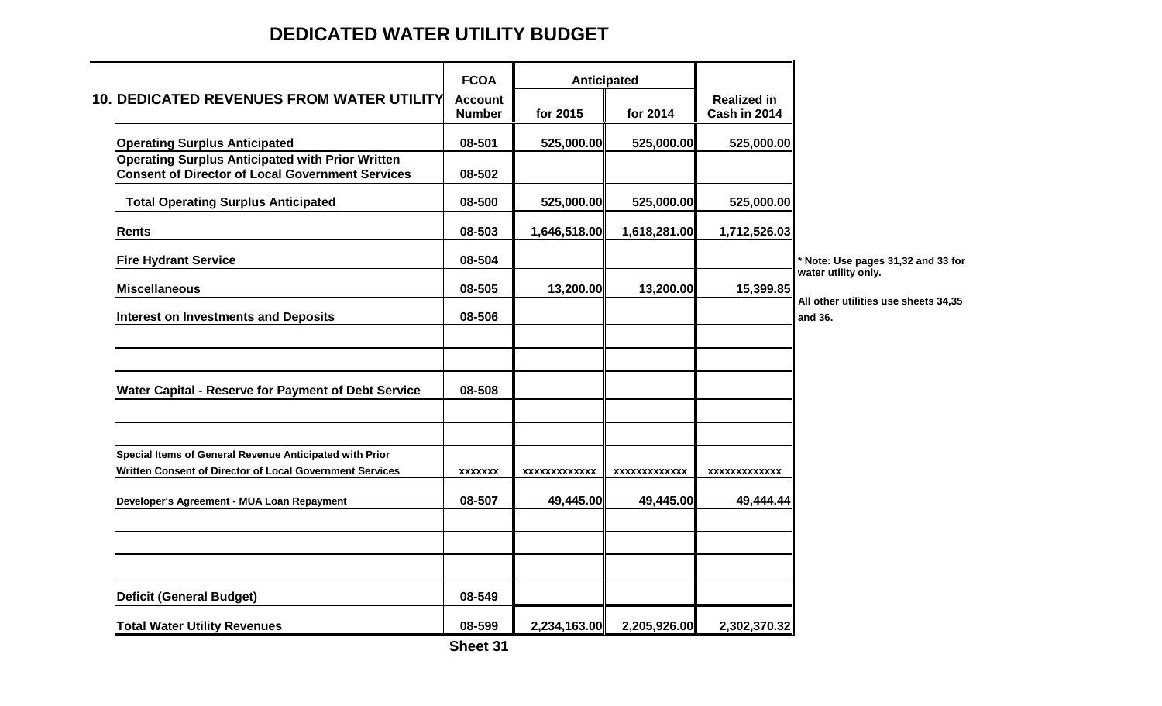# **DEDICATED WATER UTILITY BUDGET**

|                                                          | <b>FCOA</b>    |                     | Anticipated         |                     |                                                           |
|----------------------------------------------------------|----------------|---------------------|---------------------|---------------------|-----------------------------------------------------------|
| <b>10. DEDICATED REVENUES FROM WATER UTILITY</b>         | <b>Account</b> |                     |                     | <b>Realized in</b>  |                                                           |
|                                                          | <b>Number</b>  | for 2015            | for 2014            | Cash in 2014        |                                                           |
| <b>Operating Surplus Anticipated</b>                     | 08-501         | 525,000.00          | 525,000.00          | 525,000.00          |                                                           |
| <b>Operating Surplus Anticipated with Prior Written</b>  |                |                     |                     |                     |                                                           |
| <b>Consent of Director of Local Government Services</b>  | 08-502         |                     |                     |                     |                                                           |
| <b>Total Operating Surplus Anticipated</b>               | 08-500         | 525,000.00          | 525,000.00          | 525,000.00          |                                                           |
| <b>Rents</b>                                             | 08-503         | 1,646,518.00        | 1,618,281.00        | 1,712,526.03        |                                                           |
| <b>Fire Hydrant Service</b>                              | 08-504         |                     |                     |                     | * Note: Use pages 31,32 and 33 for<br>water utility only. |
| <b>Miscellaneous</b>                                     | 08-505         | 13,200.00           | 13,200.00           | 15,399.85           |                                                           |
| <b>Interest on Investments and Deposits</b>              | 08-506         |                     |                     |                     | All other utilities use sheets 34,35<br>and 36.           |
|                                                          |                |                     |                     |                     |                                                           |
| Water Capital - Reserve for Payment of Debt Service      | 08-508         |                     |                     |                     |                                                           |
|                                                          |                |                     |                     |                     |                                                           |
| Special Items of General Revenue Anticipated with Prior  |                |                     |                     |                     |                                                           |
| Written Consent of Director of Local Government Services | <b>XXXXXXX</b> | <b>XXXXXXXXXXXX</b> | <b>XXXXXXXXXXXX</b> | <b>XXXXXXXXXXXX</b> |                                                           |
| Developer's Agreement - MUA Loan Repayment               | 08-507         | 49,445.00           | 49,445.00           | 49,444.44           |                                                           |
|                                                          |                |                     |                     |                     |                                                           |
|                                                          |                |                     |                     |                     |                                                           |
| <b>Deficit (General Budget)</b>                          | 08-549         |                     |                     |                     |                                                           |
| <b>Total Water Utility Revenues</b>                      | 08-599         | 2,234,163.00        | 2,205,926.00        | 2,302,370.32        |                                                           |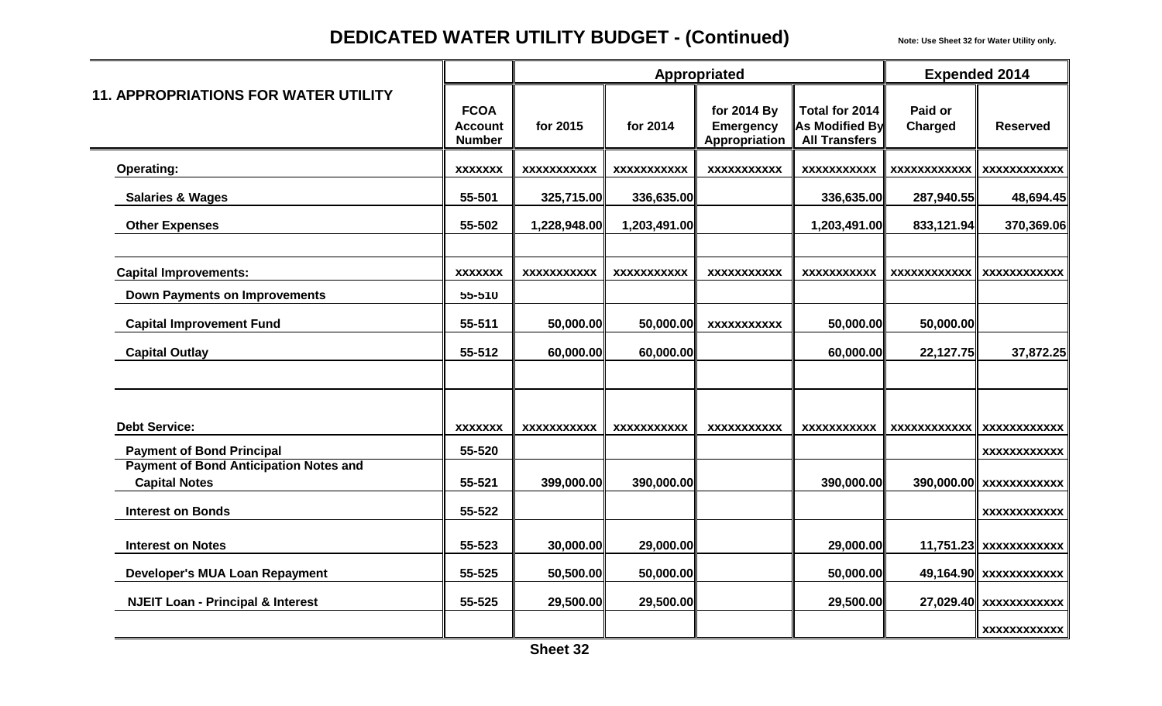# **DEDICATED WATER UTILITY BUDGET - (Continued)** Note: Use Sheet 32 for Water Utility only.

|                                                                       |                                                |                    |                    | Appropriated                                     |                                                                 |                           | <b>Expended 2014</b>     |
|-----------------------------------------------------------------------|------------------------------------------------|--------------------|--------------------|--------------------------------------------------|-----------------------------------------------------------------|---------------------------|--------------------------|
| <b>11. APPROPRIATIONS FOR WATER UTILITY</b>                           | <b>FCOA</b><br><b>Account</b><br><b>Number</b> | for 2015           | for 2014           | for 2014 By<br><b>Emergency</b><br>Appropriation | Total for 2014<br><b>As Modified By</b><br><b>All Transfers</b> | Paid or<br><b>Charged</b> | <b>Reserved</b>          |
| <b>Operating:</b>                                                     | <b>XXXXXXX</b>                                 | <b>XXXXXXXXXXX</b> | <b>XXXXXXXXXXX</b> | <b>XXXXXXXXXXX</b>                               | <b>XXXXXXXXXXX</b>                                              | <b>XXXXXXXXXXXX</b>       | <b>XXXXXXXXXXXX</b>      |
| <b>Salaries &amp; Wages</b>                                           | 55-501                                         | 325,715.00         | 336,635.00         |                                                  | 336,635.00                                                      | 287,940.55                | 48,694.45                |
| <b>Other Expenses</b>                                                 | 55-502                                         | 1,228,948.00       | 1,203,491.00       |                                                  | 1,203,491.00                                                    | 833,121.94                | 370,369.06               |
| <b>Capital Improvements:</b>                                          | <b>XXXXXXX</b>                                 | <b>XXXXXXXXXXX</b> | <b>XXXXXXXXXXX</b> | <b>XXXXXXXXXXX</b>                               | <b>XXXXXXXXXXX</b>                                              | <b>XXXXXXXXXXXX</b>       | <b>XXXXXXXXXXXX</b>      |
| <b>Down Payments on Improvements</b>                                  | 55-510                                         |                    |                    |                                                  |                                                                 |                           |                          |
| <b>Capital Improvement Fund</b>                                       | 55-511                                         | 50,000.00          | 50,000.00          | <b>XXXXXXXXXXX</b>                               | 50,000.00                                                       | 50,000.00                 |                          |
| <b>Capital Outlay</b>                                                 | 55-512                                         | 60,000.00          | 60,000.00          |                                                  | 60,000.00                                                       | 22,127.75                 | 37,872.25                |
|                                                                       |                                                |                    |                    |                                                  |                                                                 |                           |                          |
| <b>Debt Service:</b>                                                  | <b>XXXXXXX</b>                                 | <b>XXXXXXXXXXX</b> | <b>XXXXXXXXXXX</b> | <b>XXXXXXXXXXX</b>                               | <b>XXXXXXXXXXX</b>                                              | <b>XXXXXXXXXXXX</b>       | <b>XXXXXXXXXXXX</b>      |
| <b>Payment of Bond Principal</b>                                      | 55-520                                         |                    |                    |                                                  |                                                                 |                           | XXXXXXXXXXX              |
| <b>Payment of Bond Anticipation Notes and</b><br><b>Capital Notes</b> | 55-521                                         | 399,000.00         | 390,000.00         |                                                  | 390,000.00                                                      |                           | 390,000.00 xxxxxxxxxxx   |
| <b>Interest on Bonds</b>                                              | 55-522                                         |                    |                    |                                                  |                                                                 |                           | <b>XXXXXXXXXXXX</b>      |
| <b>Interest on Notes</b>                                              | 55-523                                         | 30,000.00          | 29,000.00          |                                                  | 29,000.00                                                       |                           | $11,751.23$ xxxxxxxxxxxx |
| <b>Developer's MUA Loan Repayment</b>                                 | 55-525                                         | 50,500.00          | 50,000.00          |                                                  | 50,000.00                                                       |                           | 49,164.90 xxxxxxxxxxxx   |
| <b>NJEIT Loan - Principal &amp; Interest</b>                          | 55-525                                         | 29,500.00          | 29,500.00          |                                                  | 29,500.00                                                       |                           | 27,029.40 xxxxxxxxxxx    |
|                                                                       |                                                |                    |                    |                                                  |                                                                 |                           | XXXXXXXXXXX              |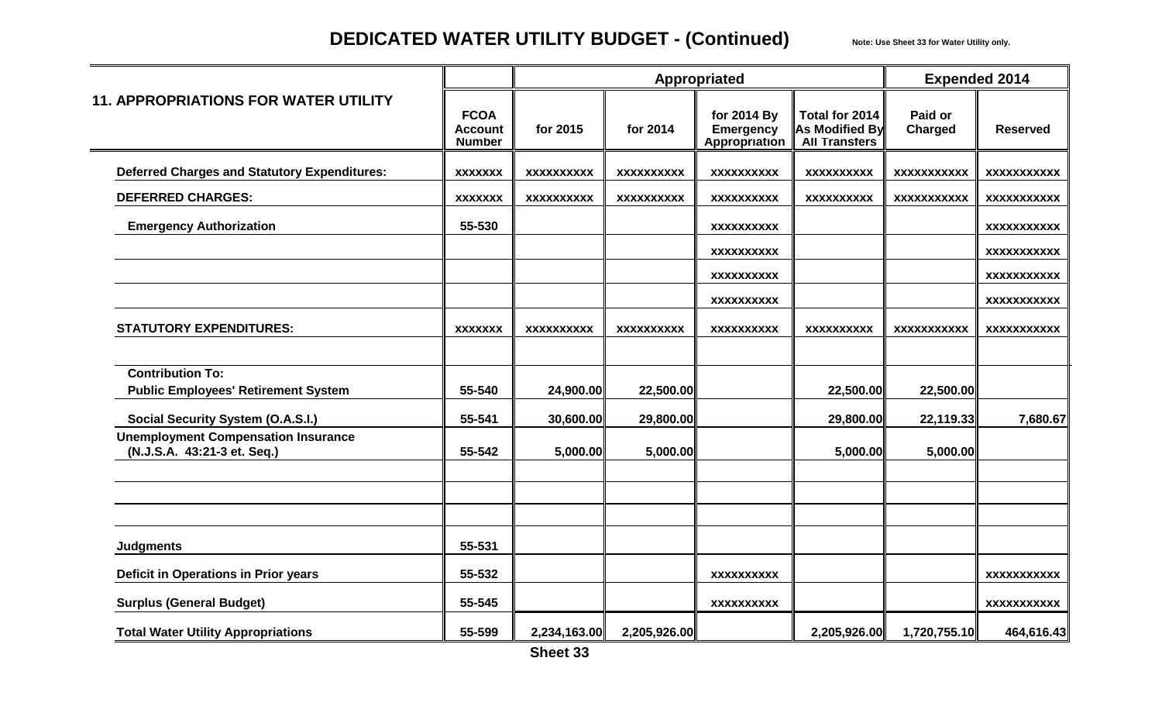# **DEDICATED WATER UTILITY BUDGET - (Continued)** Note: Use Sheet 33 for Water Utility only.

|                                                                           |                                                |                   |                   | Appropriated                                     |                                                          | <b>Expended 2014</b>      |                    |
|---------------------------------------------------------------------------|------------------------------------------------|-------------------|-------------------|--------------------------------------------------|----------------------------------------------------------|---------------------------|--------------------|
| <b>11. APPROPRIATIONS FOR WATER UTILITY</b>                               | <b>FCOA</b><br><b>Account</b><br><b>Number</b> | for 2015          | for 2014          | for 2014 By<br><b>Emergency</b><br>Appropriation | Total for 2014<br>As Modified By<br><b>All Transfers</b> | Paid or<br><b>Charged</b> | <b>Reserved</b>    |
| <b>Deferred Charges and Statutory Expenditures:</b>                       | <b>XXXXXXX</b>                                 | <b>XXXXXXXXXX</b> | <b>XXXXXXXXXX</b> | <b>XXXXXXXXXX</b>                                | <b>XXXXXXXXXX</b>                                        | <b>XXXXXXXXXXX</b>        | <b>XXXXXXXXXXX</b> |
| <b>DEFERRED CHARGES:</b>                                                  | <b>XXXXXXX</b>                                 | XXXXXXXXXX        | <b>XXXXXXXXXX</b> | XXXXXXXXXX                                       | <b>XXXXXXXXXX</b>                                        | <b>XXXXXXXXXXX</b>        | <b>XXXXXXXXXXX</b> |
| <b>Emergency Authorization</b>                                            | 55-530                                         |                   |                   | XXXXXXXXXX                                       |                                                          |                           | XXXXXXXXXX         |
|                                                                           |                                                |                   |                   | <b>XXXXXXXXXX</b>                                |                                                          |                           | <b>XXXXXXXXXXX</b> |
|                                                                           |                                                |                   |                   | XXXXXXXXXX                                       |                                                          |                           | <b>XXXXXXXXXXX</b> |
|                                                                           |                                                |                   |                   | XXXXXXXXXX                                       |                                                          |                           | <b>XXXXXXXXXXX</b> |
| <b>STATUTORY EXPENDITURES:</b>                                            | <b>XXXXXXX</b>                                 | <b>XXXXXXXXXX</b> | <b>XXXXXXXXXX</b> | <b>XXXXXXXXXX</b>                                | <b>XXXXXXXXXX</b>                                        | <b>XXXXXXXXXXX</b>        | <b>XXXXXXXXXXX</b> |
| <b>Contribution To:</b><br><b>Public Employees' Retirement System</b>     | 55-540                                         | 24,900.00         | 22,500.00         |                                                  | 22,500.00                                                | 22,500.00                 |                    |
| <b>Social Security System (O.A.S.I.)</b>                                  | 55-541                                         | 30,600.00         | 29,800.00         |                                                  | 29,800.00                                                | 22,119.33                 | 7,680.67           |
| <b>Unemployment Compensation Insurance</b><br>(N.J.S.A. 43:21-3 et. Seq.) | 55-542                                         | 5,000.00          | 5,000.00          |                                                  | 5,000.00                                                 | 5,000.00                  |                    |
|                                                                           |                                                |                   |                   |                                                  |                                                          |                           |                    |
| <b>Judgments</b>                                                          | 55-531                                         |                   |                   |                                                  |                                                          |                           |                    |
| Deficit in Operations in Prior years                                      | 55-532                                         |                   |                   | XXXXXXXXXX                                       |                                                          |                           | <b>XXXXXXXXXXX</b> |
| <b>Surplus (General Budget)</b>                                           | 55-545                                         |                   |                   | <b>XXXXXXXXXX</b>                                |                                                          |                           | <b>XXXXXXXXXXX</b> |
| <b>Total Water Utility Appropriations</b>                                 | 55-599                                         | 2,234,163.00      | 2,205,926.00      |                                                  | 2,205,926.00                                             | 1,720,755.10              | 464,616.43         |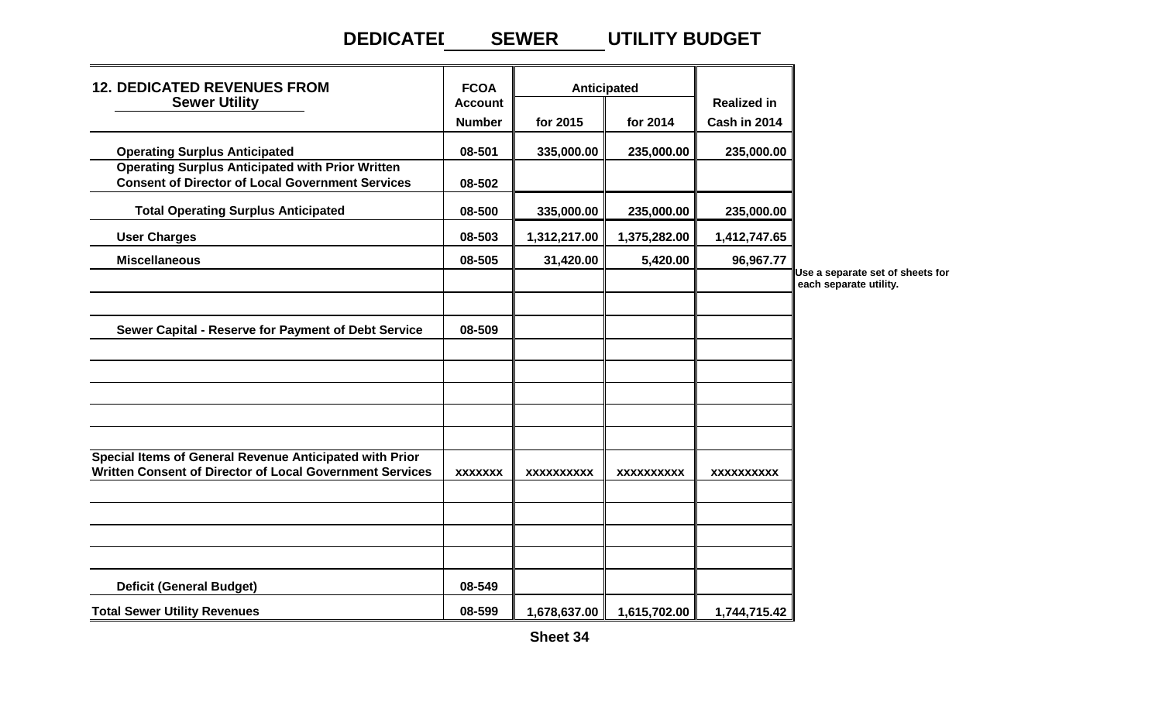#### **DEDICATED UTILITY BUDGET SEWER**

| <b>12. DEDICATED REVENUES FROM</b>                                                                                  | <b>FCOA</b>    |                   | Anticipated       |                    |                                                            |
|---------------------------------------------------------------------------------------------------------------------|----------------|-------------------|-------------------|--------------------|------------------------------------------------------------|
| <b>Sewer Utility</b>                                                                                                | <b>Account</b> |                   |                   | <b>Realized in</b> |                                                            |
|                                                                                                                     | <b>Number</b>  | for 2015          | for 2014          | Cash in 2014       |                                                            |
| <b>Operating Surplus Anticipated</b>                                                                                | 08-501         | 335,000.00        | 235,000.00        | 235,000.00         |                                                            |
| <b>Operating Surplus Anticipated with Prior Written</b><br><b>Consent of Director of Local Government Services</b>  | 08-502         |                   |                   |                    |                                                            |
| <b>Total Operating Surplus Anticipated</b>                                                                          | 08-500         | 335,000.00        | 235,000.00        | 235,000.00         |                                                            |
| <b>User Charges</b>                                                                                                 | 08-503         | 1,312,217.00      | 1,375,282.00      | 1,412,747.65       |                                                            |
| <b>Miscellaneous</b>                                                                                                | 08-505         | 31,420.00         | 5,420.00          | 96,967.77          |                                                            |
|                                                                                                                     |                |                   |                   |                    | Use a separate set of sheets for<br>each separate utility. |
| Sewer Capital - Reserve for Payment of Debt Service                                                                 | 08-509         |                   |                   |                    |                                                            |
|                                                                                                                     |                |                   |                   |                    |                                                            |
|                                                                                                                     |                |                   |                   |                    |                                                            |
| Special Items of General Revenue Anticipated with Prior<br>Written Consent of Director of Local Government Services | <b>XXXXXXX</b> | <b>XXXXXXXXXX</b> | <b>XXXXXXXXXX</b> | <b>XXXXXXXXXX</b>  |                                                            |
|                                                                                                                     |                |                   |                   |                    |                                                            |
|                                                                                                                     |                |                   |                   |                    |                                                            |
| <b>Deficit (General Budget)</b>                                                                                     | 08-549         |                   |                   |                    |                                                            |
| <b>Total Sewer Utility Revenues</b>                                                                                 | 08-599         | 1,678,637.00      | 1,615,702.00      | 1,744,715.42       |                                                            |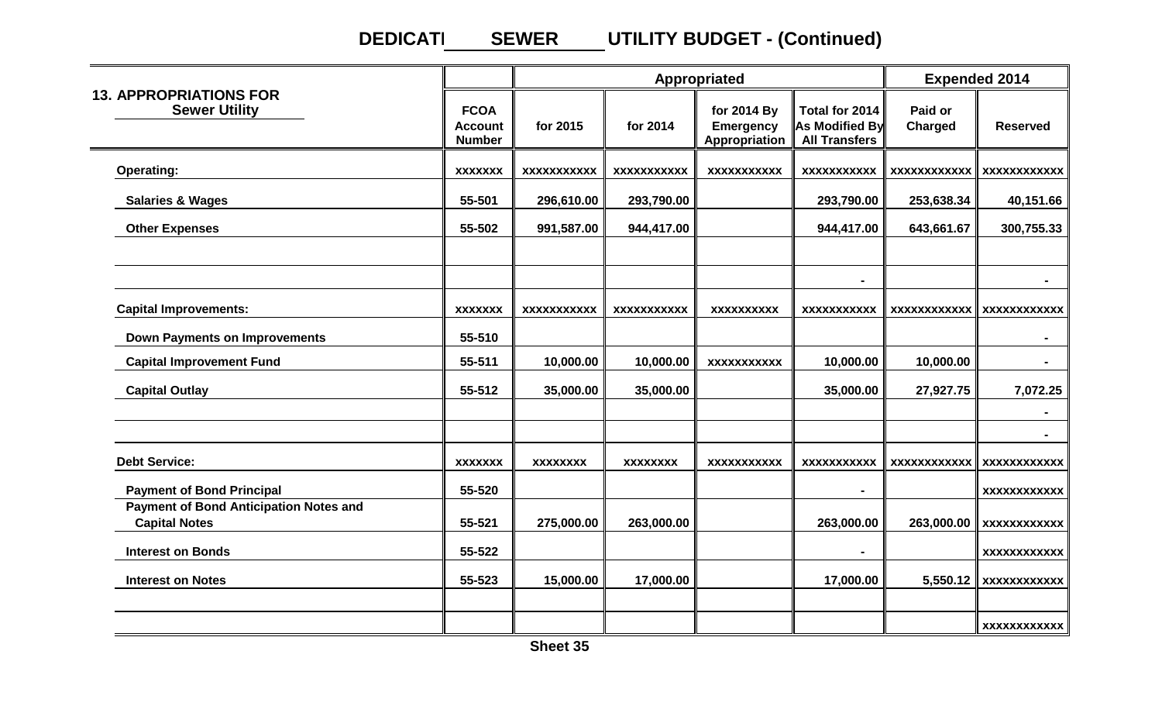#### **DEDICATI UTILITY BUDGET - (Continued) SEWER**

|                                                                       |                                                |                 | Appropriated       |                                                  | <b>Expended 2014</b>                                     |                     |                     |
|-----------------------------------------------------------------------|------------------------------------------------|-----------------|--------------------|--------------------------------------------------|----------------------------------------------------------|---------------------|---------------------|
| <b>13. APPROPRIATIONS FOR</b><br><b>Sewer Utility</b>                 | <b>FCOA</b><br><b>Account</b><br><b>Number</b> | for 2015        | for 2014           | for 2014 By<br><b>Emergency</b><br>Appropriation | Total for 2014<br>As Modified By<br><b>All Transfers</b> | Paid or<br>Charged  | <b>Reserved</b>     |
| <b>Operating:</b>                                                     | <b>XXXXXXX</b>                                 | XXXXXXXXXXX     | <b>XXXXXXXXXXX</b> | <b>XXXXXXXXXXX</b>                               | <b>XXXXXXXXXXX</b>                                       | <b>XXXXXXXXXXXX</b> | <b>XXXXXXXXXXXX</b> |
| <b>Salaries &amp; Wages</b>                                           | 55-501                                         | 296,610.00      | 293,790.00         |                                                  | 293,790.00                                               | 253,638.34          | 40,151.66           |
| <b>Other Expenses</b>                                                 | 55-502                                         | 991,587.00      | 944,417.00         |                                                  | 944,417.00                                               | 643,661.67          | 300,755.33          |
|                                                                       |                                                |                 |                    |                                                  | ٠                                                        |                     | $\blacksquare$      |
| <b>Capital Improvements:</b>                                          | <b>XXXXXXX</b>                                 | XXXXXXXXXXX     | XXXXXXXXXXX        | <b>XXXXXXXXXX</b>                                | xxxxxxxxxxx                                              | <b>XXXXXXXXXXXX</b> | <b>XXXXXXXXXXXX</b> |
| <b>Down Payments on Improvements</b>                                  | 55-510                                         |                 |                    |                                                  |                                                          |                     |                     |
| <b>Capital Improvement Fund</b>                                       | 55-511                                         | 10,000.00       | 10,000.00          | <b>XXXXXXXXXXX</b>                               | 10,000.00                                                | 10,000.00           |                     |
| <b>Capital Outlay</b>                                                 | 55-512                                         | 35,000.00       | 35,000.00          |                                                  | 35,000.00                                                | 27,927.75           | 7,072.25            |
|                                                                       |                                                |                 |                    |                                                  |                                                          |                     |                     |
| <b>Debt Service:</b>                                                  | <b>XXXXXXX</b>                                 | <b>XXXXXXXX</b> | <b>XXXXXXXX</b>    | <b>XXXXXXXXXXX</b>                               | xxxxxxxxxxx                                              | <b>XXXXXXXXXXXX</b> | <b>XXXXXXXXXXXX</b> |
| <b>Payment of Bond Principal</b>                                      | 55-520                                         |                 |                    |                                                  |                                                          |                     | xxxxxxxxxxxx        |
| <b>Payment of Bond Anticipation Notes and</b><br><b>Capital Notes</b> | 55-521                                         | 275,000.00      | 263,000.00         |                                                  | 263,000.00                                               | 263,000.00          | <b>XXXXXXXXXXXX</b> |
| <b>Interest on Bonds</b>                                              | 55-522                                         |                 |                    |                                                  |                                                          |                     | <b>XXXXXXXXXXXX</b> |
| <b>Interest on Notes</b>                                              | 55-523                                         | 15,000.00       | 17,000.00          |                                                  | 17,000.00                                                | 5,550.12            | <b>XXXXXXXXXXXX</b> |
|                                                                       |                                                |                 |                    |                                                  |                                                          |                     | <b>XXXXXXXXXXXX</b> |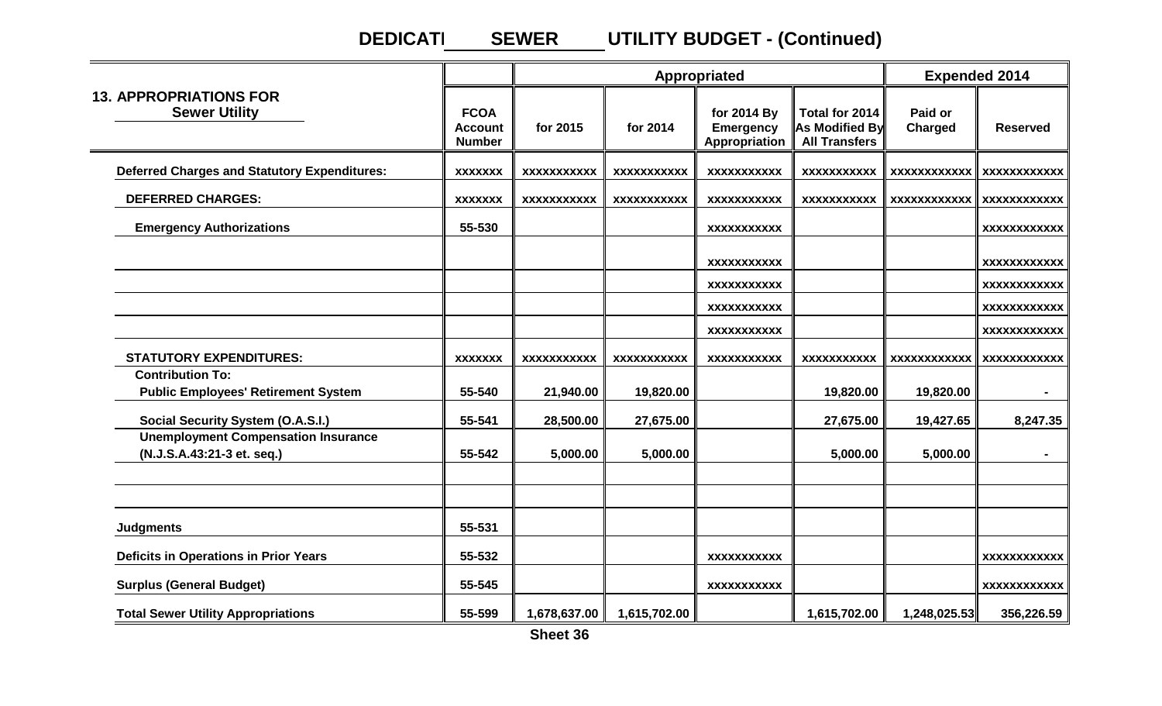#### **DEDICATI UTILITY BUDGET - (Continued) SEWER**

|                                                                          |                                                |                    |                    | Appropriated                                     |                                                          | <b>Expended 2014</b>      |                     |
|--------------------------------------------------------------------------|------------------------------------------------|--------------------|--------------------|--------------------------------------------------|----------------------------------------------------------|---------------------------|---------------------|
| <b>13. APPROPRIATIONS FOR</b><br><b>Sewer Utility</b>                    | <b>FCOA</b><br><b>Account</b><br><b>Number</b> | for 2015           | for 2014           | for 2014 By<br><b>Emergency</b><br>Appropriation | Total for 2014<br>As Modified By<br><b>All Transfers</b> | Paid or<br><b>Charged</b> | <b>Reserved</b>     |
| <b>Deferred Charges and Statutory Expenditures:</b>                      | <b>XXXXXXX</b>                                 | <b>XXXXXXXXXXX</b> | <b>XXXXXXXXXXX</b> | <b>XXXXXXXXXXX</b>                               | XXXXXXXXXXX                                              | xxxxxxxxxxxx              | <b>XXXXXXXXXXXX</b> |
| <b>DEFERRED CHARGES:</b>                                                 | <b>XXXXXXX</b>                                 | XXXXXXXXXXX        | <b>XXXXXXXXXXX</b> | <b>XXXXXXXXXXX</b>                               | <b>XXXXXXXXXXX</b>                                       | <b>XXXXXXXXXXXX</b>       | <b>XXXXXXXXXXXX</b> |
| <b>Emergency Authorizations</b>                                          | 55-530                                         |                    |                    | <b>XXXXXXXXXXX</b>                               |                                                          |                           | <b>XXXXXXXXXXXX</b> |
|                                                                          |                                                |                    |                    | <b>XXXXXXXXXXX</b>                               |                                                          |                           | <b>XXXXXXXXXXXX</b> |
|                                                                          |                                                |                    |                    | <b>XXXXXXXXXXX</b>                               |                                                          |                           | <b>XXXXXXXXXXXX</b> |
|                                                                          |                                                |                    |                    | <b>XXXXXXXXXXX</b>                               |                                                          |                           | <b>XXXXXXXXXXXX</b> |
|                                                                          |                                                |                    |                    | <b>XXXXXXXXXXX</b>                               |                                                          |                           | <b>XXXXXXXXXXXX</b> |
| <b>STATUTORY EXPENDITURES:</b>                                           | <b>XXXXXXX</b>                                 | <b>XXXXXXXXXXX</b> | <b>XXXXXXXXXXX</b> | <b>XXXXXXXXXXX</b>                               | XXXXXXXXXXX                                              | <b>XXXXXXXXXXXX</b>       | <b>XXXXXXXXXXXX</b> |
| <b>Contribution To:</b><br><b>Public Employees' Retirement System</b>    | 55-540                                         | 21,940.00          | 19,820.00          |                                                  | 19,820.00                                                | 19,820.00                 |                     |
| <b>Social Security System (O.A.S.I.)</b>                                 | 55-541                                         | 28,500.00          | 27,675.00          |                                                  | 27,675.00                                                | 19,427.65                 | 8,247.35            |
| <b>Unemployment Compensation Insurance</b><br>(N.J.S.A.43:21-3 et. seq.) | 55-542                                         | 5,000.00           | 5,000.00           |                                                  | 5,000.00                                                 | 5,000.00                  |                     |
|                                                                          |                                                |                    |                    |                                                  |                                                          |                           |                     |
| <b>Judgments</b>                                                         | 55-531                                         |                    |                    |                                                  |                                                          |                           |                     |
| <b>Deficits in Operations in Prior Years</b>                             | 55-532                                         |                    |                    | <b>XXXXXXXXXXX</b>                               |                                                          |                           | <b>XXXXXXXXXXXX</b> |
| <b>Surplus (General Budget)</b>                                          | 55-545                                         |                    |                    | <b>XXXXXXXXXXX</b>                               |                                                          |                           | <b>XXXXXXXXXXXX</b> |
| <b>Total Sewer Utility Appropriations</b>                                | 55-599                                         | 1,678,637.00       | 1,615,702.00       |                                                  | 1,615,702.00                                             | 1,248,025.53              | 356,226.59          |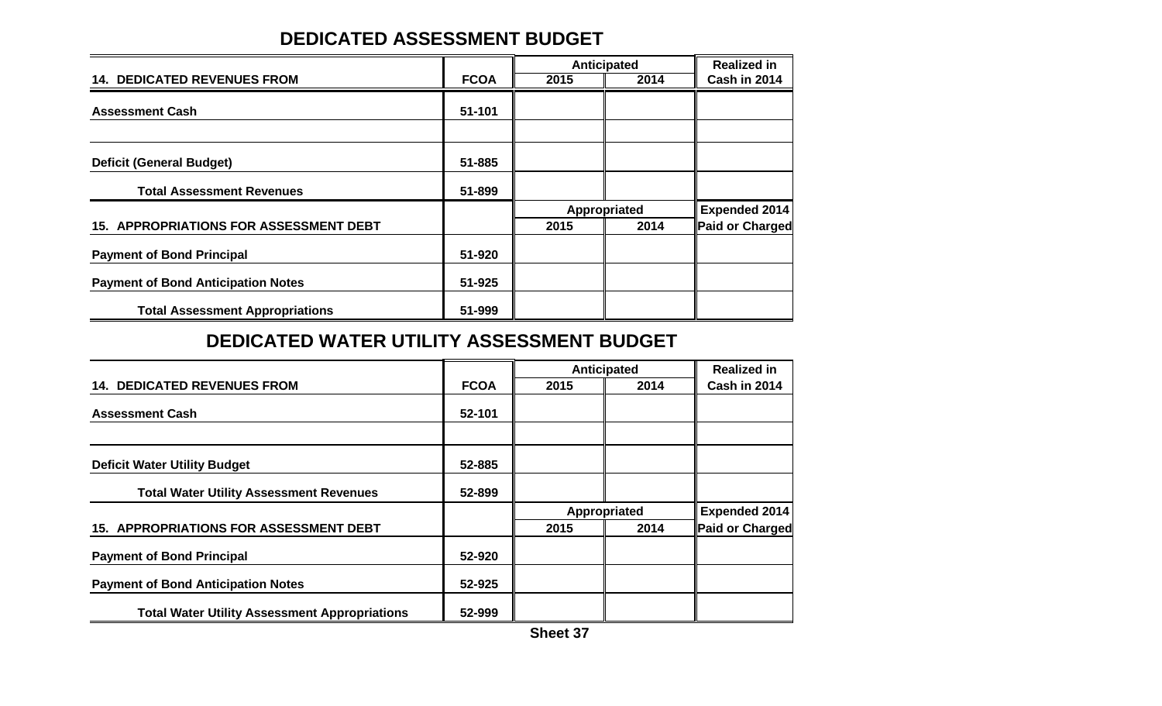# **DEDICATED ASSESSMENT BUDGET**

|                                               |             |      | <b>Anticipated</b> | <b>Realized in</b>   |
|-----------------------------------------------|-------------|------|--------------------|----------------------|
| <b>14. DEDICATED REVENUES FROM</b>            | <b>FCOA</b> | 2015 | 2014               | Cash in 2014         |
| <b>Assessment Cash</b>                        | 51-101      |      |                    |                      |
|                                               |             |      |                    |                      |
| <b>Deficit (General Budget)</b>               | 51-885      |      |                    |                      |
| <b>Total Assessment Revenues</b>              | 51-899      |      |                    |                      |
|                                               |             |      | Appropriated       | <b>Expended 2014</b> |
| <b>15. APPROPRIATIONS FOR ASSESSMENT DEBT</b> |             | 2015 | 2014               | Paid or Charged      |
| <b>Payment of Bond Principal</b>              | 51-920      |      |                    |                      |
| <b>Payment of Bond Anticipation Notes</b>     | 51-925      |      |                    |                      |
| <b>Total Assessment Appropriations</b>        | 51-999      |      |                    |                      |

### **DEDICATED WATER UTILITY ASSESSMENT BUDGET**

|                                                      |             | Anticipated |              | <b>Realized in</b>   |
|------------------------------------------------------|-------------|-------------|--------------|----------------------|
| <b>14. DEDICATED REVENUES FROM</b>                   | <b>FCOA</b> | 2015        | 2014         | Cash in 2014         |
| <b>Assessment Cash</b>                               | 52-101      |             |              |                      |
|                                                      |             |             |              |                      |
| <b>Deficit Water Utility Budget</b>                  | 52-885      |             |              |                      |
| <b>Total Water Utility Assessment Revenues</b>       | 52-899      |             |              |                      |
|                                                      |             |             | Appropriated | <b>Expended 2014</b> |
| <b>15. APPROPRIATIONS FOR ASSESSMENT DEBT</b>        |             | 2015        | 2014         | Paid or Charged      |
| <b>Payment of Bond Principal</b>                     | 52-920      |             |              |                      |
| <b>Payment of Bond Anticipation Notes</b>            | 52-925      |             |              |                      |
| <b>Total Water Utility Assessment Appropriations</b> | 52-999      |             |              |                      |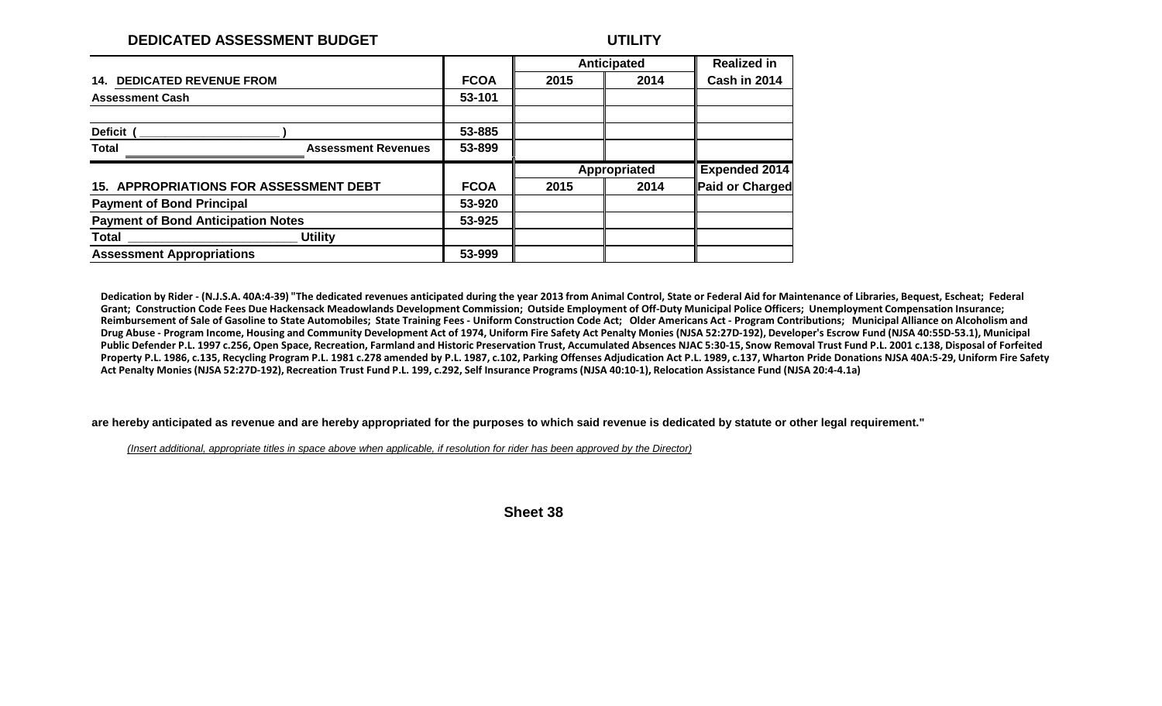#### **DEDICATED ASSESSMENT BUDGET UTILITY**

|                                               |             |      | Anticipated  | <b>Realized in</b>   |
|-----------------------------------------------|-------------|------|--------------|----------------------|
| <b>DEDICATED REVENUE FROM</b><br>14.          | <b>FCOA</b> | 2015 | 2014         | Cash in 2014         |
| <b>Assessment Cash</b>                        | 53-101      |      |              |                      |
|                                               |             |      |              |                      |
| <b>Deficit</b>                                | 53-885      |      |              |                      |
| <b>Total</b><br><b>Assessment Revenues</b>    | 53-899      |      |              |                      |
|                                               |             |      |              |                      |
|                                               |             |      | Appropriated | <b>Expended 2014</b> |
| <b>15. APPROPRIATIONS FOR ASSESSMENT DEBT</b> | <b>FCOA</b> | 2015 | 2014         | Paid or Charged      |
| <b>Payment of Bond Principal</b>              | 53-920      |      |              |                      |
| <b>Payment of Bond Anticipation Notes</b>     | 53-925      |      |              |                      |
| <b>Utility</b><br>Total                       |             |      |              |                      |

Dedication by Rider - (N.J.S.A. 40A:4-39) "The dedicated revenues anticipated during the year 2013 from Animal Control, State or Federal Aid for Maintenance of Libraries, Bequest, Escheat; Federal Grant; Construction Code Fees Due Hackensack Meadowlands Development Commission; Outside Employment of Off-Duty Municipal Police Officers; Unemployment Compensation Insurance; Reimbursement of Sale of Gasoline to State Automobiles; State Training Fees - Uniform Construction Code Act; Older Americans Act - Program Contributions; Municipal Alliance on Alcoholism and Drug Abuse - Program Income, Housing and Community Development Act of 1974, Uniform Fire Safety Act Penalty Monies (NJSA 52:27D-192), Developer's Escrow Fund (NJSA 40:55D-53.1), Municipal Public Defender P.L. 1997 c.256, Open Space, Recreation, Farmland and Historic Preservation Trust, Accumulated Absences NJAC 5:30-15, Snow Removal Trust Fund P.L. 2001 c.138, Disposal of Forfeited Property P.L. 1986, c.135, Recycling Program P.L. 1981 c.278 amended by P.L. 1987, c.102, Parking Offenses Adjudication Act P.L. 1989, c.137, Wharton Pride Donations NJSA 40A:5-29, Uniform Fire Safety Act Penalty Monies (NJSA 52:27D-192), Recreation Trust Fund P.L. 199, c.292, Self Insurance Programs (NJSA 40:10-1), Relocation Assistance Fund (NJSA 20:4-4.1a)

**are hereby anticipated as revenue and are hereby appropriated for the purposes to which said revenue is dedicated by statute or other legal requirement."**

*(Insert additional, appropriate titles in space above when applicable, if resolution for rider has been approved by the Director)*

**Sheet 38**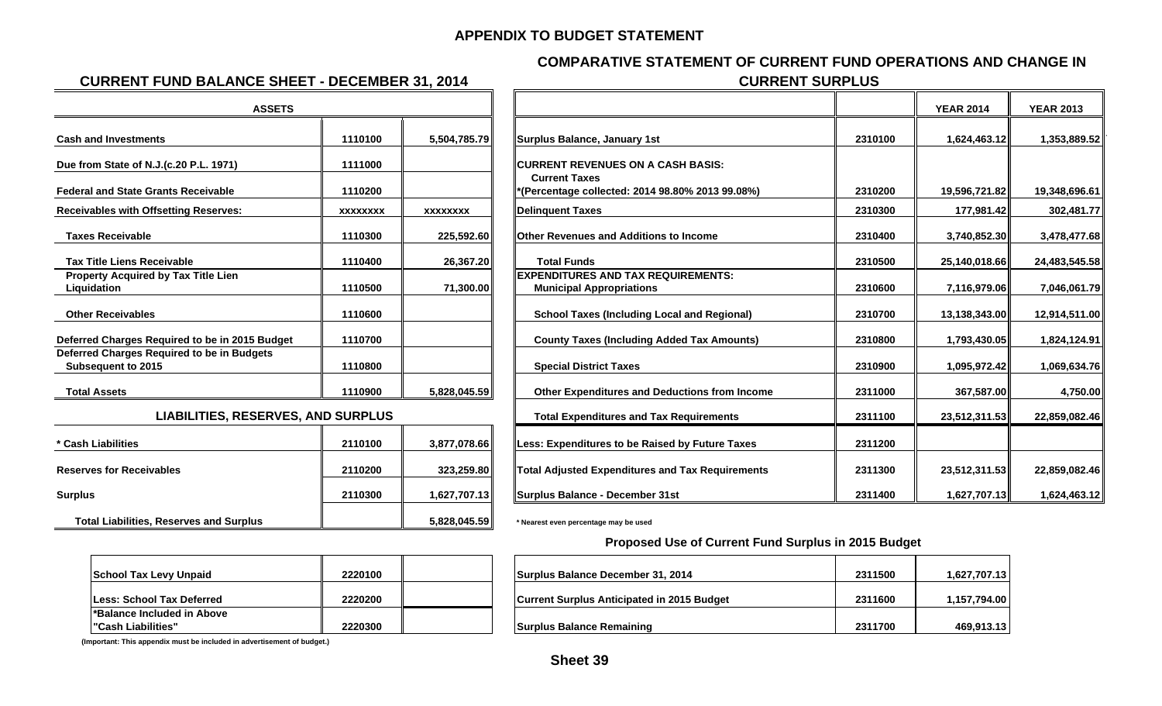#### **APPENDIX TO BUDGET STATEMENT**

#### **COMPARATIVE STATEMENT OF CURRENT FUND OPERATIONS AND CHANGE IN**

#### **CURRENT FUND BALANCE SHEET - DECEMBER 31, 2014 CURRENT SURPLUS**

| <b>ASSETS</b>                                                    |                 |                 |                                                                              |         |
|------------------------------------------------------------------|-----------------|-----------------|------------------------------------------------------------------------------|---------|
| <b>Cash and Investments</b>                                      | 1110100         | 5,504,785.79    | Surplus Balance, January 1st                                                 | 2310100 |
| Due from State of N.J.(c.20 P.L. 1971)                           | 1111000         |                 | <b>ICURRENT REVENUES ON A CASH BASIS:</b>                                    |         |
| <b>Federal and State Grants Receivable</b>                       | 1110200         |                 | <b>Current Taxes</b><br>(Percentage collected: 2014 98.80% 2013 99.08%)      | 2310200 |
| <b>Receivables with Offsetting Reserves:</b>                     | <b>XXXXXXXX</b> | <b>XXXXXXXX</b> | <b>Delinquent Taxes</b>                                                      | 2310300 |
| <b>Taxes Receivable</b>                                          | 1110300         | 225,592.60      | <b>Other Revenues and Additions to Income</b>                                | 2310400 |
| <b>Tax Title Liens Receivable</b>                                | 1110400         | 26,367.20       | <b>Total Funds</b>                                                           | 2310500 |
| <b>Property Acquired by Tax Title Lien</b><br>Liquidation        | 1110500         | 71,300.00       | <b>EXPENDITURES AND TAX REQUIREMENTS:</b><br><b>Municipal Appropriations</b> | 2310600 |
| <b>Other Receivables</b>                                         | 1110600         |                 | <b>School Taxes (Including Local and Regional)</b>                           | 2310700 |
| Deferred Charges Required to be in 2015 Budget                   | 1110700         |                 | <b>County Taxes (Including Added Tax Amounts)</b>                            | 2310800 |
| Deferred Charges Required to be in Budgets<br>Subsequent to 2015 | 1110800         |                 | <b>Special District Taxes</b>                                                | 2310900 |
| <b>Total Assets</b>                                              | 1110900         | 5,828,045.59    | Other Expenditures and Deductions from Income                                | 2311000 |
| <b>LIABILITIES, RESERVES, AND SURPLUS</b>                        |                 |                 | <b>Total Expenditures and Tax Requirements</b>                               | 2311100 |
| * Cash Liabilities                                               | 2110100         | 3,877,078.66    | Less: Expenditures to be Raised by Future Taxes                              | 2311200 |
| <b>Reserves for Receivables</b>                                  | 2110200         | 323,259.80      | <b>Total Adjusted Expenditures and Tax Requirements</b>                      | 2311300 |
| <b>Surplus</b>                                                   | 2110300         | 1,627,707.13    | Surplus Balance - December 31st                                              | 2311400 |
| <b>Total Liabilities, Reserves and Surplus</b>                   |                 | 5,828,045.59    | * Nearest even percentage may be used                                        |         |

|                 |                                           |                                                                              |                      | <b>YEAR 2014</b> | <b>YEAR 2013</b> |
|-----------------|-------------------------------------------|------------------------------------------------------------------------------|----------------------|------------------|------------------|
| 1110100         | 5,504,785.79                              | Surplus Balance, January 1st                                                 | 2310100              | 1,624,463.12     | 1,353,889.52     |
| 1111000         |                                           | <b>CURRENT REVENUES ON A CASH BASIS:</b>                                     |                      |                  |                  |
| 1110200         |                                           | "(Percentage collected: 2014 98.80% 2013 99.08%)                             | 2310200              | 19,596,721.82    | 19,348,696.61    |
| <b>XXXXXXXX</b> | <b>XXXXXXXX</b>                           | <b>Delinquent Taxes</b>                                                      | 2310300              | 177,981.42       | 302,481.77       |
| 1110300         | 225,592.60                                | <b>Other Revenues and Additions to Income</b>                                | 2310400              | 3,740,852.30     | 3,478,477.68     |
| 1110400         | 26,367.20                                 | <b>Total Funds</b>                                                           | 2310500              | 25,140,018.66    | 24,483,545.58    |
| 1110500         | 71,300.00                                 | <b>EXPENDITURES AND TAX REQUIREMENTS:</b><br><b>Municipal Appropriations</b> | 2310600              | 7,116,979.06     | 7,046,061.79     |
| 1110600         |                                           | <b>School Taxes (Including Local and Regional)</b>                           | 2310700              | 13,138,343.00    | 12,914,511.00    |
| 1110700         |                                           | <b>County Taxes (Including Added Tax Amounts)</b>                            | 2310800              | 1,793,430.05     | 1,824,124.91     |
| 1110800         |                                           | <b>Special District Taxes</b>                                                | 2310900              | 1,095,972.42     | 1,069,634.76     |
| 1110900         | 5,828,045.59                              | Other Expenditures and Deductions from Income                                | 2311000              | 367,587.00       | 4,750.00         |
|                 |                                           | <b>Total Expenditures and Tax Requirements</b>                               | 2311100              | 23,512,311.53    | 22,859,082.46    |
| 2110100         | 3,877,078.66                              | Less: Expenditures to be Raised by Future Taxes                              | 2311200              |                  |                  |
| 2110200         | 323,259.80                                | <b>Total Adjusted Expenditures and Tax Requirements</b>                      | 2311300              | 23,512,311.53    | 22,859,082.46    |
| 2110300         | 1,627,707.13                              | Surplus Balance - December 31st                                              | 2311400              | 1,627,707.13     | 1,624,463.12     |
|                 | <b>LIABILITIES, RESERVES, AND SURPLUS</b> |                                                                              | <b>Current Taxes</b> |                  |                  |

#### **Proposed Use of Current Fund Surplus in 2015 Budget**

| <b>School Tax Levy Unpaid</b>     | 2220100 |  |
|-----------------------------------|---------|--|
|                                   |         |  |
| <b>ILess: School Tax Deferred</b> | 2220200 |  |
| l*Balance Included in Above       |         |  |
| l"Cash Liabilities"               | 2220300 |  |

**(Important: This appendix must be included in advertisement of budget.)**

| School Tax Levy Unpaid                           | 2220100 | Surplus Balance December 31, 2014                 | 2311500 | 1,627,707.13   |
|--------------------------------------------------|---------|---------------------------------------------------|---------|----------------|
| Less: School Tax Deferred                        | 2220200 | <b>Current Surplus Anticipated in 2015 Budget</b> | 2311600 | ∣157,794.00. ا |
| *Balance Included in Above<br>"Cash Liabilities" | 2220300 | Surplus Balance Remaining                         | 2311700 | 469,913.13     |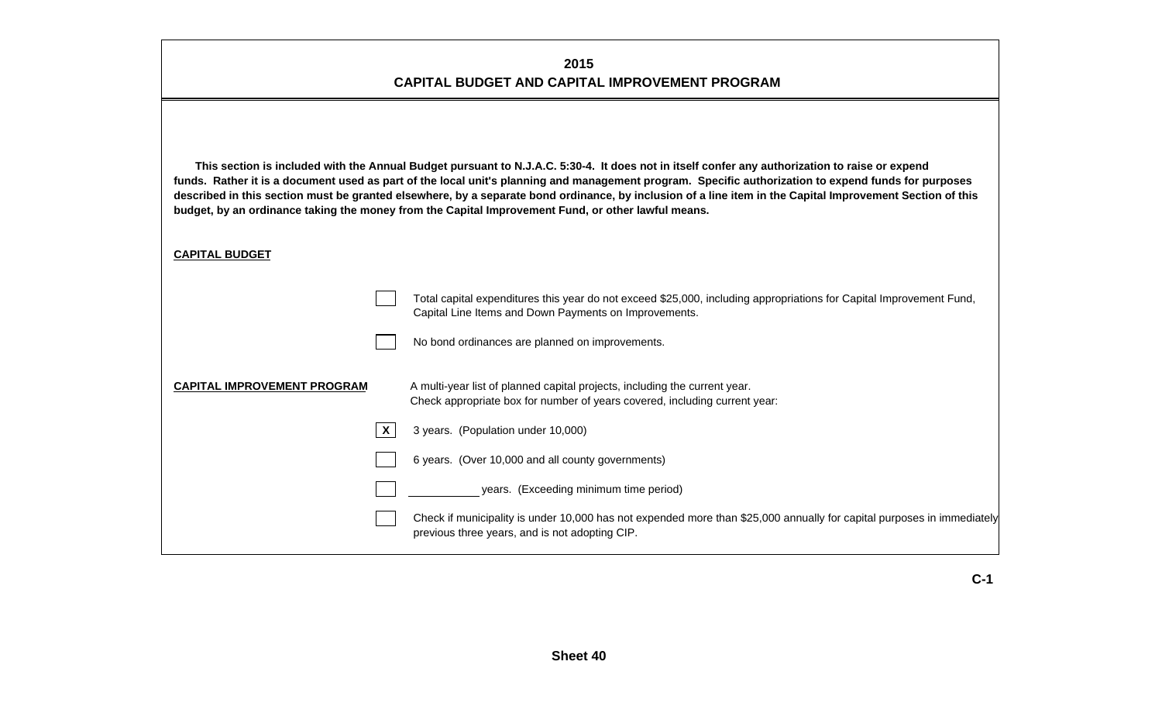#### **2015 CAPITAL BUDGET AND CAPITAL IMPROVEMENT PROGRAM**

| This section is included with the Annual Budget pursuant to N.J.A.C. 5:30-4. It does not in itself confer any authorization to raise or expend<br>funds. Rather it is a document used as part of the local unit's planning and management program. Specific authorization to expend funds for purposes<br>described in this section must be granted elsewhere, by a separate bond ordinance, by inclusion of a line item in the Capital Improvement Section of this<br>budget, by an ordinance taking the money from the Capital Improvement Fund, or other lawful means. |
|---------------------------------------------------------------------------------------------------------------------------------------------------------------------------------------------------------------------------------------------------------------------------------------------------------------------------------------------------------------------------------------------------------------------------------------------------------------------------------------------------------------------------------------------------------------------------|
| <b>CAPITAL BUDGET</b>                                                                                                                                                                                                                                                                                                                                                                                                                                                                                                                                                     |

|                                    | Total capital expenditures this year do not exceed \$25,000, including appropriations for Capital Improvement Fund,<br>Capital Line Items and Down Payments on Improvements. |
|------------------------------------|------------------------------------------------------------------------------------------------------------------------------------------------------------------------------|
|                                    | No bond ordinances are planned on improvements.                                                                                                                              |
| <b>CAPITAL IMPROVEMENT PROGRAM</b> | A multi-year list of planned capital projects, including the current year.<br>Check appropriate box for number of years covered, including current year:                     |
|                                    | 3 years. (Population under 10,000)                                                                                                                                           |
|                                    | 6 years. (Over 10,000 and all county governments)                                                                                                                            |
|                                    | years. (Exceeding minimum time period)                                                                                                                                       |
|                                    | Check if municipality is under 10,000 has not expended more than \$25,000 annually for capital purposes in immediately<br>previous three years, and is not adopting CIP.     |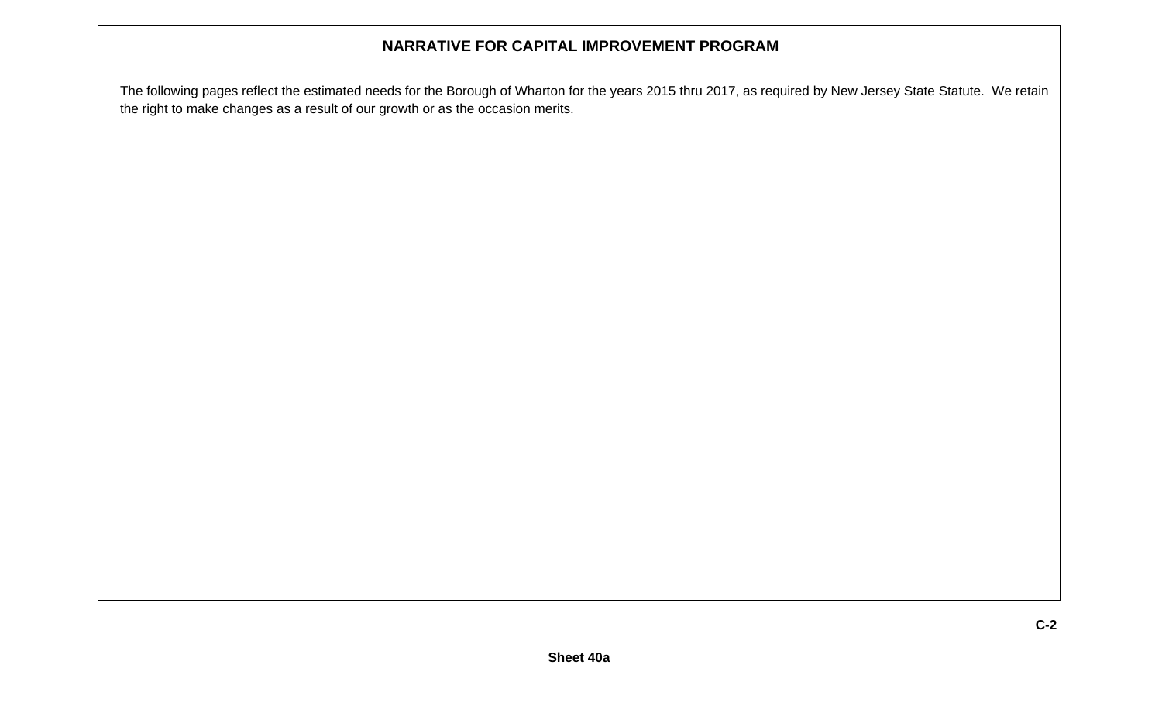### **NARRATIVE FOR CAPITAL IMPROVEMENT PROGRAM**

The following pages reflect the estimated needs for the Borough of Wharton for the years 2015 thru 2017, as required by New Jersey State Statute. We retain the right to make changes as a result of our growth or as the occasion merits.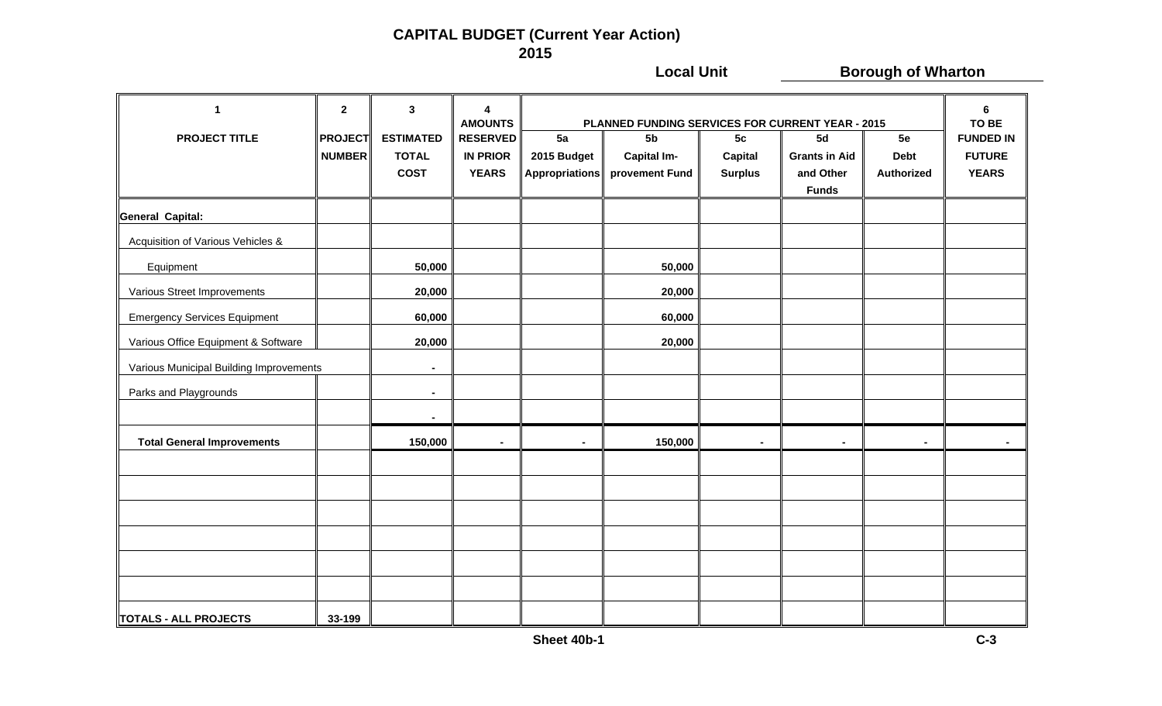### **CAPITAL BUDGET (Current Year Action) 2015**

**Local Unit Consumersion Borough of Wharton 1 23 4 6 AMOUNTS PLANNED FUNDING SERVICES FOR CURRENT YEAR - 2015 TO BEPROJECT TITLE PROJECT ESTIMATED RESERVED 5a 5b 5c 5d 5e FUNDED INNUMBER TOTAL IN PRIOR 2015 Budget Capital Im- Capital Grants in Aid Debt FUTURE COST YEARS Appropriations provement Fund Surplus and Other Authorized YEARS Funds General Capital:** Acquisition of Various Vehicles & Equipment **50,000 50,000** Various Street Improvements **20,000 20,000 20,000 20,000** Emergency Services Equipment **60,000 60,000** Various Office Equipment & Software  $\|\qquad\|$  20,000  $\|\qquad\|$  20,000 **20,000** Various Municipal Building Improvements **-** Parks and Playgrounds **Fig. 1 Fig. 1 --**Total General Improvements ┃ ┃ 150,000 ┃ - ┃ - 150,000 ┃ - ┃ - - - -**TOTALS - ALL PROJECTS 33-199**33-199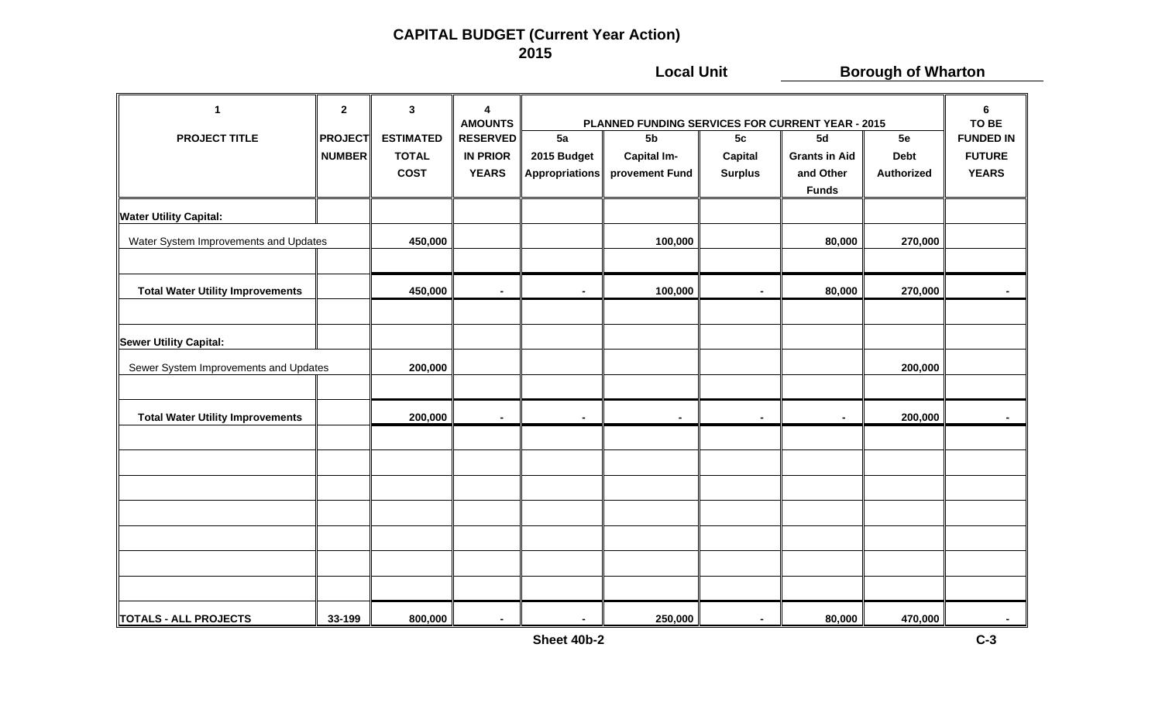### **CAPITAL BUDGET (Current Year Action) 2015**

**Local Unit Consumersion Borough of Wharton 1 23 4 6 AMOUNTS PLANNED FUNDING SERVICES FOR CURRENT YEAR - 2015 TO BEPROJECT TITLE PROJECT ESTIMATED RESERVED 5a 5b 5c 5d 5e FUNDED INNUMBER TOTAL IN PRIOR 2015 Budget Capital Im- Capital Grants in Aid Debt FUTURE COST YEARS Appropriations provement Fund Surplus and Other Authorized YEARS Funds Water Utility Capital:** Water System Improvements and Updates **100000 100000 100000 100000 100000 100000** 100,000 **80,000** 270,000 — Total Water Utility Improvements │ │ 450,000 │ - │ 100,000 │ - │ 80,000 │ 270,000 │ -**Sewer Utility Capital:** Sewer System Improvements and Updates **200,000 200,000 Total Water Utility Improvements 200,000 - - - - - 200,000 -**  $\parallel$ TOTALS - ALL PROJECTS │ 33-199 │ 800,000 │ - │ - │ 250,000 │ - │ 80,000 │ 470,000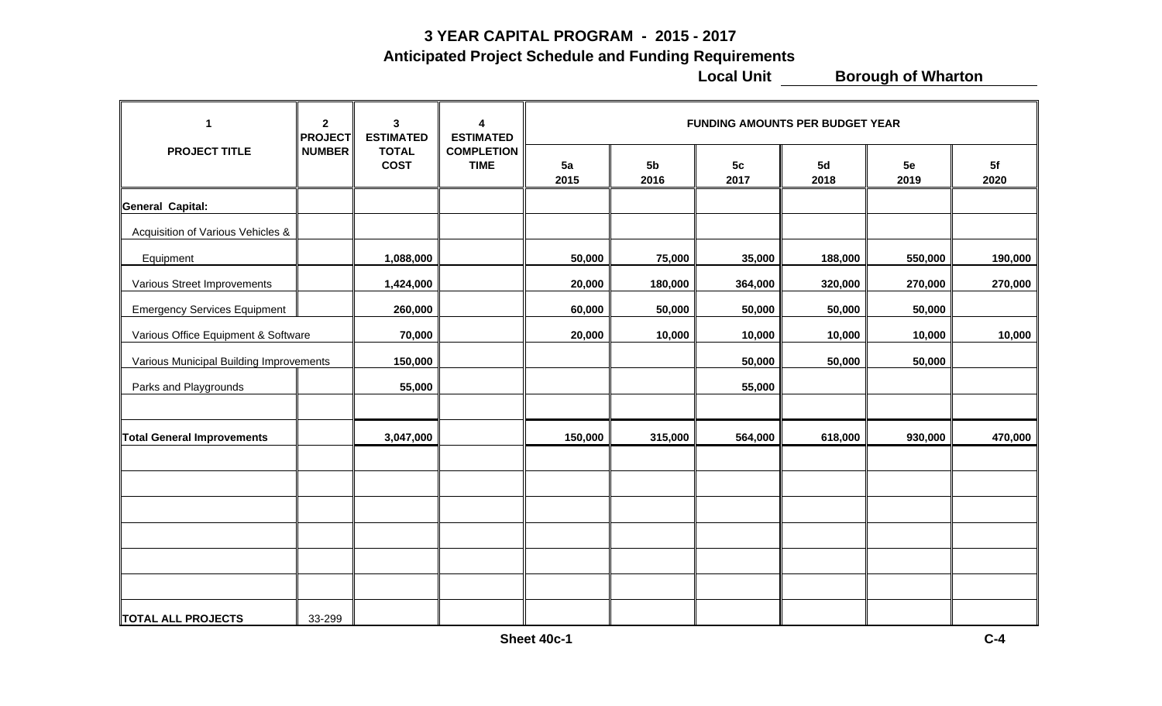#### **3 YEAR CAPITAL PROGRAM - 2015 - 2017**

 **Anticipated Project Schedule and Funding Requirements**

**Local Unit COLOGOCOLOGOCOLOGOCOLOGOCOLOGOCOLOGOCOLOGOCOLOGOCOLOGOCOLOGOCOLOGOCOLOGOCOLOGOCOLOGOCOLOGOCOLOGOCOLOGOCOLOGOCOLOGOCOLOGOCOLOGOCOLOGOCOLOGOCOLOGOCOLOGOCOLOGOCOLOGOCOLOGOCOLOGOCOLOGOCOLOGOCOLOGOCOLOGOCOLOGOCOLO** 

| 1                                       | $\mathbf{2}$<br><b>PROJECT</b> | $\mathbf{3}$<br><b>ESTIMATED</b><br><b>TOTAL</b><br><b>COST</b> | 4<br><b>ESTIMATED</b> | <b>FUNDING AMOUNTS PER BUDGET YEAR</b> |            |                        |                        |            |            |            |  |
|-----------------------------------------|--------------------------------|-----------------------------------------------------------------|-----------------------|----------------------------------------|------------|------------------------|------------------------|------------|------------|------------|--|
| <b>PROJECT TITLE</b>                    | <b>NUMBER</b>                  |                                                                 |                       | <b>COMPLETION</b><br><b>TIME</b>       | 5a<br>2015 | 5 <sub>b</sub><br>2016 | 5 <sub>c</sub><br>2017 | 5d<br>2018 | 5e<br>2019 | 5f<br>2020 |  |
| General Capital:                        |                                |                                                                 |                       |                                        |            |                        |                        |            |            |            |  |
| Acquisition of Various Vehicles &       |                                |                                                                 |                       |                                        |            |                        |                        |            |            |            |  |
| Equipment                               |                                | 1,088,000                                                       |                       | 50,000                                 | 75,000     | 35,000                 | 188,000                | 550,000    | 190,000    |            |  |
| Various Street Improvements             |                                | 1,424,000                                                       |                       | 20,000                                 | 180,000    | 364,000                | 320,000                | 270,000    | 270,000    |            |  |
| <b>Emergency Services Equipment</b>     |                                | 260,000                                                         |                       | 60,000                                 | 50,000     | 50,000                 | 50,000                 | 50,000     |            |            |  |
| Various Office Equipment & Software     |                                | 70,000                                                          |                       | 20,000                                 | 10,000     | 10,000                 | 10,000                 | 10,000     | 10,000     |            |  |
| Various Municipal Building Improvements |                                | 150,000                                                         |                       |                                        |            | 50,000                 | 50,000                 | 50,000     |            |            |  |
| Parks and Playgrounds                   |                                | 55,000                                                          |                       |                                        |            | 55,000                 |                        |            |            |            |  |
|                                         |                                |                                                                 |                       |                                        |            |                        |                        |            |            |            |  |
| <b>Total General Improvements</b>       |                                | 3,047,000                                                       |                       | 150,000                                | 315,000    | 564,000                | 618,000                | 930,000    | 470,000    |            |  |
|                                         |                                |                                                                 |                       |                                        |            |                        |                        |            |            |            |  |
|                                         |                                |                                                                 |                       |                                        |            |                        |                        |            |            |            |  |
|                                         |                                |                                                                 |                       |                                        |            |                        |                        |            |            |            |  |
|                                         |                                |                                                                 |                       |                                        |            |                        |                        |            |            |            |  |
|                                         |                                |                                                                 |                       |                                        |            |                        |                        |            |            |            |  |
|                                         |                                |                                                                 |                       |                                        |            |                        |                        |            |            |            |  |
| <b>TOTAL ALL PROJECTS</b>               | 33-299                         |                                                                 |                       |                                        |            |                        |                        |            |            |            |  |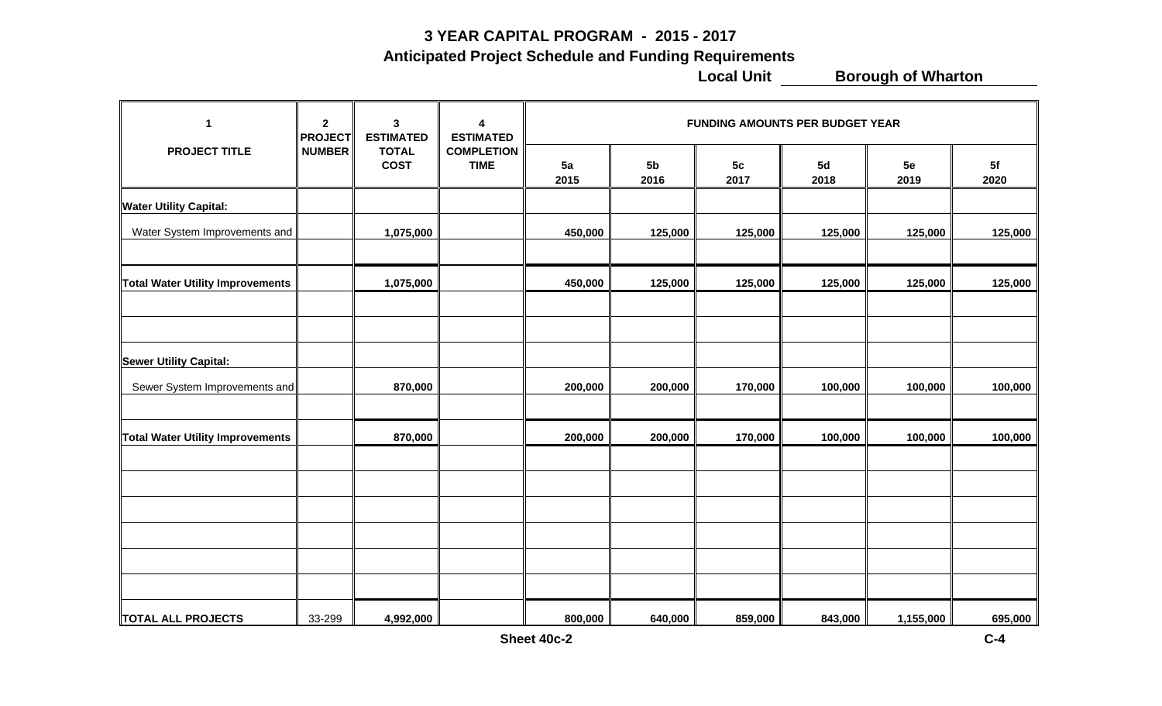#### **3 YEAR CAPITAL PROGRAM - 2015 - 2017**

 **Anticipated Project Schedule and Funding Requirements**

**Local Unit COLOGOCOLOGOCOLOGOCOLOGOCOLOGOCOLOGOCOLOGOCOLOGOCOLOGOCOLOGOCOLOGOCOLOGOCOLOGOCOLOGOCOLOGOCOLOGOCOLOGOCOLOGOCOLOGOCOLOGOCOLOGOCOLOGOCOLOGOCOLOGOCOLOGOCOLOGOCOLOGOCOLOGOCOLOGOCOLOGOCOLOGOCOLOGOCOLOGOCOLOGOCOLO** 

| 1                                | $\overline{2}$<br><b>PROJECT</b> | $\mathbf{3}$<br><b>ESTIMATED</b> | 4<br><b>ESTIMATED</b><br><b>COMPLETION</b><br><b>TIME</b> | <b>FUNDING AMOUNTS PER BUDGET YEAR</b> |                        |            |            |            |            |  |
|----------------------------------|----------------------------------|----------------------------------|-----------------------------------------------------------|----------------------------------------|------------------------|------------|------------|------------|------------|--|
| <b>PROJECT TITLE</b>             | <b>NUMBER</b>                    | <b>TOTAL</b><br><b>COST</b>      |                                                           | 5a<br>2015                             | 5 <sub>b</sub><br>2016 | 5c<br>2017 | 5d<br>2018 | 5e<br>2019 | 5f<br>2020 |  |
| <b>Water Utility Capital:</b>    |                                  |                                  |                                                           |                                        |                        |            |            |            |            |  |
| Water System Improvements and    |                                  | 1,075,000                        |                                                           | 450,000                                | 125,000                | 125,000    | 125,000    | 125,000    | 125,000    |  |
| Total Water Utility Improvements |                                  | 1,075,000                        |                                                           | 450,000                                | 125,000                | 125,000    | 125,000    | 125,000    | 125,000    |  |
|                                  |                                  |                                  |                                                           |                                        |                        |            |            |            |            |  |
| <b>Sewer Utility Capital:</b>    |                                  |                                  |                                                           |                                        |                        |            |            |            |            |  |
| Sewer System Improvements and    |                                  | 870,000                          |                                                           | 200,000                                | 200,000                | 170,000    | 100,000    | 100,000    | 100,000    |  |
| Total Water Utility Improvements |                                  | 870,000                          |                                                           | 200,000                                | 200,000                | 170,000    | 100,000    | 100,000    | 100,000    |  |
|                                  |                                  |                                  |                                                           |                                        |                        |            |            |            |            |  |
|                                  |                                  |                                  |                                                           |                                        |                        |            |            |            |            |  |
|                                  |                                  |                                  |                                                           |                                        |                        |            |            |            |            |  |
|                                  |                                  |                                  |                                                           |                                        |                        |            |            |            |            |  |
| <b>TOTAL ALL PROJECTS</b>        | 33-299                           | 4,992,000                        |                                                           | 800,000                                | 640,000                | 859,000    | 843,000    | 1,155,000  | 695,000    |  |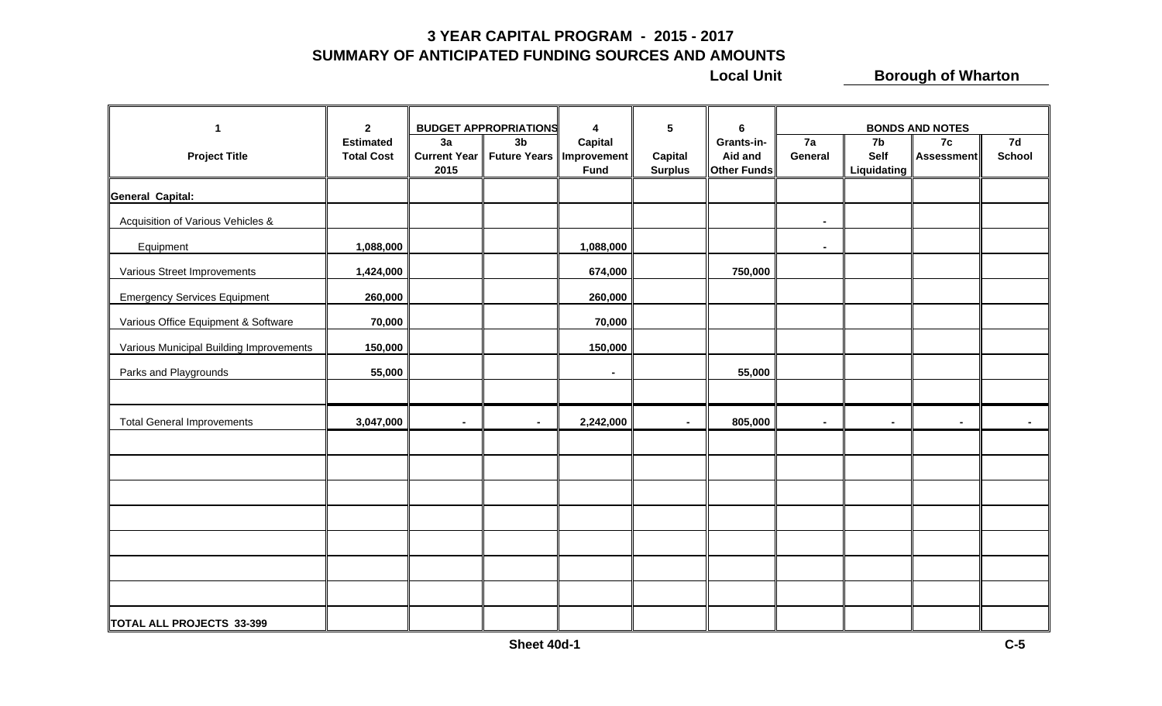#### **3 YEAR CAPITAL PROGRAM - 2015 - 2017 SUMMARY OF ANTICIPATED FUNDING SOURCES AND AMOUNTS**

**Local Unit COLOGIST BOROUGH OF Wharton** 

| 1                                       | $\overline{2}$                        |                                                                             | <b>BUDGET APPROPRIATIONS</b> | 4                      | 5                         | 6                                    | <b>BONDS AND NOTES</b> |                           |                         |                |
|-----------------------------------------|---------------------------------------|-----------------------------------------------------------------------------|------------------------------|------------------------|---------------------------|--------------------------------------|------------------------|---------------------------|-------------------------|----------------|
| <b>Project Title</b>                    | <b>Estimated</b><br><b>Total Cost</b> | 3a<br>3 <sub>b</sub><br>Current Year   Future Years   Improvement  <br>2015 |                              | Capital<br><b>Fund</b> | Capital<br><b>Surplus</b> | Grants-in-<br>Aid and<br>Other Funds | 7a<br>General          | 7b<br>Self<br>Liquidating | 7c<br><b>Assessment</b> | 7d<br>School   |
| <b>General Capital:</b>                 |                                       |                                                                             |                              |                        |                           |                                      |                        |                           |                         |                |
| Acquisition of Various Vehicles &       |                                       |                                                                             |                              |                        |                           |                                      | $\sim$                 |                           |                         |                |
| Equipment                               | 1,088,000                             |                                                                             |                              | 1,088,000              |                           |                                      | $\blacksquare$         |                           |                         |                |
| Various Street Improvements             | 1,424,000                             |                                                                             |                              | 674,000                |                           | 750,000                              |                        |                           |                         |                |
| <b>Emergency Services Equipment</b>     | 260,000                               |                                                                             |                              | 260,000                |                           |                                      |                        |                           |                         |                |
| Various Office Equipment & Software     | 70,000                                |                                                                             |                              | 70,000                 |                           |                                      |                        |                           |                         |                |
| Various Municipal Building Improvements | 150,000                               |                                                                             |                              | 150,000                |                           |                                      |                        |                           |                         |                |
| Parks and Playgrounds                   | 55,000                                |                                                                             |                              | $\blacksquare$         |                           | 55,000                               |                        |                           |                         |                |
|                                         |                                       |                                                                             |                              |                        |                           |                                      |                        |                           |                         |                |
| <b>Total General Improvements</b>       | 3,047,000                             | $\sim$                                                                      | $\blacksquare$               | 2,242,000              | $\blacksquare$            | 805,000                              | $\blacksquare$         | ۰.                        | $\blacksquare$          | $\blacksquare$ |
|                                         |                                       |                                                                             |                              |                        |                           |                                      |                        |                           |                         |                |
|                                         |                                       |                                                                             |                              |                        |                           |                                      |                        |                           |                         |                |
|                                         |                                       |                                                                             |                              |                        |                           |                                      |                        |                           |                         |                |
|                                         |                                       |                                                                             |                              |                        |                           |                                      |                        |                           |                         |                |
|                                         |                                       |                                                                             |                              |                        |                           |                                      |                        |                           |                         |                |
|                                         |                                       |                                                                             |                              |                        |                           |                                      |                        |                           |                         |                |
|                                         |                                       |                                                                             |                              |                        |                           |                                      |                        |                           |                         |                |
| TOTAL ALL PROJECTS 33-399               |                                       |                                                                             |                              |                        |                           |                                      |                        |                           |                         |                |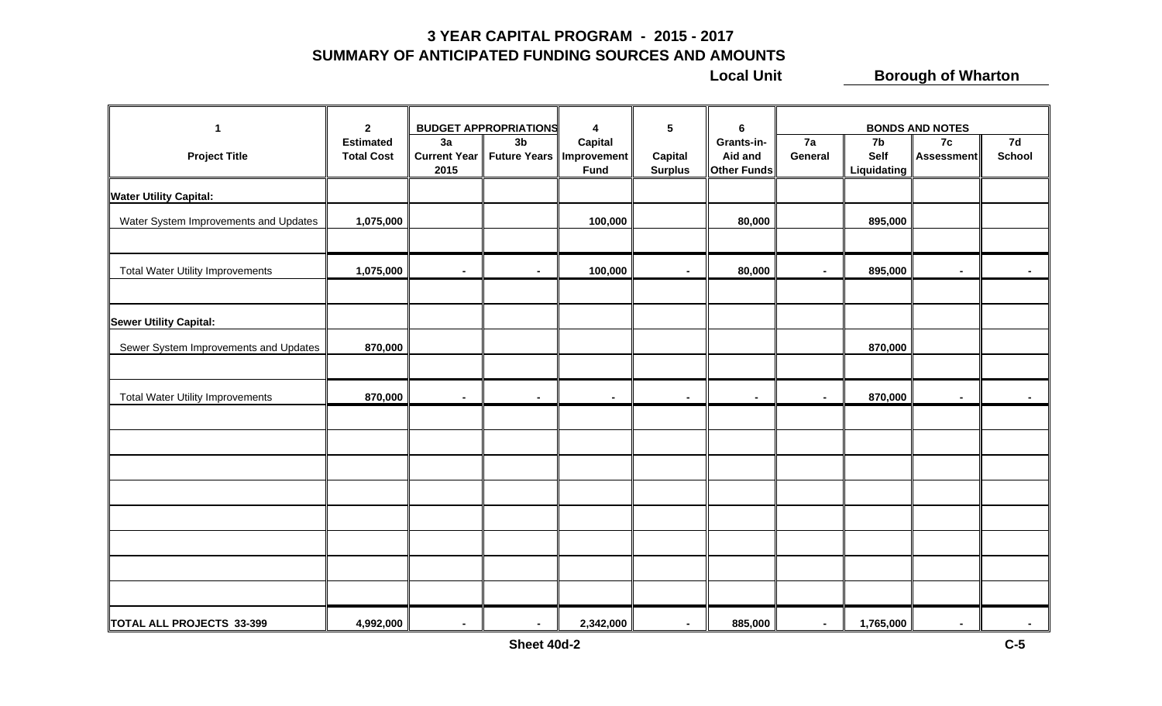#### **3 YEAR CAPITAL PROGRAM - 2015 - 2017 SUMMARY OF ANTICIPATED FUNDING SOURCES AND AMOUNTS**

**Local Unit COLOGIST BOROUGH OF Wharton** 

| $\mathbf{1}$                            | $\overline{2}$                        |                                   | <b>BUDGET APPROPRIATIONS</b> | $\boldsymbol{4}$                                     | $5\phantom{a}$                   | 6                                           |                | <b>BONDS AND NOTES</b>    |                          |                     |
|-----------------------------------------|---------------------------------------|-----------------------------------|------------------------------|------------------------------------------------------|----------------------------------|---------------------------------------------|----------------|---------------------------|--------------------------|---------------------|
| <b>Project Title</b>                    | <b>Estimated</b><br><b>Total Cost</b> | 3a<br><b>Current Year</b><br>2015 | 3 <sub>b</sub>               | <b>Capital</b><br>Future Years   Improvement<br>Fund | <b>Capital</b><br><b>Surplus</b> | Grants-in-<br>Aid and<br><b>Other Funds</b> | 7a<br>General  | 7b<br>Self<br>Liquidating | 7c<br><b>Assessment</b>  | 7d<br><b>School</b> |
| <b>Water Utility Capital:</b>           |                                       |                                   |                              |                                                      |                                  |                                             |                |                           |                          |                     |
| Water System Improvements and Updates   | 1,075,000                             |                                   |                              | 100,000                                              |                                  | 80,000                                      |                | 895,000                   |                          |                     |
| <b>Total Water Utility Improvements</b> | 1,075,000                             | $\sim$                            | $\blacksquare$               | 100,000                                              | $\blacksquare$                   | 80,000                                      | $\blacksquare$ | 895,000                   | $\blacksquare$           | $\blacksquare$      |
|                                         |                                       |                                   |                              |                                                      |                                  |                                             |                |                           |                          |                     |
| <b>Sewer Utility Capital:</b>           |                                       |                                   |                              |                                                      |                                  |                                             |                |                           |                          |                     |
| Sewer System Improvements and Updates   | 870,000                               |                                   |                              |                                                      |                                  |                                             |                | 870,000                   |                          |                     |
|                                         |                                       |                                   |                              |                                                      |                                  |                                             |                |                           |                          |                     |
| <b>Total Water Utility Improvements</b> | 870,000                               | $\sim$                            | $\blacksquare$               | $\blacksquare$                                       | $\sim$                           | $\blacksquare$                              | $\blacksquare$ | 870,000                   | $\blacksquare$           |                     |
|                                         |                                       |                                   |                              |                                                      |                                  |                                             |                |                           |                          |                     |
|                                         |                                       |                                   |                              |                                                      |                                  |                                             |                |                           |                          |                     |
|                                         |                                       |                                   |                              |                                                      |                                  |                                             |                |                           |                          |                     |
|                                         |                                       |                                   |                              |                                                      |                                  |                                             |                |                           |                          |                     |
|                                         |                                       |                                   |                              |                                                      |                                  |                                             |                |                           |                          |                     |
|                                         |                                       |                                   |                              |                                                      |                                  |                                             |                |                           |                          |                     |
|                                         |                                       |                                   |                              |                                                      |                                  |                                             |                |                           |                          |                     |
|                                         |                                       |                                   |                              |                                                      |                                  |                                             |                |                           |                          |                     |
| TOTAL ALL PROJECTS 33-399               | 4,992,000                             | $\blacksquare$                    | $\sim$                       | 2,342,000                                            | $\blacksquare$                   | 885,000                                     | $\sim$         | 1,765,000                 | $\overline{\phantom{a}}$ |                     |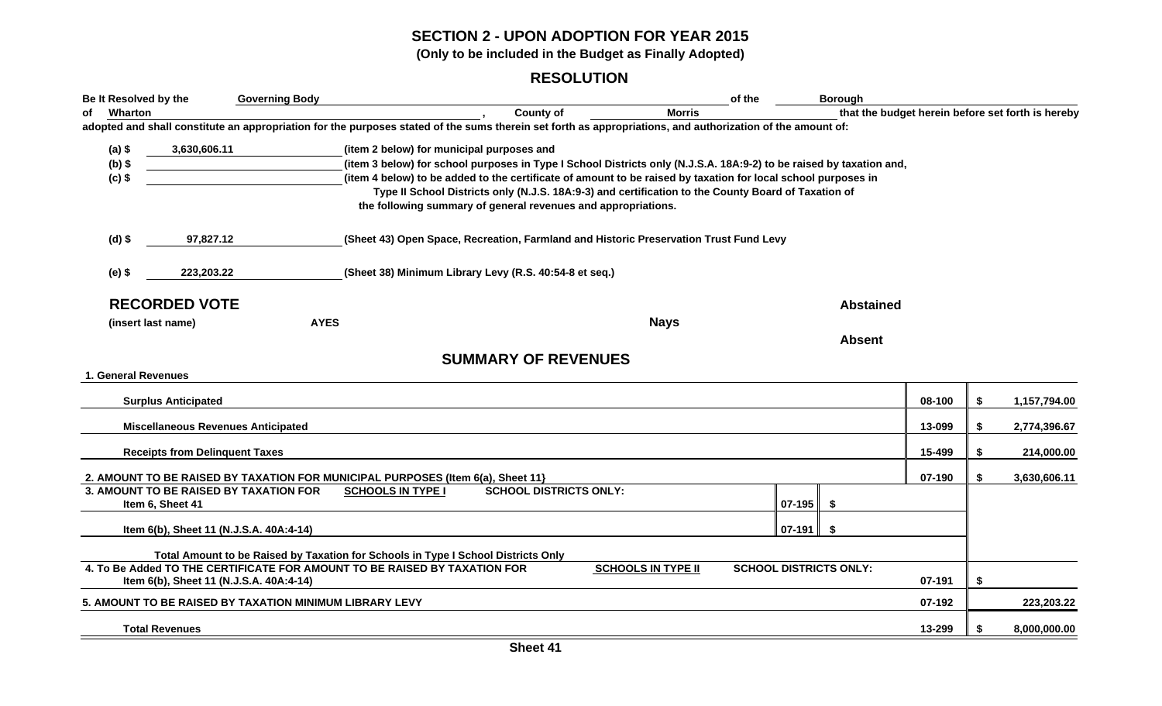#### **SECTION 2 - UPON ADOPTION FOR YEAR 2015**

**(Only to be included in the Budget as Finally Adopted)**

#### **RESOLUTION**

| Be It Resolved by the                                   | <b>Governing Body</b>                   |                                                                                                                                                                      |                           | of the                                            |        | <b>Borough</b>                |        |    |              |  |
|---------------------------------------------------------|-----------------------------------------|----------------------------------------------------------------------------------------------------------------------------------------------------------------------|---------------------------|---------------------------------------------------|--------|-------------------------------|--------|----|--------------|--|
| Wharton<br>of                                           |                                         | <b>County of</b>                                                                                                                                                     | <b>Morris</b>             | that the budget herein before set forth is hereby |        |                               |        |    |              |  |
|                                                         |                                         | adopted and shall constitute an appropriation for the purposes stated of the sums therein set forth as appropriations, and authorization of the amount of:           |                           |                                                   |        |                               |        |    |              |  |
| $(a)$ \$<br>3,630,606.11                                |                                         | (item 2 below) for municipal purposes and                                                                                                                            |                           |                                                   |        |                               |        |    |              |  |
| $(b)$ \$                                                |                                         | (item 3 below) for school purposes in Type I School Districts only (N.J.S.A. 18A:9-2) to be raised by taxation and,                                                  |                           |                                                   |        |                               |        |    |              |  |
| $(c)$ \$                                                |                                         | (item 4 below) to be added to the certificate of amount to be raised by taxation for local school purposes in                                                        |                           |                                                   |        |                               |        |    |              |  |
|                                                         |                                         | Type II School Districts only (N.J.S. 18A:9-3) and certification to the County Board of Taxation of<br>the following summary of general revenues and appropriations. |                           |                                                   |        |                               |        |    |              |  |
| $(d)$ \$<br>97,827.12                                   |                                         | (Sheet 43) Open Space, Recreation, Farmland and Historic Preservation Trust Fund Levy                                                                                |                           |                                                   |        |                               |        |    |              |  |
| $(e)$ \$<br>223,203.22                                  |                                         | (Sheet 38) Minimum Library Levy (R.S. 40:54-8 et seq.)                                                                                                               |                           |                                                   |        |                               |        |    |              |  |
| <b>RECORDED VOTE</b>                                    |                                         |                                                                                                                                                                      |                           |                                                   |        | <b>Abstained</b>              |        |    |              |  |
| (insert last name)                                      | <b>AYES</b>                             |                                                                                                                                                                      | <b>Nays</b>               |                                                   |        |                               |        |    |              |  |
|                                                         |                                         |                                                                                                                                                                      |                           |                                                   |        | <b>Absent</b>                 |        |    |              |  |
|                                                         |                                         | <b>SUMMARY OF REVENUES</b>                                                                                                                                           |                           |                                                   |        |                               |        |    |              |  |
|                                                         |                                         |                                                                                                                                                                      |                           |                                                   |        |                               |        |    |              |  |
| 1. General Revenues                                     |                                         |                                                                                                                                                                      |                           |                                                   |        |                               |        |    |              |  |
| <b>Surplus Anticipated</b>                              |                                         |                                                                                                                                                                      |                           |                                                   |        |                               | 08-100 | \$ | 1,157,794.00 |  |
| <b>Miscellaneous Revenues Anticipated</b>               |                                         |                                                                                                                                                                      |                           |                                                   |        |                               | 13-099 | \$ | 2,774,396.67 |  |
| <b>Receipts from Delinquent Taxes</b>                   |                                         |                                                                                                                                                                      |                           |                                                   |        |                               | 15-499 | \$ | 214,000.00   |  |
|                                                         |                                         |                                                                                                                                                                      |                           |                                                   |        |                               |        |    |              |  |
|                                                         |                                         | 2. AMOUNT TO BE RAISED BY TAXATION FOR MUNICIPAL PURPOSES (Item 6(a), Sheet 11}                                                                                      |                           |                                                   |        |                               | 07-190 | \$ | 3,630,606.11 |  |
| 3. AMOUNT TO BE RAISED BY TAXATION FOR                  |                                         | <b>SCHOOL DISTRICTS ONLY:</b><br><b>SCHOOLS IN TYPE I</b>                                                                                                            |                           |                                                   |        |                               |        |    |              |  |
| Item 6, Sheet 41                                        |                                         |                                                                                                                                                                      |                           |                                                   | 07-195 | \$                            |        |    |              |  |
|                                                         | Item 6(b), Sheet 11 (N.J.S.A. 40A:4-14) |                                                                                                                                                                      |                           |                                                   | 07-191 | -\$                           |        |    |              |  |
|                                                         |                                         | Total Amount to be Raised by Taxation for Schools in Type I School Districts Only                                                                                    |                           |                                                   |        |                               |        |    |              |  |
|                                                         |                                         | 4. To Be Added TO THE CERTIFICATE FOR AMOUNT TO BE RAISED BY TAXATION FOR                                                                                            | <b>SCHOOLS IN TYPE II</b> |                                                   |        | <b>SCHOOL DISTRICTS ONLY:</b> |        |    |              |  |
|                                                         | Item 6(b), Sheet 11 (N.J.S.A. 40A:4-14) |                                                                                                                                                                      |                           |                                                   |        |                               | 07-191 | \$ |              |  |
| 5. AMOUNT TO BE RAISED BY TAXATION MINIMUM LIBRARY LEVY |                                         |                                                                                                                                                                      |                           |                                                   |        |                               | 07-192 |    | 223,203.22   |  |
| <b>Total Revenues</b>                                   |                                         |                                                                                                                                                                      |                           |                                                   |        |                               | 13-299 | £. | 8,000,000.00 |  |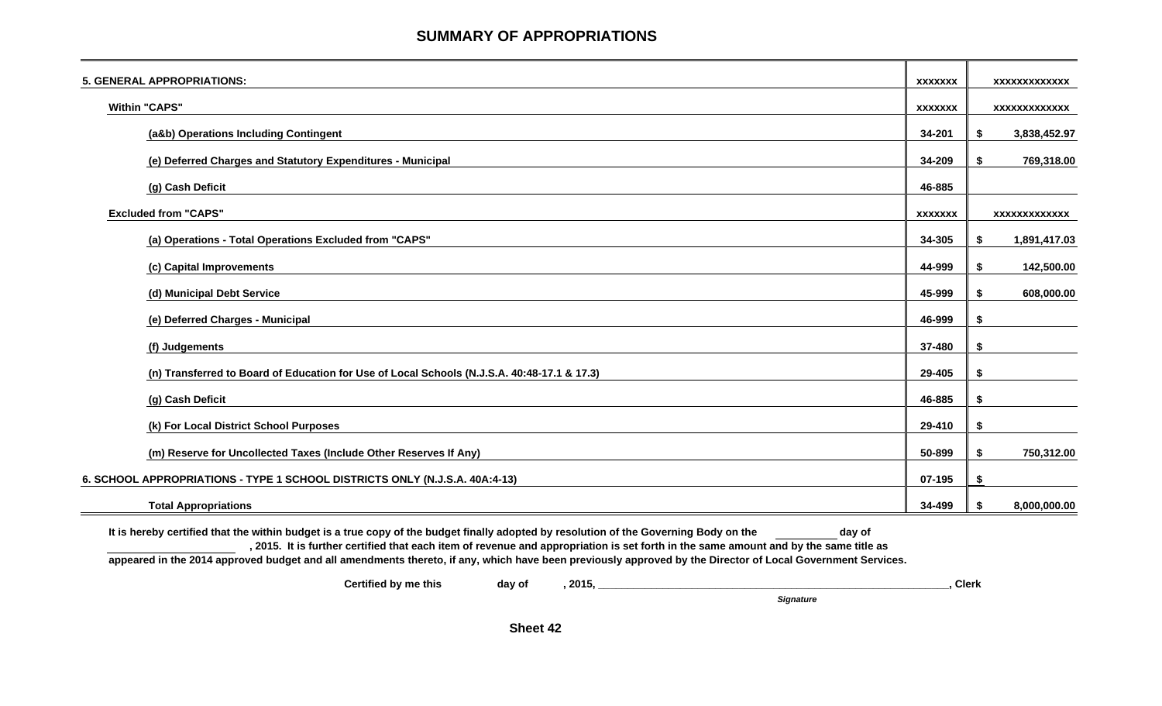#### **SUMMARY OF APPROPRIATIONS**

| <b>5. GENERAL APPROPRIATIONS:</b>                                                           | <b>XXXXXXX</b> | <b>XXXXXXXXXXXXX</b> |
|---------------------------------------------------------------------------------------------|----------------|----------------------|
| <b>Within "CAPS"</b>                                                                        | <b>XXXXXXX</b> | XXXXXXXXXXXX         |
| (a&b) Operations Including Contingent                                                       | 34-201         | \$<br>3,838,452.97   |
| (e) Deferred Charges and Statutory Expenditures - Municipal                                 | 34-209         | \$<br>769,318.00     |
| (g) Cash Deficit                                                                            | 46-885         |                      |
| <b>Excluded from "CAPS"</b>                                                                 | <b>XXXXXXX</b> | <b>XXXXXXXXXXXXX</b> |
| (a) Operations - Total Operations Excluded from "CAPS"                                      | 34-305         | 1,891,417.03<br>\$   |
| (c) Capital Improvements                                                                    | 44-999         | 142,500.00<br>\$     |
| (d) Municipal Debt Service                                                                  | 45-999         | 608,000.00<br>\$     |
| (e) Deferred Charges - Municipal                                                            | 46-999         | \$                   |
| (f) Judgements                                                                              | 37-480         | \$                   |
| (n) Transferred to Board of Education for Use of Local Schools (N.J.S.A. 40:48-17.1 & 17.3) | 29-405         | S                    |
| (g) Cash Deficit                                                                            | 46-885         | \$                   |
| (k) For Local District School Purposes                                                      | 29-410         | \$                   |
| (m) Reserve for Uncollected Taxes (Include Other Reserves If Any)                           | 50-899         | 750,312.00<br>\$     |
| 6. SCHOOL APPROPRIATIONS - TYPE 1 SCHOOL DISTRICTS ONLY (N.J.S.A. 40A:4-13)                 | 07-195         | \$                   |
| <b>Total Appropriations</b>                                                                 | 34-499         | 8,000,000.00<br>S    |

It is hereby certified that the within budget is a true copy of the budget finally adopted by resolution of the Governing Body on the day of **, 2015. It is further certified that each item of revenue and appropriation is set forth in the same amount and by the same title as**

**appeared in the 2014 approved budget and all amendments thereto, if any, which have been previously approved by the Director of Local Government Services.**

**Certified by me this day of , 2015, \_\_\_\_\_\_\_\_\_\_\_\_\_\_\_\_\_\_\_\_\_\_\_\_\_\_\_\_\_\_\_\_\_\_\_\_\_\_\_\_\_\_\_\_\_\_\_\_\_\_\_\_\_\_\_\_\_\_\_\_, Clerk**

*Signature*

**Sheet 42**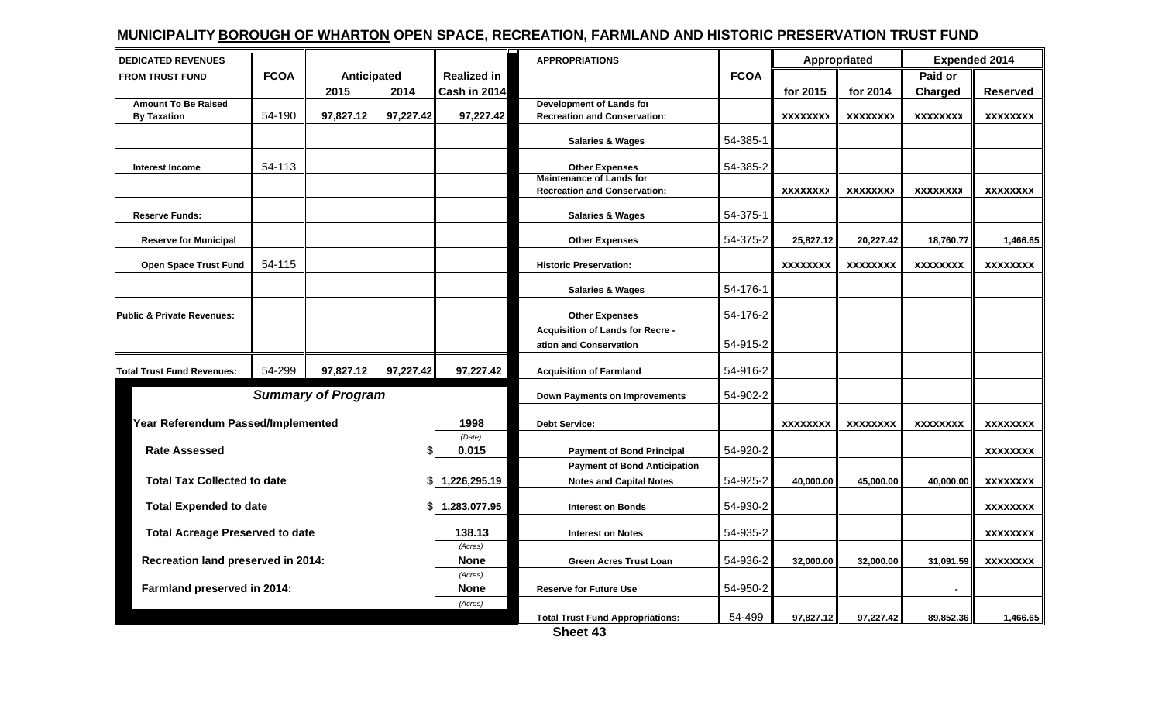### **MUNICIPALITY BOROUGH OF WHARTON OPEN SPACE, RECREATION, FARMLAND AND HISTORIC PRESERVATION TRUST FUND**

| <b>DEDICATED REVENUES</b>              |             |                           |           |                        | <b>APPROPRIATIONS</b>                                                  |             | Appropriated    |                 | <b>Expended 2014</b> |                 |  |
|----------------------------------------|-------------|---------------------------|-----------|------------------------|------------------------------------------------------------------------|-------------|-----------------|-----------------|----------------------|-----------------|--|
| <b>FROM TRUST FUND</b>                 | <b>FCOA</b> | Anticipated               |           | <b>Realized in</b>     |                                                                        | <b>FCOA</b> |                 |                 | Paid or              |                 |  |
|                                        |             | 2015                      | 2014      | Cash in 2014           |                                                                        |             | for 2015        | for 2014        | <b>Charged</b>       | <b>Reserved</b> |  |
| <b>Amount To Be Raised</b>             |             |                           |           |                        | <b>Development of Lands for</b>                                        |             |                 |                 |                      |                 |  |
| <b>By Taxation</b>                     | 54-190      | 97,827.12                 | 97,227.42 | 97,227.42              | <b>Recreation and Conservation:</b>                                    |             | <b>XXXXXXXX</b> | <b>XXXXXXXX</b> | <b>XXXXXXXX</b>      | <b>XXXXXXXX</b> |  |
|                                        |             |                           |           |                        | <b>Salaries &amp; Wages</b>                                            | 54-385-1    |                 |                 |                      |                 |  |
| <b>Interest Income</b>                 | 54-113      |                           |           |                        | <b>Other Expenses</b>                                                  | 54-385-2    |                 |                 |                      |                 |  |
|                                        |             |                           |           |                        | <b>Maintenance of Lands for</b><br><b>Recreation and Conservation:</b> |             | <b>XXXXXXXX</b> | <b>XXXXXXXX</b> | <b>XXXXXXXX</b>      | <b>XXXXXXXX</b> |  |
| <b>Reserve Funds:</b>                  |             |                           |           |                        | <b>Salaries &amp; Wages</b>                                            | 54-375-1    |                 |                 |                      |                 |  |
| <b>Reserve for Municipal</b>           |             |                           |           |                        | <b>Other Expenses</b>                                                  | 54-375-2    | 25,827.12       | 20,227.42       | 18,760.77            | 1,466.65        |  |
| <b>Open Space Trust Fund</b>           | 54-115      |                           |           |                        | <b>Historic Preservation:</b>                                          |             | <b>XXXXXXXX</b> | <b>XXXXXXXX</b> | <b>XXXXXXXX</b>      | <b>XXXXXXXX</b> |  |
|                                        |             |                           |           |                        | <b>Salaries &amp; Wages</b>                                            | 54-176-1    |                 |                 |                      |                 |  |
| <b>Public &amp; Private Revenues:</b>  |             |                           |           |                        | <b>Other Expenses</b>                                                  | 54-176-2    |                 |                 |                      |                 |  |
|                                        |             |                           |           |                        | <b>Acquisition of Lands for Recre -</b>                                |             |                 |                 |                      |                 |  |
|                                        |             |                           |           |                        | ation and Conservation                                                 | 54-915-2    |                 |                 |                      |                 |  |
| <b>Total Trust Fund Revenues:</b>      | 54-299      | 97,827.12                 | 97,227.42 | 97,227.42              | <b>Acquisition of Farmland</b>                                         | 54-916-2    |                 |                 |                      |                 |  |
|                                        |             | <b>Summary of Program</b> |           |                        | <b>Down Payments on Improvements</b>                                   | 54-902-2    |                 |                 |                      |                 |  |
| Year Referendum Passed/Implemented     |             |                           |           | 1998                   | <b>Debt Service:</b>                                                   |             | <b>XXXXXXXX</b> | <b>XXXXXXXX</b> | <b>XXXXXXXX</b>      | <b>XXXXXXXX</b> |  |
| <b>Rate Assessed</b>                   |             |                           | \$        | (Date)<br>0.015        | <b>Payment of Bond Principal</b>                                       | 54-920-2    |                 |                 |                      | <b>XXXXXXXX</b> |  |
|                                        |             |                           |           |                        | <b>Payment of Bond Anticipation</b>                                    |             |                 |                 |                      |                 |  |
| <b>Total Tax Collected to date</b>     |             |                           | \$        | 1,226,295.19           |                                                                        | 54-925-2    |                 |                 |                      |                 |  |
|                                        |             |                           |           |                        | <b>Notes and Capital Notes</b>                                         |             | 40,000.00       | 45,000.00       | 40,000.00            | <b>XXXXXXXX</b> |  |
| <b>Total Expended to date</b>          |             |                           |           | \$1,283,077.95         | <b>Interest on Bonds</b>                                               | 54-930-2    |                 |                 |                      | <b>XXXXXXXX</b> |  |
| <b>Total Acreage Preserved to date</b> |             |                           |           | 138.13                 | <b>Interest on Notes</b>                                               | 54-935-2    |                 |                 |                      | <b>XXXXXXXX</b> |  |
| Recreation land preserved in 2014:     |             |                           |           | (Acres)<br><b>None</b> | <b>Green Acres Trust Loan</b>                                          | 54-936-2    | 32,000.00       | 32,000.00       | 31,091.59            | <b>XXXXXXXX</b> |  |
|                                        |             |                           |           | (Acres)                |                                                                        |             |                 |                 |                      |                 |  |
| Farmland preserved in 2014:            |             |                           |           | <b>None</b>            | <b>Reserve for Future Use</b>                                          | 54-950-2    |                 |                 |                      |                 |  |
|                                        |             |                           |           | (Acres)                | <b>Total Trust Fund Appropriations:</b>                                | 54-499      | 97,827.12       | 97,227.42       | 89,852.36            | 1,466.65        |  |
|                                        |             |                           |           |                        |                                                                        |             |                 |                 |                      |                 |  |

**Sheet 43**